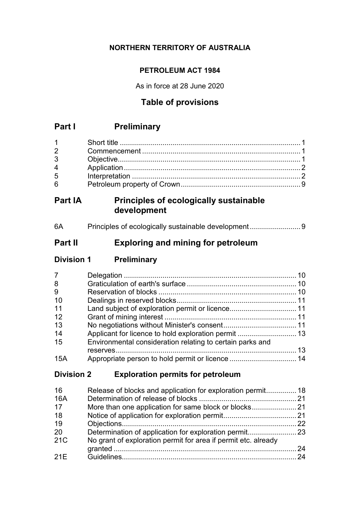# **NORTHERN TERRITORY OF AUSTRALIA**

# **PETROLEUM ACT 1984**

As in force at 28 June 2020

# **Table of provisions**

# **Part I Preliminary**

# **Part IA Principles of ecologically sustainable development**

| 6A |  |  |
|----|--|--|
|----|--|--|

# **Part II Exploring and mining for petroleum**

| <b>Division 1</b> | <b>Preliminary</b> |
|-------------------|--------------------|
|                   |                    |

| $\overline{7}$ |                                                           |  |
|----------------|-----------------------------------------------------------|--|
| 8              |                                                           |  |
| 9              |                                                           |  |
| 10             |                                                           |  |
| 11             |                                                           |  |
| 12             |                                                           |  |
| 13             |                                                           |  |
| 14             |                                                           |  |
| 15             | Environmental consideration relating to certain parks and |  |
|                |                                                           |  |
| 15A            |                                                           |  |

# **Division 2 Exploration permits for petroleum**

| 16  | Release of blocks and application for exploration permit 18    |    |
|-----|----------------------------------------------------------------|----|
| 16A |                                                                |    |
| 17  |                                                                |    |
| 18  |                                                                |    |
| 19  |                                                                | 22 |
| 20  |                                                                |    |
| 21C | No grant of exploration permit for area if permit etc. already |    |
|     |                                                                | 24 |
| 21E |                                                                | 24 |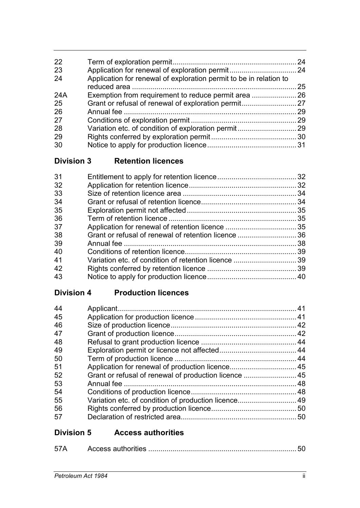| 22  |                                                                    |    |
|-----|--------------------------------------------------------------------|----|
| 23  |                                                                    |    |
| 24  | Application for renewal of exploration permit to be in relation to |    |
|     |                                                                    | 25 |
| 24A |                                                                    |    |
| 25  |                                                                    |    |
| 26  |                                                                    | 29 |
| 27  |                                                                    |    |
| 28  |                                                                    |    |
| 29  |                                                                    |    |
| 30  |                                                                    |    |
|     |                                                                    |    |

**Division 3 Retention licences**

| 31 |  |
|----|--|
|    |  |
| 32 |  |
| 33 |  |
| 34 |  |
| 35 |  |
| 36 |  |
| 37 |  |
| 38 |  |
| 39 |  |
| 40 |  |
| 41 |  |
| 42 |  |
| 43 |  |
|    |  |

# **Division 4 Production licences**

| 44 |                                                       |     |
|----|-------------------------------------------------------|-----|
| 45 |                                                       |     |
| 46 |                                                       |     |
| 47 |                                                       |     |
| 48 |                                                       |     |
| 49 |                                                       |     |
| 50 |                                                       |     |
| 51 |                                                       |     |
| 52 | Grant or refusal of renewal of production licence  45 |     |
| 53 |                                                       |     |
| 54 |                                                       |     |
| 55 | Variation etc. of condition of production licence 49  |     |
| 56 |                                                       |     |
| 57 |                                                       | .50 |
|    |                                                       |     |

# **Division 5 Access authorities**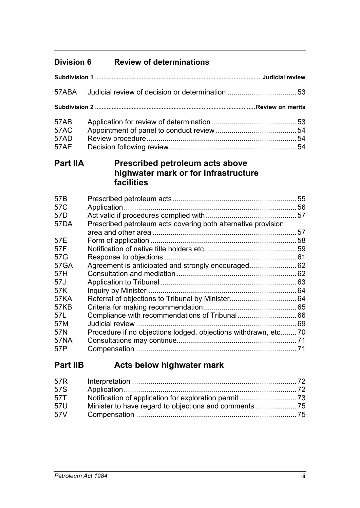# **Division 6 Review of determinations**

| 57ABA                                                                                      |                                                                                                                     |  |
|--------------------------------------------------------------------------------------------|---------------------------------------------------------------------------------------------------------------------|--|
|                                                                                            |                                                                                                                     |  |
| <b>57AB</b><br><b>57AC</b><br>57AD<br><b>57AE</b>                                          |                                                                                                                     |  |
| <b>Part IIA</b>                                                                            | <b>Prescribed petroleum acts above</b><br>highwater mark or for infrastructure<br>facilities                        |  |
| 57B<br>57C<br>57 <sub>D</sub><br><b>57DA</b><br>57E<br>57F<br>57G<br><b>57GA</b>           | Prescribed petroleum acts covering both alternative provision<br>Agreement is anticipated and strongly encouraged62 |  |
| 57H<br>57J<br>57K<br><b>57KA</b><br><b>57KB</b><br>57L<br>57M<br>57N<br><b>57NA</b><br>57P | Compliance with recommendations of Tribunal 66<br>Procedure if no objections lodged, objections withdrawn, etc70    |  |

# **Part IIB Acts below highwater mark**

| 57R |  |
|-----|--|
| 57S |  |
| 57T |  |
| 57U |  |
| 57V |  |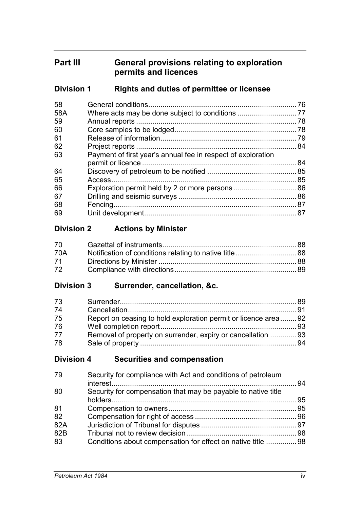# **Part III General provisions relating to exploration permits and licences**

# **Division 1 Rights and duties of permittee or licensee**

| 76                                                           |
|--------------------------------------------------------------|
|                                                              |
| . 78                                                         |
| 78                                                           |
| 79                                                           |
|                                                              |
| Payment of first year's annual fee in respect of exploration |
| 84                                                           |
|                                                              |
| 85                                                           |
|                                                              |
|                                                              |
|                                                              |
|                                                              |
|                                                              |

# **Division 2 Actions by Minister**

| 70 — |  |
|------|--|
| 70A  |  |
| 71   |  |
| 72 — |  |

## **Division 3 Surrender, cancellation, &c.**

| 73 |                                                                |  |
|----|----------------------------------------------------------------|--|
| 74 |                                                                |  |
| 75 | Report on ceasing to hold exploration permit or licence area92 |  |
| 76 |                                                                |  |
| 77 | Removal of property on surrender, expiry or cancellation  93   |  |
| 78 |                                                                |  |

## **Division 4 Securities and compensation**

| 79  | Security for compliance with Act and conditions of petroleum  |  |
|-----|---------------------------------------------------------------|--|
| 80  | Security for compensation that may be payable to native title |  |
| 81  |                                                               |  |
| 82  |                                                               |  |
| 82A |                                                               |  |
| 82B |                                                               |  |
| 83  | Conditions about compensation for effect on native title  98  |  |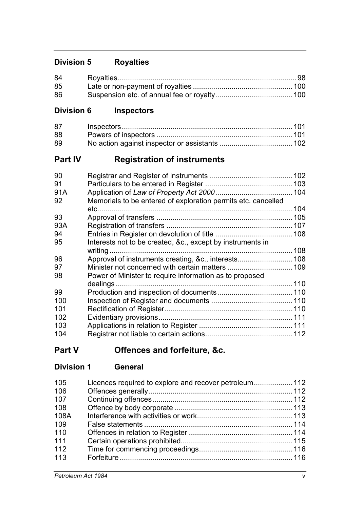# **Division 5 Royalties**

| 84 |  |
|----|--|
| 85 |  |
| 86 |  |

# **Division 6 Inspectors**

| 87 |  |
|----|--|
| 88 |  |
| 89 |  |

# **Part IV Registration of instruments**

| 90  |                                                               |     |
|-----|---------------------------------------------------------------|-----|
| 91  |                                                               |     |
| 91A |                                                               |     |
| 92  | Memorials to be entered of exploration permits etc. cancelled |     |
|     |                                                               | 104 |
| 93  |                                                               |     |
| 93A |                                                               |     |
| 94  |                                                               |     |
| 95  | Interests not to be created, &c., except by instruments in    |     |
|     |                                                               |     |
| 96  |                                                               |     |
| 97  |                                                               |     |
| 98  | Power of Minister to require information as to proposed       |     |
|     | dealings.                                                     |     |
| 99  |                                                               |     |
| 100 |                                                               |     |
| 101 |                                                               |     |
| 102 |                                                               |     |
| 103 |                                                               |     |
| 104 |                                                               |     |

**Part V Offences and forfeiture, &c.**

| <b>Division 1</b> | <b>General</b> |
|-------------------|----------------|
|                   |                |

| 105  | Licences required to explore and recover petroleum 112 |  |
|------|--------------------------------------------------------|--|
| 106  |                                                        |  |
| 107  |                                                        |  |
| 108  |                                                        |  |
| 108A |                                                        |  |
| 109  |                                                        |  |
| 110  |                                                        |  |
| 111  |                                                        |  |
| 112  |                                                        |  |
| 113  |                                                        |  |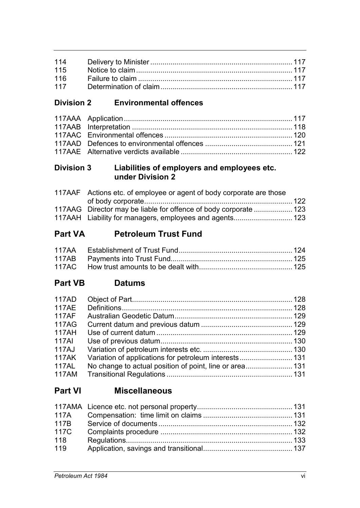| 115 |  |
|-----|--|
|     |  |
|     |  |

# **Division 2 Environmental offences**

# **Division 3 Liabilities of employers and employees etc. under Division 2**

| 117AAF Actions etc. of employee or agent of body corporate are those |  |
|----------------------------------------------------------------------|--|
|                                                                      |  |
| 117AAG Director may be liable for offence of body corporate  123     |  |
| 117AAH Liability for managers, employees and agents 123              |  |

# **Part VA Petroleum Trust Fund**

# **Part VB Datums**

| 117AD        |                                                         |  |
|--------------|---------------------------------------------------------|--|
| <b>117AE</b> |                                                         |  |
| <b>117AF</b> |                                                         |  |
| 117AG        |                                                         |  |
| 117AH        |                                                         |  |
| 117AI        |                                                         |  |
| 117AJ        |                                                         |  |
| <b>117AK</b> | Variation of applications for petroleum interests 131   |  |
| 117AL        | No change to actual position of point, line or area 131 |  |
| 117AM        |                                                         |  |

# **Part VI Miscellaneous**

| 117B |  |
|------|--|
| 117C |  |
| 118  |  |
| 119  |  |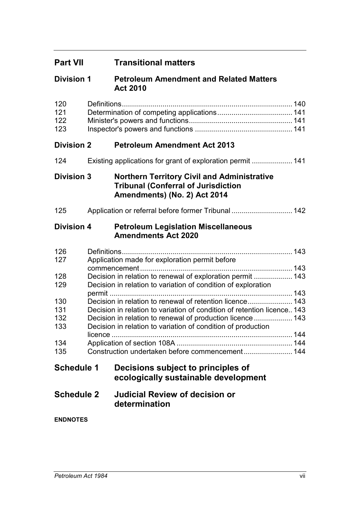| <b>Part VII</b>          |         | <b>Transitional matters</b>                                                                                                      |  |
|--------------------------|---------|----------------------------------------------------------------------------------------------------------------------------------|--|
| <b>Division 1</b>        |         | <b>Petroleum Amendment and Related Matters</b><br><b>Act 2010</b>                                                                |  |
| 120<br>121<br>122<br>123 |         |                                                                                                                                  |  |
| <b>Division 2</b>        |         | <b>Petroleum Amendment Act 2013</b>                                                                                              |  |
| 124                      |         | Existing applications for grant of exploration permit  141                                                                       |  |
| <b>Division 3</b>        |         | <b>Northern Territory Civil and Administrative</b><br><b>Tribunal (Conferral of Jurisdiction</b><br>Amendments) (No. 2) Act 2014 |  |
| 125                      |         | Application or referral before former Tribunal  142                                                                              |  |
| <b>Division 4</b>        |         | <b>Petroleum Legislation Miscellaneous</b><br><b>Amendments Act 2020</b>                                                         |  |
| 126                      |         |                                                                                                                                  |  |
| 127                      |         | Application made for exploration permit before                                                                                   |  |
| 128                      |         | Decision in relation to renewal of exploration permit  143                                                                       |  |
| 129                      |         | Decision in relation to variation of condition of exploration                                                                    |  |
|                          |         | Decision in relation to renewal of retention licence 143                                                                         |  |
| 130<br>131               |         | Decision in relation to variation of condition of retention licence 143                                                          |  |
| 132                      |         | Decision in relation to renewal of production licence  143                                                                       |  |
| 133                      |         | Decision in relation to variation of condition of production                                                                     |  |
| 134                      | licence |                                                                                                                                  |  |
| 135                      |         | Construction undertaken before commencement 144                                                                                  |  |
| <b>Schedule 1</b>        |         | Decisions subject to principles of<br>ecologically sustainable development                                                       |  |
| <b>Schedule 2</b>        |         | <b>Judicial Review of decision or</b><br>determination                                                                           |  |
| <b>ENDNOTES</b>          |         |                                                                                                                                  |  |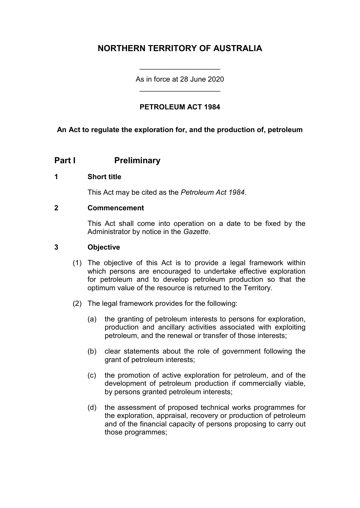# **NORTHERN TERRITORY OF AUSTRALIA**

As in force at 28 June 2020 \_\_\_\_\_\_\_\_\_\_\_\_\_\_\_\_\_\_\_\_

\_\_\_\_\_\_\_\_\_\_\_\_\_\_\_\_\_\_\_\_

## **PETROLEUM ACT 1984**

## **An Act to regulate the exploration for, and the production of, petroleum**

## **Part I Preliminary**

#### **1 Short title**

This Act may be cited as the *Petroleum Act 1984*.

#### **2 Commencement**

This Act shall come into operation on a date to be fixed by the Administrator by notice in the *Gazette*.

### **3 Objective**

- (1) The objective of this Act is to provide a legal framework within which persons are encouraged to undertake effective exploration for petroleum and to develop petroleum production so that the optimum value of the resource is returned to the Territory.
- (2) The legal framework provides for the following:
	- (a) the granting of petroleum interests to persons for exploration, production and ancillary activities associated with exploiting petroleum, and the renewal or transfer of those interests;
	- (b) clear statements about the role of government following the grant of petroleum interests;
	- (c) the promotion of active exploration for petroleum, and of the development of petroleum production if commercially viable, by persons granted petroleum interests;
	- (d) the assessment of proposed technical works programmes for the exploration, appraisal, recovery or production of petroleum and of the financial capacity of persons proposing to carry out those programmes;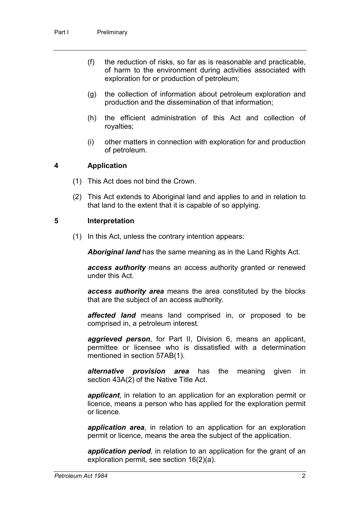- (f) the reduction of risks, so far as is reasonable and practicable, of harm to the environment during activities associated with exploration for or production of petroleum;
- (g) the collection of information about petroleum exploration and production and the dissemination of that information;
- (h) the efficient administration of this Act and collection of royalties;
- (i) other matters in connection with exploration for and production of petroleum.

#### **4 Application**

- (1) This Act does not bind the Crown.
- (2) This Act extends to Aboriginal land and applies to and in relation to that land to the extent that it is capable of so applying.

#### **5 Interpretation**

(1) In this Act, unless the contrary intention appears:

*Aboriginal land* has the same meaning as in the Land Rights Act.

*access authority* means an access authority granted or renewed under this Act.

*access authority area* means the area constituted by the blocks that are the subject of an access authority.

*affected land* means land comprised in, or proposed to be comprised in, a petroleum interest.

*aggrieved person*, for Part II, Division 6, means an applicant, permittee or licensee who is dissatisfied with a determination mentioned in section 57AB(1).

*alternative provision area* has the meaning given in section 43A(2) of the Native Title Act.

*applicant*, in relation to an application for an exploration permit or licence, means a person who has applied for the exploration permit or licence.

*application area*, in relation to an application for an exploration permit or licence, means the area the subject of the application.

*application period*, in relation to an application for the grant of an exploration permit, see section 16(2)(a).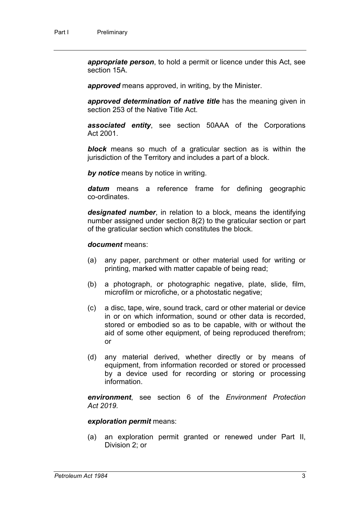*appropriate person*, to hold a permit or licence under this Act, see section 15A.

*approved* means approved, in writing, by the Minister.

*approved determination of native title* has the meaning given in section 253 of the Native Title Act.

*associated entity*, see section 50AAA of the Corporations Act 2001.

*block* means so much of a graticular section as is within the jurisdiction of the Territory and includes a part of a block.

*by notice* means by notice in writing.

*datum* means a reference frame for defining geographic co-ordinates.

*designated number*, in relation to a block, means the identifying number assigned under section 8(2) to the graticular section or part of the graticular section which constitutes the block.

#### *document* means:

- (a) any paper, parchment or other material used for writing or printing, marked with matter capable of being read;
- (b) a photograph, or photographic negative, plate, slide, film, microfilm or microfiche, or a photostatic negative;
- (c) a disc, tape, wire, sound track, card or other material or device in or on which information, sound or other data is recorded, stored or embodied so as to be capable, with or without the aid of some other equipment, of being reproduced therefrom; or
- (d) any material derived, whether directly or by means of equipment, from information recorded or stored or processed by a device used for recording or storing or processing information.

*environment*, see section 6 of the *Environment Protection Act 2019.*

#### *exploration permit* means:

(a) an exploration permit granted or renewed under Part II, Division 2; or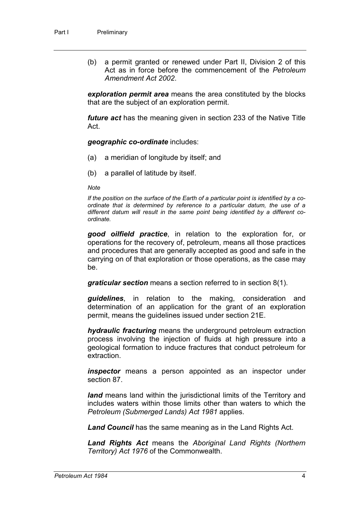(b) a permit granted or renewed under Part II, Division 2 of this Act as in force before the commencement of the *Petroleum Amendment Act 2002*.

*exploration permit area* means the area constituted by the blocks that are the subject of an exploration permit.

*future act* has the meaning given in section 233 of the Native Title Act.

*geographic co-ordinate* includes:

- (a) a meridian of longitude by itself; and
- (b) a parallel of latitude by itself.

*Note*

*If the position on the surface of the Earth of a particular point is identified by a coordinate that is determined by reference to a particular datum, the use of a different datum will result in the same point being identified by a different coordinate.*

*good oilfield practice*, in relation to the exploration for, or operations for the recovery of, petroleum, means all those practices and procedures that are generally accepted as good and safe in the carrying on of that exploration or those operations, as the case may be.

*graticular section* means a section referred to in section 8(1).

*guidelines*, in relation to the making, consideration and determination of an application for the grant of an exploration permit, means the guidelines issued under section 21E.

*hydraulic fracturing* means the underground petroleum extraction process involving the injection of fluids at high pressure into a geological formation to induce fractures that conduct petroleum for extraction.

*inspector* means a person appointed as an inspector under section 87.

*land* means land within the jurisdictional limits of the Territory and includes waters within those limits other than waters to which the *Petroleum (Submerged Lands) Act 1981* applies.

*Land Council* has the same meaning as in the Land Rights Act.

*Land Rights Act* means the *Aboriginal Land Rights (Northern Territory) Act 1976* of the Commonwealth.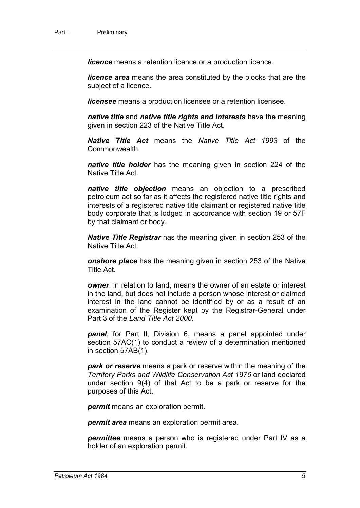*licence* means a retention licence or a production licence.

*licence area* means the area constituted by the blocks that are the subject of a licence.

*licensee* means a production licensee or a retention licensee.

*native title* and *native title rights and interests* have the meaning given in section 223 of the Native Title Act.

*Native Title Act* means the *Native Title Act 1993* of the Commonwealth.

*native title holder* has the meaning given in section 224 of the Native Title Act.

*native title objection* means an objection to a prescribed petroleum act so far as it affects the registered native title rights and interests of a registered native title claimant or registered native title body corporate that is lodged in accordance with section 19 or 57F by that claimant or body.

*Native Title Registrar* has the meaning given in section 253 of the Native Title Act.

*onshore place* has the meaning given in section 253 of the Native Title Act.

*owner*, in relation to land, means the owner of an estate or interest in the land, but does not include a person whose interest or claimed interest in the land cannot be identified by or as a result of an examination of the Register kept by the Registrar-General under Part 3 of the *Land Title Act 2000*.

*panel*, for Part II, Division 6, means a panel appointed under section 57AC(1) to conduct a review of a determination mentioned in section 57AB(1).

*park or reserve* means a park or reserve within the meaning of the *Territory Parks and Wildlife Conservation Act 1976* or land declared under section 9(4) of that Act to be a park or reserve for the purposes of this Act.

*permit* means an exploration permit.

*permit area* means an exploration permit area.

*permittee* means a person who is registered under Part IV as a holder of an exploration permit.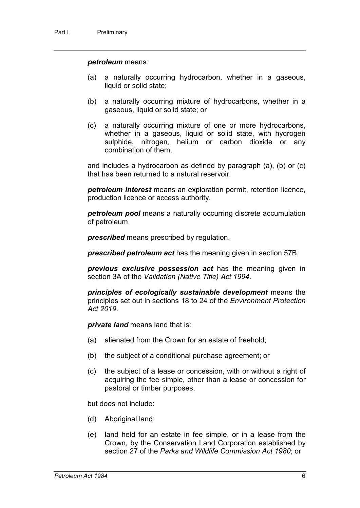#### *petroleum* means:

- (a) a naturally occurring hydrocarbon, whether in a gaseous, liquid or solid state;
- (b) a naturally occurring mixture of hydrocarbons, whether in a gaseous, liquid or solid state; or
- (c) a naturally occurring mixture of one or more hydrocarbons, whether in a gaseous, liquid or solid state, with hydrogen sulphide, nitrogen, helium or carbon dioxide or any combination of them,

and includes a hydrocarbon as defined by paragraph (a), (b) or (c) that has been returned to a natural reservoir.

*petroleum interest* means an exploration permit, retention licence, production licence or access authority.

*petroleum pool* means a naturally occurring discrete accumulation of petroleum.

*prescribed* means prescribed by regulation.

*prescribed petroleum act* has the meaning given in section 57B.

*previous exclusive possession act* has the meaning given in section 3A of the *Validation (Native Title) Act 1994*.

*principles of ecologically sustainable development* means the principles set out in sections 18 to 24 of the *Environment Protection Act 2019*.

*private land* means land that is:

- (a) alienated from the Crown for an estate of freehold;
- (b) the subject of a conditional purchase agreement; or
- (c) the subject of a lease or concession, with or without a right of acquiring the fee simple, other than a lease or concession for pastoral or timber purposes,

but does not include:

- (d) Aboriginal land;
- (e) land held for an estate in fee simple, or in a lease from the Crown, by the Conservation Land Corporation established by section 27 of the *Parks and Wildlife Commission Act 1980*; or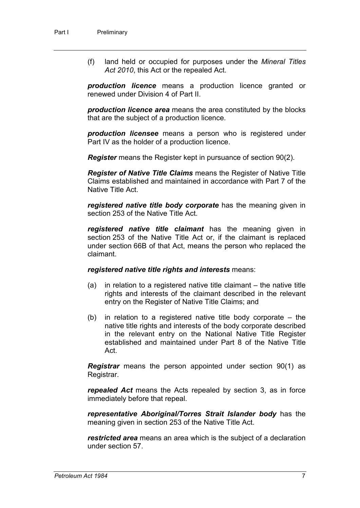(f) land held or occupied for purposes under the *Mineral Titles Act 2010*, this Act or the repealed Act.

*production licence* means a production licence granted or renewed under Division 4 of Part II.

*production licence area* means the area constituted by the blocks that are the subject of a production licence.

*production licensee* means a person who is registered under Part IV as the holder of a production licence.

*Register* means the Register kept in pursuance of section 90(2).

*Register of Native Title Claims* means the Register of Native Title Claims established and maintained in accordance with Part 7 of the Native Title Act.

*registered native title body corporate* has the meaning given in section 253 of the Native Title Act.

*registered native title claimant* has the meaning given in section 253 of the Native Title Act or, if the claimant is replaced under section 66B of that Act, means the person who replaced the claimant.

#### *registered native title rights and interests* means:

- (a) in relation to a registered native title claimant the native title rights and interests of the claimant described in the relevant entry on the Register of Native Title Claims; and
- (b) in relation to a registered native title body corporate the native title rights and interests of the body corporate described in the relevant entry on the National Native Title Register established and maintained under Part 8 of the Native Title Act.

*Registrar* means the person appointed under section 90(1) as Registrar.

*repealed Act* means the Acts repealed by section 3, as in force immediately before that repeal.

*representative Aboriginal/Torres Strait Islander body* has the meaning given in section 253 of the Native Title Act.

*restricted area* means an area which is the subject of a declaration under section 57.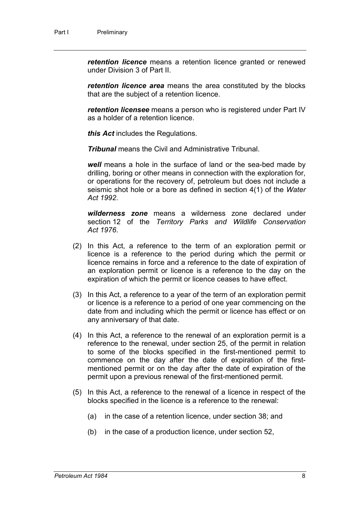*retention licence* means a retention licence granted or renewed under Division 3 of Part II.

*retention licence area* means the area constituted by the blocks that are the subject of a retention licence.

*retention licensee* means a person who is registered under Part IV as a holder of a retention licence.

*this Act* includes the Regulations.

*Tribunal* means the Civil and Administrative Tribunal.

*well* means a hole in the surface of land or the sea-bed made by drilling, boring or other means in connection with the exploration for, or operations for the recovery of, petroleum but does not include a seismic shot hole or a bore as defined in section 4(1) of the *Water Act 1992*.

*wilderness zone* means a wilderness zone declared under section 12 of the *Territory Parks and Wildlife Conservation Act 1976*.

- (2) In this Act, a reference to the term of an exploration permit or licence is a reference to the period during which the permit or licence remains in force and a reference to the date of expiration of an exploration permit or licence is a reference to the day on the expiration of which the permit or licence ceases to have effect.
- (3) In this Act, a reference to a year of the term of an exploration permit or licence is a reference to a period of one year commencing on the date from and including which the permit or licence has effect or on any anniversary of that date.
- (4) In this Act, a reference to the renewal of an exploration permit is a reference to the renewal, under section 25, of the permit in relation to some of the blocks specified in the first-mentioned permit to commence on the day after the date of expiration of the firstmentioned permit or on the day after the date of expiration of the permit upon a previous renewal of the first-mentioned permit.
- (5) In this Act, a reference to the renewal of a licence in respect of the blocks specified in the licence is a reference to the renewal:
	- (a) in the case of a retention licence, under section 38; and
	- (b) in the case of a production licence, under section 52,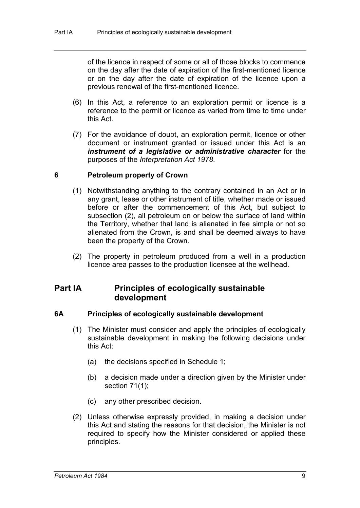of the licence in respect of some or all of those blocks to commence on the day after the date of expiration of the first-mentioned licence or on the day after the date of expiration of the licence upon a previous renewal of the first-mentioned licence.

- (6) In this Act, a reference to an exploration permit or licence is a reference to the permit or licence as varied from time to time under this Act.
- (7) For the avoidance of doubt, an exploration permit, licence or other document or instrument granted or issued under this Act is an *instrument of a legislative or administrative character* for the purposes of the *Interpretation Act 1978*.

#### **6 Petroleum property of Crown**

- (1) Notwithstanding anything to the contrary contained in an Act or in any grant, lease or other instrument of title, whether made or issued before or after the commencement of this Act, but subject to subsection (2), all petroleum on or below the surface of land within the Territory, whether that land is alienated in fee simple or not so alienated from the Crown, is and shall be deemed always to have been the property of the Crown.
- (2) The property in petroleum produced from a well in a production licence area passes to the production licensee at the wellhead.

# **Part IA Principles of ecologically sustainable development**

#### **6A Principles of ecologically sustainable development**

- (1) The Minister must consider and apply the principles of ecologically sustainable development in making the following decisions under this Act:
	- (a) the decisions specified in Schedule 1;
	- (b) a decision made under a direction given by the Minister under section 71(1);
	- (c) any other prescribed decision.
- (2) Unless otherwise expressly provided, in making a decision under this Act and stating the reasons for that decision, the Minister is not required to specify how the Minister considered or applied these principles.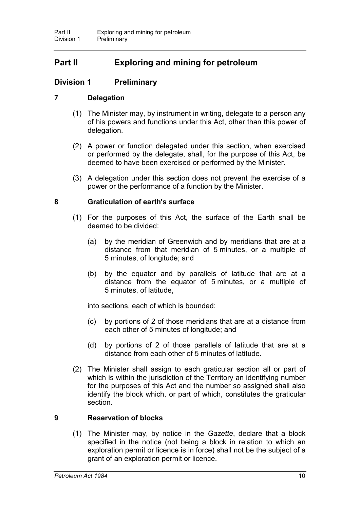# **Part II Exploring and mining for petroleum**

## **Division 1 Preliminary**

### **7 Delegation**

- (1) The Minister may, by instrument in writing, delegate to a person any of his powers and functions under this Act, other than this power of delegation.
- (2) A power or function delegated under this section, when exercised or performed by the delegate, shall, for the purpose of this Act, be deemed to have been exercised or performed by the Minister.
- (3) A delegation under this section does not prevent the exercise of a power or the performance of a function by the Minister.

### **8 Graticulation of earth's surface**

- (1) For the purposes of this Act, the surface of the Earth shall be deemed to be divided:
	- (a) by the meridian of Greenwich and by meridians that are at a distance from that meridian of 5 minutes, or a multiple of 5 minutes, of longitude; and
	- (b) by the equator and by parallels of latitude that are at a distance from the equator of 5 minutes, or a multiple of 5 minutes, of latitude,

into sections, each of which is bounded:

- (c) by portions of 2 of those meridians that are at a distance from each other of 5 minutes of longitude; and
- (d) by portions of 2 of those parallels of latitude that are at a distance from each other of 5 minutes of latitude.
- (2) The Minister shall assign to each graticular section all or part of which is within the jurisdiction of the Territory an identifying number for the purposes of this Act and the number so assigned shall also identify the block which, or part of which, constitutes the graticular section.

### **9 Reservation of blocks**

(1) The Minister may, by notice in the *Gazette*, declare that a block specified in the notice (not being a block in relation to which an exploration permit or licence is in force) shall not be the subject of a grant of an exploration permit or licence.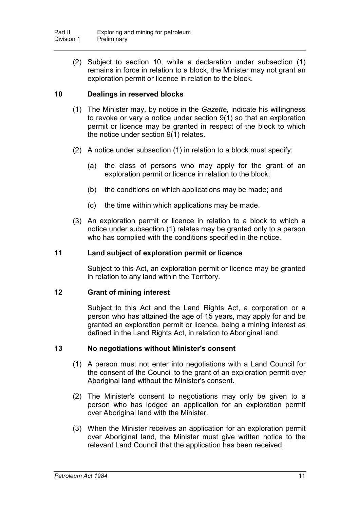(2) Subject to section 10, while a declaration under subsection (1) remains in force in relation to a block, the Minister may not grant an exploration permit or licence in relation to the block.

## **10 Dealings in reserved blocks**

- (1) The Minister may, by notice in the *Gazette*, indicate his willingness to revoke or vary a notice under section 9(1) so that an exploration permit or licence may be granted in respect of the block to which the notice under section 9(1) relates.
- (2) A notice under subsection (1) in relation to a block must specify:
	- (a) the class of persons who may apply for the grant of an exploration permit or licence in relation to the block;
	- (b) the conditions on which applications may be made; and
	- (c) the time within which applications may be made.
- (3) An exploration permit or licence in relation to a block to which a notice under subsection (1) relates may be granted only to a person who has complied with the conditions specified in the notice.

### **11 Land subject of exploration permit or licence**

Subject to this Act, an exploration permit or licence may be granted in relation to any land within the Territory.

### **12 Grant of mining interest**

Subject to this Act and the Land Rights Act, a corporation or a person who has attained the age of 15 years, may apply for and be granted an exploration permit or licence, being a mining interest as defined in the Land Rights Act, in relation to Aboriginal land.

### **13 No negotiations without Minister's consent**

- (1) A person must not enter into negotiations with a Land Council for the consent of the Council to the grant of an exploration permit over Aboriginal land without the Minister's consent.
- (2) The Minister's consent to negotiations may only be given to a person who has lodged an application for an exploration permit over Aboriginal land with the Minister.
- (3) When the Minister receives an application for an exploration permit over Aboriginal land, the Minister must give written notice to the relevant Land Council that the application has been received.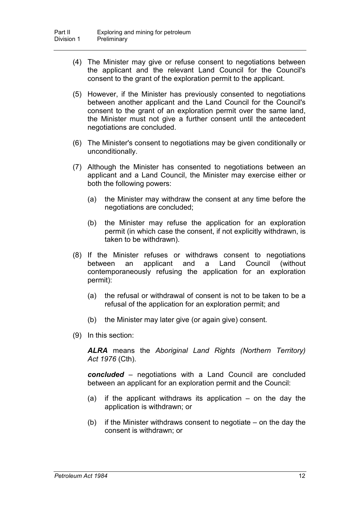- (4) The Minister may give or refuse consent to negotiations between the applicant and the relevant Land Council for the Council's consent to the grant of the exploration permit to the applicant.
- (5) However, if the Minister has previously consented to negotiations between another applicant and the Land Council for the Council's consent to the grant of an exploration permit over the same land, the Minister must not give a further consent until the antecedent negotiations are concluded.
- (6) The Minister's consent to negotiations may be given conditionally or unconditionally.
- (7) Although the Minister has consented to negotiations between an applicant and a Land Council, the Minister may exercise either or both the following powers:
	- (a) the Minister may withdraw the consent at any time before the negotiations are concluded;
	- (b) the Minister may refuse the application for an exploration permit (in which case the consent, if not explicitly withdrawn, is taken to be withdrawn).
- (8) If the Minister refuses or withdraws consent to negotiations between an applicant and a Land Council (without contemporaneously refusing the application for an exploration permit):
	- (a) the refusal or withdrawal of consent is not to be taken to be a refusal of the application for an exploration permit; and
	- (b) the Minister may later give (or again give) consent.
- (9) In this section:

*ALRA* means the *Aboriginal Land Rights (Northern Territory) Act 1976* (Cth).

*concluded* – negotiations with a Land Council are concluded between an applicant for an exploration permit and the Council:

- (a) if the applicant withdraws its application  $-$  on the day the application is withdrawn; or
- (b) if the Minister withdraws consent to negotiate on the day the consent is withdrawn; or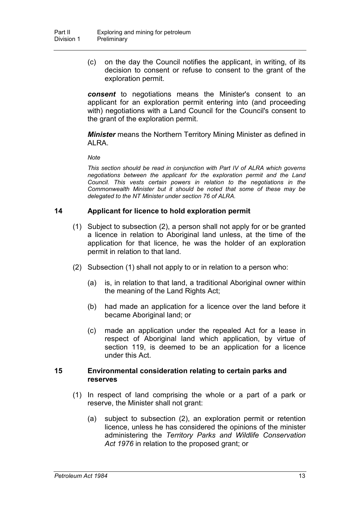(c) on the day the Council notifies the applicant, in writing, of its decision to consent or refuse to consent to the grant of the exploration permit.

*consent* to negotiations means the Minister's consent to an applicant for an exploration permit entering into (and proceeding with) negotiations with a Land Council for the Council's consent to the grant of the exploration permit.

*Minister* means the Northern Territory Mining Minister as defined in ALRA.

*Note*

*This section should be read in conjunction with Part IV of ALRA which governs negotiations between the applicant for the exploration permit and the Land Council. This vests certain powers in relation to the negotiations in the Commonwealth Minister but it should be noted that some of these may be delegated to the NT Minister under section 76 of ALRA.*

## **14 Applicant for licence to hold exploration permit**

- (1) Subject to subsection (2), a person shall not apply for or be granted a licence in relation to Aboriginal land unless, at the time of the application for that licence, he was the holder of an exploration permit in relation to that land.
- (2) Subsection (1) shall not apply to or in relation to a person who:
	- (a) is, in relation to that land, a traditional Aboriginal owner within the meaning of the Land Rights Act;
	- (b) had made an application for a licence over the land before it became Aboriginal land; or
	- (c) made an application under the repealed Act for a lease in respect of Aboriginal land which application, by virtue of section 119, is deemed to be an application for a licence under this Act.

#### **15 Environmental consideration relating to certain parks and reserves**

- (1) In respect of land comprising the whole or a part of a park or reserve, the Minister shall not grant:
	- (a) subject to subsection (2), an exploration permit or retention licence, unless he has considered the opinions of the minister administering the *Territory Parks and Wildlife Conservation Act 1976* in relation to the proposed grant; or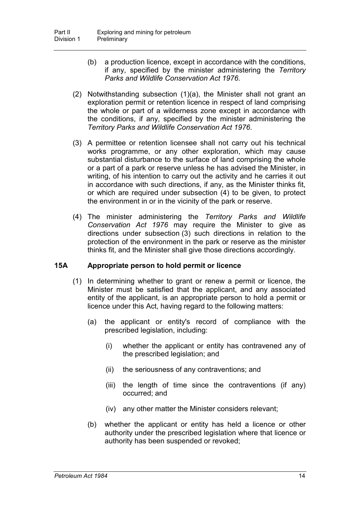- (b) a production licence, except in accordance with the conditions, if any, specified by the minister administering the *Territory Parks and Wildlife Conservation Act 1976*.
- (2) Notwithstanding subsection (1)(a), the Minister shall not grant an exploration permit or retention licence in respect of land comprising the whole or part of a wilderness zone except in accordance with the conditions, if any, specified by the minister administering the *Territory Parks and Wildlife Conservation Act 1976*.
- (3) A permittee or retention licensee shall not carry out his technical works programme, or any other exploration, which may cause substantial disturbance to the surface of land comprising the whole or a part of a park or reserve unless he has advised the Minister, in writing, of his intention to carry out the activity and he carries it out in accordance with such directions, if any, as the Minister thinks fit, or which are required under subsection (4) to be given, to protect the environment in or in the vicinity of the park or reserve.
- (4) The minister administering the *Territory Parks and Wildlife Conservation Act 1976* may require the Minister to give as directions under subsection (3) such directions in relation to the protection of the environment in the park or reserve as the minister thinks fit, and the Minister shall give those directions accordingly.

### **15A Appropriate person to hold permit or licence**

- (1) In determining whether to grant or renew a permit or licence, the Minister must be satisfied that the applicant, and any associated entity of the applicant, is an appropriate person to hold a permit or licence under this Act, having regard to the following matters:
	- (a) the applicant or entity's record of compliance with the prescribed legislation, including:
		- (i) whether the applicant or entity has contravened any of the prescribed legislation; and
		- (ii) the seriousness of any contraventions; and
		- (iii) the length of time since the contraventions (if any) occurred; and
		- (iv) any other matter the Minister considers relevant;
	- (b) whether the applicant or entity has held a licence or other authority under the prescribed legislation where that licence or authority has been suspended or revoked;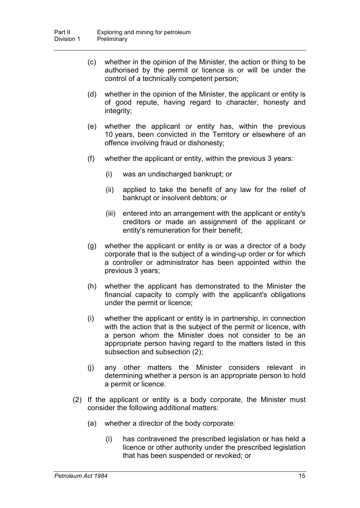- (c) whether in the opinion of the Minister, the action or thing to be authorised by the permit or licence is or will be under the control of a technically competent person;
- (d) whether in the opinion of the Minister, the applicant or entity is of good repute, having regard to character, honesty and integrity;
- (e) whether the applicant or entity has, within the previous 10 years, been convicted in the Territory or elsewhere of an offence involving fraud or dishonesty;
- (f) whether the applicant or entity, within the previous 3 years:
	- (i) was an undischarged bankrupt; or
	- (ii) applied to take the benefit of any law for the relief of bankrupt or insolvent debtors; or
	- (iii) entered into an arrangement with the applicant or entity's creditors or made an assignment of the applicant or entity's remuneration for their benefit;
- (g) whether the applicant or entity is or was a director of a body corporate that is the subject of a winding-up order or for which a controller or administrator has been appointed within the previous 3 years;
- (h) whether the applicant has demonstrated to the Minister the financial capacity to comply with the applicant's obligations under the permit or licence;
- (i) whether the applicant or entity is in partnership, in connection with the action that is the subject of the permit or licence, with a person whom the Minister does not consider to be an appropriate person having regard to the matters listed in this subsection and subsection (2);
- (j) any other matters the Minister considers relevant in determining whether a person is an appropriate person to hold a permit or licence.
- (2) If the applicant or entity is a body corporate, the Minister must consider the following additional matters:
	- (a) whether a director of the body corporate:
		- (i) has contravened the prescribed legislation or has held a licence or other authority under the prescribed legislation that has been suspended or revoked; or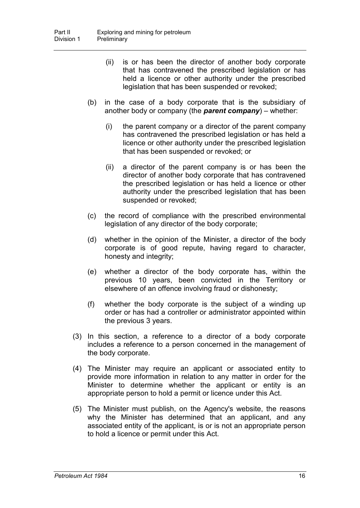- (ii) is or has been the director of another body corporate that has contravened the prescribed legislation or has held a licence or other authority under the prescribed legislation that has been suspended or revoked;
- (b) in the case of a body corporate that is the subsidiary of another body or company (the *parent company*) – whether:
	- (i) the parent company or a director of the parent company has contravened the prescribed legislation or has held a licence or other authority under the prescribed legislation that has been suspended or revoked; or
	- (ii) a director of the parent company is or has been the director of another body corporate that has contravened the prescribed legislation or has held a licence or other authority under the prescribed legislation that has been suspended or revoked;
- (c) the record of compliance with the prescribed environmental legislation of any director of the body corporate;
- (d) whether in the opinion of the Minister, a director of the body corporate is of good repute, having regard to character, honesty and integrity;
- (e) whether a director of the body corporate has, within the previous 10 years, been convicted in the Territory or elsewhere of an offence involving fraud or dishonesty;
- (f) whether the body corporate is the subject of a winding up order or has had a controller or administrator appointed within the previous 3 years.
- (3) In this section, a reference to a director of a body corporate includes a reference to a person concerned in the management of the body corporate.
- (4) The Minister may require an applicant or associated entity to provide more information in relation to any matter in order for the Minister to determine whether the applicant or entity is an appropriate person to hold a permit or licence under this Act.
- (5) The Minister must publish, on the Agency's website, the reasons why the Minister has determined that an applicant, and any associated entity of the applicant, is or is not an appropriate person to hold a licence or permit under this Act.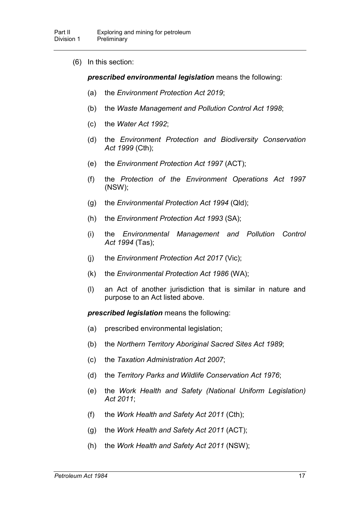(6) In this section:

*prescribed environmental legislation* means the following:

- (a) the *Environment Protection Act 2019*;
- (b) the *Waste Management and Pollution Control Act 1998*;
- (c) the *Water Act 1992*;
- (d) the *Environment Protection and Biodiversity Conservation Act 1999* (Cth);
- (e) the *Environment Protection Act 1997* (ACT);
- (f) the *Protection of the Environment Operations Act 1997* (NSW);
- (g) the *Environmental Protection Act 1994* (Qld);
- (h) the *Environment Protection Act 1993* (SA);
- (i) the *Environmental Management and Pollution Control Act 1994* (Tas);
- (j) the *Environment Protection Act 2017* (Vic);
- (k) the *Environmental Protection Act 1986* (WA);
- (l) an Act of another jurisdiction that is similar in nature and purpose to an Act listed above.

*prescribed legislation* means the following:

- (a) prescribed environmental legislation;
- (b) the *Northern Territory Aboriginal Sacred Sites Act 1989*;
- (c) the *Taxation Administration Act 2007*;
- (d) the *Territory Parks and Wildlife Conservation Act 1976*;
- (e) the *Work Health and Safety (National Uniform Legislation) Act 2011*;
- (f) the *Work Health and Safety Act 2011* (Cth);
- (g) the *Work Health and Safety Act 2011* (ACT);
- (h) the *Work Health and Safety Act 2011* (NSW);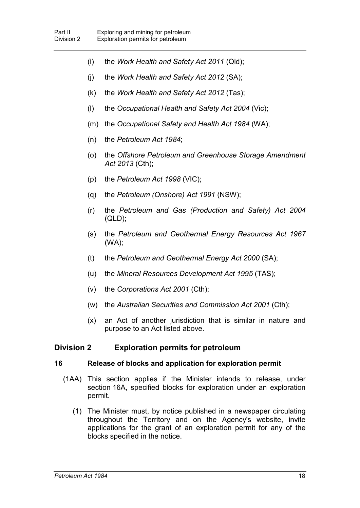- (i) the *Work Health and Safety Act 2011* (Qld);
- (j) the *Work Health and Safety Act 2012* (SA);
- (k) the *Work Health and Safety Act 2012* (Tas);
- (l) the *Occupational Health and Safety Act 2004* (Vic);
- (m) the *Occupational Safety and Health Act 1984* (WA);
- (n) the *Petroleum Act 1984*;
- (o) the *Offshore Petroleum and Greenhouse Storage Amendment Act 2013* (Cth);
- (p) the *Petroleum Act 1998* (VIC);
- (q) the *Petroleum (Onshore) Act 1991* (NSW);
- (r) the *Petroleum and Gas (Production and Safety) Act 2004*  $(QLD)$ ;
- (s) the *Petroleum and Geothermal Energy Resources Act 1967* (WA);
- (t) the *Petroleum and Geothermal Energy Act 2000* (SA);
- (u) the *Mineral Resources Development Act 1995* (TAS);
- (v) the *Corporations Act 2001* (Cth);
- (w) the *Australian Securities and Commission Act 2001* (Cth);
- (x) an Act of another jurisdiction that is similar in nature and purpose to an Act listed above.

## **Division 2 Exploration permits for petroleum**

### **16 Release of blocks and application for exploration permit**

- (1AA) This section applies if the Minister intends to release, under section 16A, specified blocks for exploration under an exploration permit.
	- (1) The Minister must, by notice published in a newspaper circulating throughout the Territory and on the Agency's website, invite applications for the grant of an exploration permit for any of the blocks specified in the notice.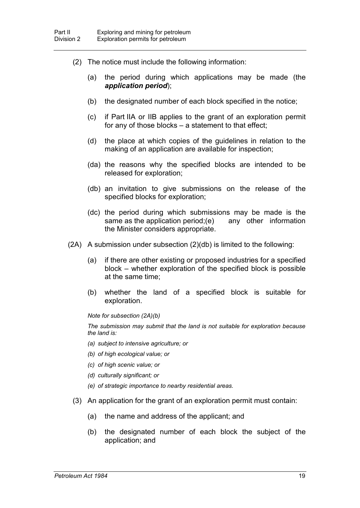- (2) The notice must include the following information:
	- (a) the period during which applications may be made (the *application period*);
	- (b) the designated number of each block specified in the notice;
	- (c) if Part IIA or IIB applies to the grant of an exploration permit for any of those blocks – a statement to that effect;
	- (d) the place at which copies of the guidelines in relation to the making of an application are available for inspection;
	- (da) the reasons why the specified blocks are intended to be released for exploration;
	- (db) an invitation to give submissions on the release of the specified blocks for exploration;
	- (dc) the period during which submissions may be made is the same as the application period;(e) any other information the Minister considers appropriate.
- (2A) A submission under subsection (2)(db) is limited to the following:
	- (a) if there are other existing or proposed industries for a specified block – whether exploration of the specified block is possible at the same time;
	- (b) whether the land of a specified block is suitable for exploration.

*Note for subsection (2A)(b)*

*The submission may submit that the land is not suitable for exploration because the land is:*

- *(a) subject to intensive agriculture; or*
- *(b) of high ecological value; or*
- *(c) of high scenic value; or*
- *(d) culturally significant; or*
- *(e) of strategic importance to nearby residential areas.*
- (3) An application for the grant of an exploration permit must contain:
	- (a) the name and address of the applicant; and
	- (b) the designated number of each block the subject of the application; and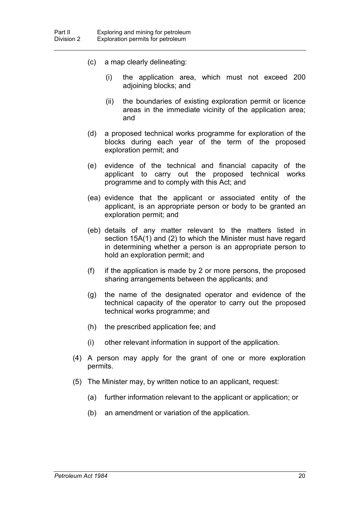- (c) a map clearly delineating:
	- (i) the application area, which must not exceed 200 adjoining blocks; and
	- (ii) the boundaries of existing exploration permit or licence areas in the immediate vicinity of the application area; and
- (d) a proposed technical works programme for exploration of the blocks during each year of the term of the proposed exploration permit; and
- (e) evidence of the technical and financial capacity of the applicant to carry out the proposed technical works programme and to comply with this Act; and
- (ea) evidence that the applicant or associated entity of the applicant, is an appropriate person or body to be granted an exploration permit; and
- (eb) details of any matter relevant to the matters listed in section 15A(1) and (2) to which the Minister must have regard in determining whether a person is an appropriate person to hold an exploration permit; and
- (f) if the application is made by 2 or more persons, the proposed sharing arrangements between the applicants; and
- (g) the name of the designated operator and evidence of the technical capacity of the operator to carry out the proposed technical works programme; and
- (h) the prescribed application fee; and
- (i) other relevant information in support of the application.
- (4) A person may apply for the grant of one or more exploration permits.
- (5) The Minister may, by written notice to an applicant, request:
	- (a) further information relevant to the applicant or application; or
	- (b) an amendment or variation of the application.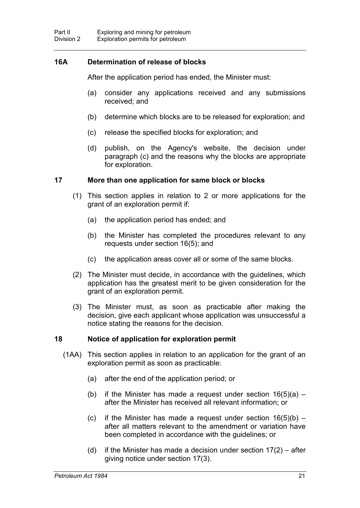## **16A Determination of release of blocks**

After the application period has ended, the Minister must:

- (a) consider any applications received and any submissions received; and
- (b) determine which blocks are to be released for exploration; and
- (c) release the specified blocks for exploration; and
- (d) publish, on the Agency's website, the decision under paragraph (c) and the reasons why the blocks are appropriate for exploration.

#### **17 More than one application for same block or blocks**

- (1) This section applies in relation to 2 or more applications for the grant of an exploration permit if:
	- (a) the application period has ended; and
	- (b) the Minister has completed the procedures relevant to any requests under section 16(5); and
	- (c) the application areas cover all or some of the same blocks.
- (2) The Minister must decide, in accordance with the guidelines, which application has the greatest merit to be given consideration for the grant of an exploration permit.
- (3) The Minister must, as soon as practicable after making the decision, give each applicant whose application was unsuccessful a notice stating the reasons for the decision.

### **18 Notice of application for exploration permit**

- (1AA) This section applies in relation to an application for the grant of an exploration permit as soon as practicable:
	- (a) after the end of the application period; or
	- (b) if the Minister has made a request under section  $16(5)(a)$  after the Minister has received all relevant information; or
	- (c) if the Minister has made a request under section  $16(5)(b)$  after all matters relevant to the amendment or variation have been completed in accordance with the guidelines; or
	- (d) if the Minister has made a decision under section  $17(2)$  after giving notice under section 17(3).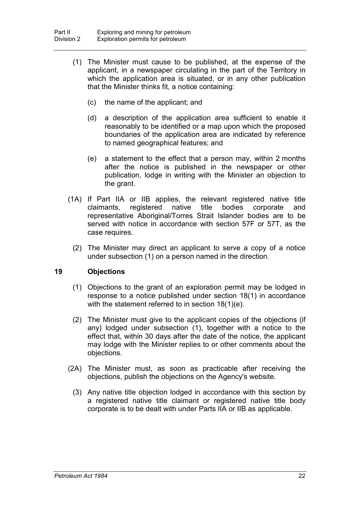- (1) The Minister must cause to be published, at the expense of the applicant, in a newspaper circulating in the part of the Territory in which the application area is situated, or in any other publication that the Minister thinks fit, a notice containing:
	- (c) the name of the applicant; and
	- (d) a description of the application area sufficient to enable it reasonably to be identified or a map upon which the proposed boundaries of the application area are indicated by reference to named geographical features; and
	- (e) a statement to the effect that a person may, within 2 months after the notice is published in the newspaper or other publication, lodge in writing with the Minister an objection to the grant.
- (1A) If Part IIA or IIB applies, the relevant registered native title claimants, registered native title bodies corporate and representative Aboriginal/Torres Strait Islander bodies are to be served with notice in accordance with section 57F or 57T, as the case requires.
	- (2) The Minister may direct an applicant to serve a copy of a notice under subsection (1) on a person named in the direction.

### **19 Objections**

- (1) Objections to the grant of an exploration permit may be lodged in response to a notice published under section 18(1) in accordance with the statement referred to in section 18(1)(e).
- (2) The Minister must give to the applicant copies of the objections (if any) lodged under subsection (1), together with a notice to the effect that, within 30 days after the date of the notice, the applicant may lodge with the Minister replies to or other comments about the objections.
- (2A) The Minister must, as soon as practicable after receiving the objections, publish the objections on the Agency's website.
	- (3) Any native title objection lodged in accordance with this section by a registered native title claimant or registered native title body corporate is to be dealt with under Parts IIA or IIB as applicable.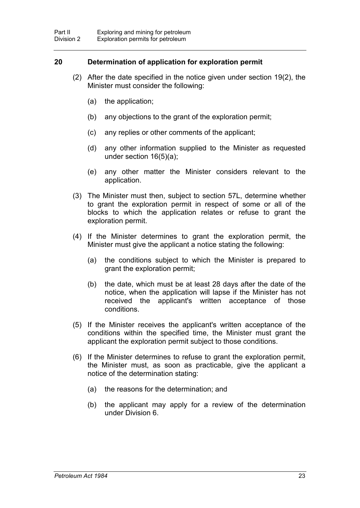### **20 Determination of application for exploration permit**

- (2) After the date specified in the notice given under section 19(2), the Minister must consider the following:
	- (a) the application;
	- (b) any objections to the grant of the exploration permit;
	- (c) any replies or other comments of the applicant;
	- (d) any other information supplied to the Minister as requested under section 16(5)(a);
	- (e) any other matter the Minister considers relevant to the application.
- (3) The Minister must then, subject to section 57L, determine whether to grant the exploration permit in respect of some or all of the blocks to which the application relates or refuse to grant the exploration permit.
- (4) If the Minister determines to grant the exploration permit, the Minister must give the applicant a notice stating the following:
	- (a) the conditions subject to which the Minister is prepared to grant the exploration permit;
	- (b) the date, which must be at least 28 days after the date of the notice, when the application will lapse if the Minister has not received the applicant's written acceptance of those conditions.
- (5) If the Minister receives the applicant's written acceptance of the conditions within the specified time, the Minister must grant the applicant the exploration permit subject to those conditions.
- (6) If the Minister determines to refuse to grant the exploration permit, the Minister must, as soon as practicable, give the applicant a notice of the determination stating:
	- (a) the reasons for the determination; and
	- (b) the applicant may apply for a review of the determination under Division 6.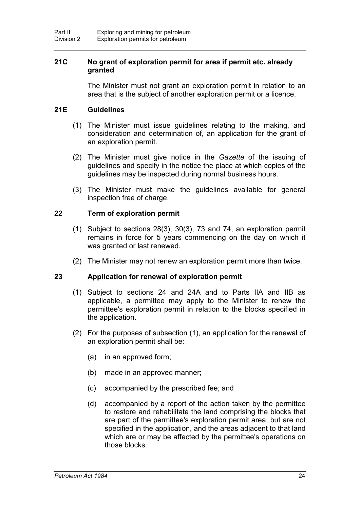## **21C No grant of exploration permit for area if permit etc. already granted**

The Minister must not grant an exploration permit in relation to an area that is the subject of another exploration permit or a licence.

## **21E Guidelines**

- (1) The Minister must issue guidelines relating to the making, and consideration and determination of, an application for the grant of an exploration permit.
- (2) The Minister must give notice in the *Gazette* of the issuing of guidelines and specify in the notice the place at which copies of the guidelines may be inspected during normal business hours.
- (3) The Minister must make the guidelines available for general inspection free of charge.

## **22 Term of exploration permit**

- (1) Subject to sections 28(3), 30(3), 73 and 74, an exploration permit remains in force for 5 years commencing on the day on which it was granted or last renewed.
- (2) The Minister may not renew an exploration permit more than twice.

## **23 Application for renewal of exploration permit**

- (1) Subject to sections 24 and 24A and to Parts IIA and IIB as applicable, a permittee may apply to the Minister to renew the permittee's exploration permit in relation to the blocks specified in the application.
- (2) For the purposes of subsection (1), an application for the renewal of an exploration permit shall be:
	- (a) in an approved form;
	- (b) made in an approved manner;
	- (c) accompanied by the prescribed fee; and
	- (d) accompanied by a report of the action taken by the permittee to restore and rehabilitate the land comprising the blocks that are part of the permittee's exploration permit area, but are not specified in the application, and the areas adjacent to that land which are or may be affected by the permittee's operations on those blocks.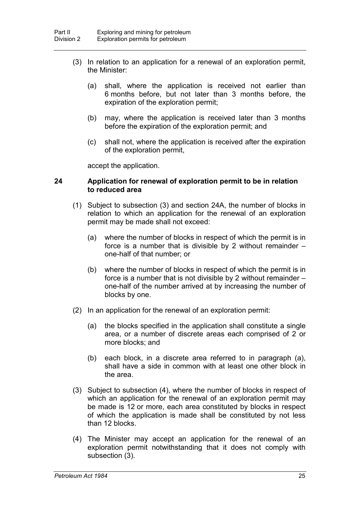- (3) In relation to an application for a renewal of an exploration permit, the Minister:
	- (a) shall, where the application is received not earlier than 6 months before, but not later than 3 months before, the expiration of the exploration permit;
	- (b) may, where the application is received later than 3 months before the expiration of the exploration permit; and
	- (c) shall not, where the application is received after the expiration of the exploration permit,

accept the application.

#### **24 Application for renewal of exploration permit to be in relation to reduced area**

- (1) Subject to subsection (3) and section 24A, the number of blocks in relation to which an application for the renewal of an exploration permit may be made shall not exceed:
	- (a) where the number of blocks in respect of which the permit is in force is a number that is divisible by 2 without remainder – one-half of that number; or
	- (b) where the number of blocks in respect of which the permit is in force is a number that is not divisible by 2 without remainder – one-half of the number arrived at by increasing the number of blocks by one.
- (2) In an application for the renewal of an exploration permit:
	- (a) the blocks specified in the application shall constitute a single area, or a number of discrete areas each comprised of 2 or more blocks; and
	- (b) each block, in a discrete area referred to in paragraph (a), shall have a side in common with at least one other block in the area.
- (3) Subject to subsection (4), where the number of blocks in respect of which an application for the renewal of an exploration permit may be made is 12 or more, each area constituted by blocks in respect of which the application is made shall be constituted by not less than 12 blocks.
- (4) The Minister may accept an application for the renewal of an exploration permit notwithstanding that it does not comply with subsection (3).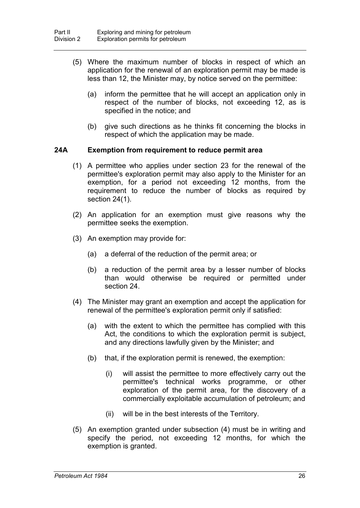- (5) Where the maximum number of blocks in respect of which an application for the renewal of an exploration permit may be made is less than 12, the Minister may, by notice served on the permittee:
	- (a) inform the permittee that he will accept an application only in respect of the number of blocks, not exceeding 12, as is specified in the notice; and
	- (b) give such directions as he thinks fit concerning the blocks in respect of which the application may be made.

#### **24A Exemption from requirement to reduce permit area**

- (1) A permittee who applies under section 23 for the renewal of the permittee's exploration permit may also apply to the Minister for an exemption, for a period not exceeding 12 months, from the requirement to reduce the number of blocks as required by section 24(1).
- (2) An application for an exemption must give reasons why the permittee seeks the exemption.
- (3) An exemption may provide for:
	- (a) a deferral of the reduction of the permit area; or
	- (b) a reduction of the permit area by a lesser number of blocks than would otherwise be required or permitted under section 24.
- (4) The Minister may grant an exemption and accept the application for renewal of the permittee's exploration permit only if satisfied:
	- (a) with the extent to which the permittee has complied with this Act, the conditions to which the exploration permit is subject, and any directions lawfully given by the Minister; and
	- (b) that, if the exploration permit is renewed, the exemption:
		- (i) will assist the permittee to more effectively carry out the permittee's technical works programme, or other exploration of the permit area, for the discovery of a commercially exploitable accumulation of petroleum; and
		- (ii) will be in the best interests of the Territory.
- (5) An exemption granted under subsection (4) must be in writing and specify the period, not exceeding 12 months, for which the exemption is granted.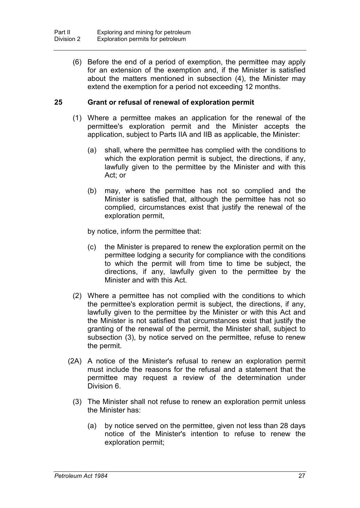(6) Before the end of a period of exemption, the permittee may apply for an extension of the exemption and, if the Minister is satisfied about the matters mentioned in subsection (4), the Minister may extend the exemption for a period not exceeding 12 months.

## **25 Grant or refusal of renewal of exploration permit**

- (1) Where a permittee makes an application for the renewal of the permittee's exploration permit and the Minister accepts the application, subject to Parts IIA and IIB as applicable, the Minister:
	- (a) shall, where the permittee has complied with the conditions to which the exploration permit is subject, the directions, if any, lawfully given to the permittee by the Minister and with this Act; or
	- (b) may, where the permittee has not so complied and the Minister is satisfied that, although the permittee has not so complied, circumstances exist that justify the renewal of the exploration permit,
	- by notice, inform the permittee that:
	- (c) the Minister is prepared to renew the exploration permit on the permittee lodging a security for compliance with the conditions to which the permit will from time to time be subject, the directions, if any, lawfully given to the permittee by the Minister and with this Act.
- (2) Where a permittee has not complied with the conditions to which the permittee's exploration permit is subject, the directions, if any, lawfully given to the permittee by the Minister or with this Act and the Minister is not satisfied that circumstances exist that justify the granting of the renewal of the permit, the Minister shall, subject to subsection (3), by notice served on the permittee, refuse to renew the permit.
- (2A) A notice of the Minister's refusal to renew an exploration permit must include the reasons for the refusal and a statement that the permittee may request a review of the determination under Division 6.
	- (3) The Minister shall not refuse to renew an exploration permit unless the Minister has:
		- (a) by notice served on the permittee, given not less than 28 days notice of the Minister's intention to refuse to renew the exploration permit;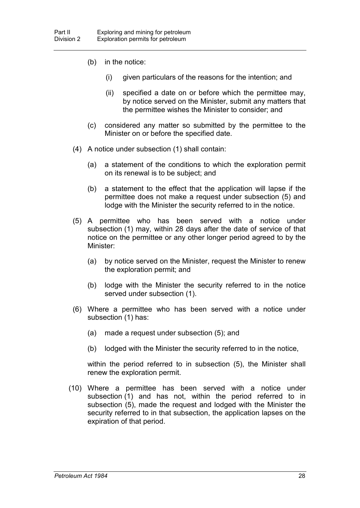- (b) in the notice:
	- (i) given particulars of the reasons for the intention; and
	- (ii) specified a date on or before which the permittee may, by notice served on the Minister, submit any matters that the permittee wishes the Minister to consider; and
- (c) considered any matter so submitted by the permittee to the Minister on or before the specified date.
- (4) A notice under subsection (1) shall contain:
	- (a) a statement of the conditions to which the exploration permit on its renewal is to be subject; and
	- (b) a statement to the effect that the application will lapse if the permittee does not make a request under subsection (5) and lodge with the Minister the security referred to in the notice.
- (5) A permittee who has been served with a notice under subsection (1) may, within 28 days after the date of service of that notice on the permittee or any other longer period agreed to by the Minister:
	- (a) by notice served on the Minister, request the Minister to renew the exploration permit; and
	- (b) lodge with the Minister the security referred to in the notice served under subsection (1).
- (6) Where a permittee who has been served with a notice under subsection (1) has:
	- (a) made a request under subsection (5); and
	- (b) lodged with the Minister the security referred to in the notice,

within the period referred to in subsection (5), the Minister shall renew the exploration permit.

(10) Where a permittee has been served with a notice under subsection (1) and has not, within the period referred to in subsection (5), made the request and lodged with the Minister the security referred to in that subsection, the application lapses on the expiration of that period.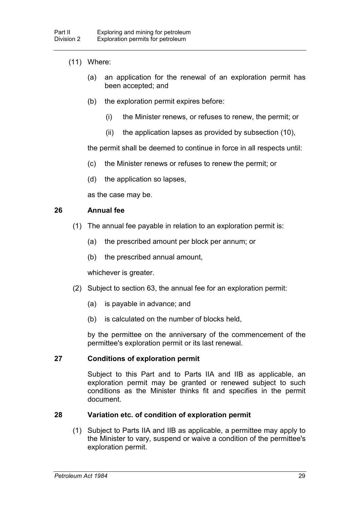## (11) Where:

- (a) an application for the renewal of an exploration permit has been accepted; and
- (b) the exploration permit expires before:
	- (i) the Minister renews, or refuses to renew, the permit; or
	- (ii) the application lapses as provided by subsection (10),

the permit shall be deemed to continue in force in all respects until:

- (c) the Minister renews or refuses to renew the permit; or
- (d) the application so lapses,

as the case may be.

## **26 Annual fee**

- (1) The annual fee payable in relation to an exploration permit is:
	- (a) the prescribed amount per block per annum; or
	- (b) the prescribed annual amount,

whichever is greater.

- (2) Subject to section 63, the annual fee for an exploration permit:
	- (a) is payable in advance; and
	- (b) is calculated on the number of blocks held,

by the permittee on the anniversary of the commencement of the permittee's exploration permit or its last renewal.

## **27 Conditions of exploration permit**

Subject to this Part and to Parts IIA and IIB as applicable, an exploration permit may be granted or renewed subject to such conditions as the Minister thinks fit and specifies in the permit document.

## **28 Variation etc. of condition of exploration permit**

(1) Subject to Parts IIA and IIB as applicable, a permittee may apply to the Minister to vary, suspend or waive a condition of the permittee's exploration permit.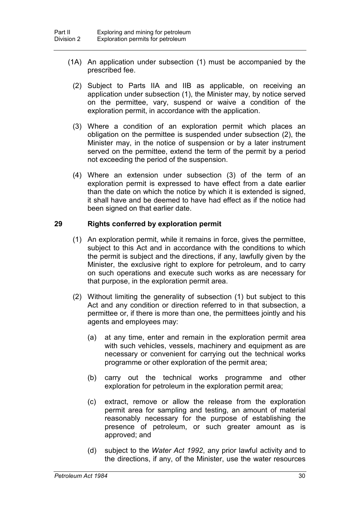- (1A) An application under subsection (1) must be accompanied by the prescribed fee.
	- (2) Subject to Parts IIA and IIB as applicable, on receiving an application under subsection (1), the Minister may, by notice served on the permittee, vary, suspend or waive a condition of the exploration permit, in accordance with the application.
	- (3) Where a condition of an exploration permit which places an obligation on the permittee is suspended under subsection (2), the Minister may, in the notice of suspension or by a later instrument served on the permittee, extend the term of the permit by a period not exceeding the period of the suspension.
	- (4) Where an extension under subsection (3) of the term of an exploration permit is expressed to have effect from a date earlier than the date on which the notice by which it is extended is signed, it shall have and be deemed to have had effect as if the notice had been signed on that earlier date.

## **29 Rights conferred by exploration permit**

- (1) An exploration permit, while it remains in force, gives the permittee, subject to this Act and in accordance with the conditions to which the permit is subject and the directions, if any, lawfully given by the Minister, the exclusive right to explore for petroleum, and to carry on such operations and execute such works as are necessary for that purpose, in the exploration permit area.
- (2) Without limiting the generality of subsection (1) but subject to this Act and any condition or direction referred to in that subsection, a permittee or, if there is more than one, the permittees jointly and his agents and employees may:
	- (a) at any time, enter and remain in the exploration permit area with such vehicles, vessels, machinery and equipment as are necessary or convenient for carrying out the technical works programme or other exploration of the permit area;
	- (b) carry out the technical works programme and other exploration for petroleum in the exploration permit area;
	- (c) extract, remove or allow the release from the exploration permit area for sampling and testing, an amount of material reasonably necessary for the purpose of establishing the presence of petroleum, or such greater amount as is approved; and
	- (d) subject to the *Water Act 1992*, any prior lawful activity and to the directions, if any, of the Minister, use the water resources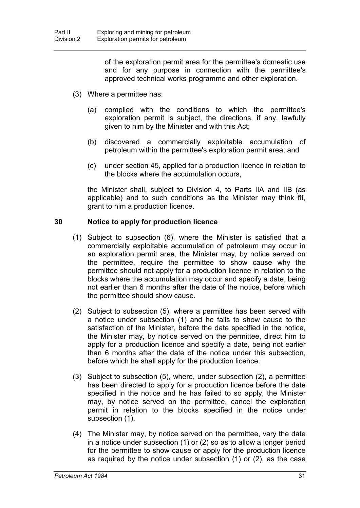of the exploration permit area for the permittee's domestic use and for any purpose in connection with the permittee's approved technical works programme and other exploration.

- (3) Where a permittee has:
	- (a) complied with the conditions to which the permittee's exploration permit is subject, the directions, if any, lawfully given to him by the Minister and with this Act;
	- (b) discovered a commercially exploitable accumulation of petroleum within the permittee's exploration permit area; and
	- (c) under section 45, applied for a production licence in relation to the blocks where the accumulation occurs,

the Minister shall, subject to Division 4, to Parts IIA and IIB (as applicable) and to such conditions as the Minister may think fit, grant to him a production licence.

## **30 Notice to apply for production licence**

- (1) Subject to subsection (6), where the Minister is satisfied that a commercially exploitable accumulation of petroleum may occur in an exploration permit area, the Minister may, by notice served on the permittee, require the permittee to show cause why the permittee should not apply for a production licence in relation to the blocks where the accumulation may occur and specify a date, being not earlier than 6 months after the date of the notice, before which the permittee should show cause.
- (2) Subject to subsection (5), where a permittee has been served with a notice under subsection (1) and he fails to show cause to the satisfaction of the Minister, before the date specified in the notice, the Minister may, by notice served on the permittee, direct him to apply for a production licence and specify a date, being not earlier than 6 months after the date of the notice under this subsection, before which he shall apply for the production licence.
- (3) Subject to subsection (5), where, under subsection (2), a permittee has been directed to apply for a production licence before the date specified in the notice and he has failed to so apply, the Minister may, by notice served on the permittee, cancel the exploration permit in relation to the blocks specified in the notice under subsection (1).
- (4) The Minister may, by notice served on the permittee, vary the date in a notice under subsection (1) or (2) so as to allow a longer period for the permittee to show cause or apply for the production licence as required by the notice under subsection (1) or (2), as the case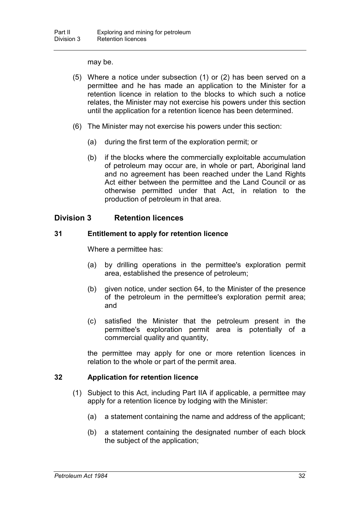may be.

- (5) Where a notice under subsection (1) or (2) has been served on a permittee and he has made an application to the Minister for a retention licence in relation to the blocks to which such a notice relates, the Minister may not exercise his powers under this section until the application for a retention licence has been determined.
- (6) The Minister may not exercise his powers under this section:
	- (a) during the first term of the exploration permit; or
	- (b) if the blocks where the commercially exploitable accumulation of petroleum may occur are, in whole or part, Aboriginal land and no agreement has been reached under the Land Rights Act either between the permittee and the Land Council or as otherwise permitted under that Act, in relation to the production of petroleum in that area.

# **Division 3 Retention licences**

## **31 Entitlement to apply for retention licence**

Where a permittee has:

- (a) by drilling operations in the permittee's exploration permit area, established the presence of petroleum;
- (b) given notice, under section 64, to the Minister of the presence of the petroleum in the permittee's exploration permit area; and
- (c) satisfied the Minister that the petroleum present in the permittee's exploration permit area is potentially of a commercial quality and quantity,

the permittee may apply for one or more retention licences in relation to the whole or part of the permit area.

## **32 Application for retention licence**

- (1) Subject to this Act, including Part IIA if applicable, a permittee may apply for a retention licence by lodging with the Minister:
	- (a) a statement containing the name and address of the applicant;
	- (b) a statement containing the designated number of each block the subject of the application;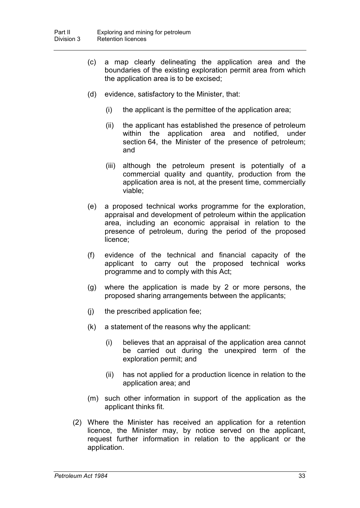- (c) a map clearly delineating the application area and the boundaries of the existing exploration permit area from which the application area is to be excised;
- (d) evidence, satisfactory to the Minister, that:
	- (i) the applicant is the permittee of the application area;
	- (ii) the applicant has established the presence of petroleum within the application area and notified, under section 64, the Minister of the presence of petroleum; and
	- (iii) although the petroleum present is potentially of a commercial quality and quantity, production from the application area is not, at the present time, commercially viable;
- (e) a proposed technical works programme for the exploration, appraisal and development of petroleum within the application area, including an economic appraisal in relation to the presence of petroleum, during the period of the proposed licence;
- (f) evidence of the technical and financial capacity of the applicant to carry out the proposed technical works programme and to comply with this Act;
- (g) where the application is made by 2 or more persons, the proposed sharing arrangements between the applicants;
- (j) the prescribed application fee;
- (k) a statement of the reasons why the applicant:
	- (i) believes that an appraisal of the application area cannot be carried out during the unexpired term of the exploration permit; and
	- (ii) has not applied for a production licence in relation to the application area; and
- (m) such other information in support of the application as the applicant thinks fit.
- (2) Where the Minister has received an application for a retention licence, the Minister may, by notice served on the applicant, request further information in relation to the applicant or the application.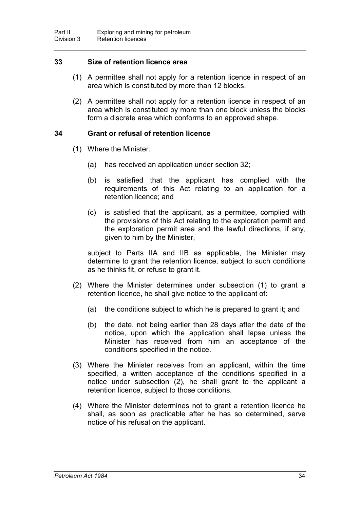## **33 Size of retention licence area**

- (1) A permittee shall not apply for a retention licence in respect of an area which is constituted by more than 12 blocks.
- (2) A permittee shall not apply for a retention licence in respect of an area which is constituted by more than one block unless the blocks form a discrete area which conforms to an approved shape.

### **34 Grant or refusal of retention licence**

- (1) Where the Minister:
	- (a) has received an application under section 32;
	- (b) is satisfied that the applicant has complied with the requirements of this Act relating to an application for a retention licence; and
	- (c) is satisfied that the applicant, as a permittee, complied with the provisions of this Act relating to the exploration permit and the exploration permit area and the lawful directions, if any, given to him by the Minister,

subject to Parts IIA and IIB as applicable, the Minister may determine to grant the retention licence, subject to such conditions as he thinks fit, or refuse to grant it.

- (2) Where the Minister determines under subsection (1) to grant a retention licence, he shall give notice to the applicant of:
	- (a) the conditions subject to which he is prepared to grant it; and
	- (b) the date, not being earlier than 28 days after the date of the notice, upon which the application shall lapse unless the Minister has received from him an acceptance of the conditions specified in the notice.
- (3) Where the Minister receives from an applicant, within the time specified, a written acceptance of the conditions specified in a notice under subsection (2), he shall grant to the applicant a retention licence, subject to those conditions.
- (4) Where the Minister determines not to grant a retention licence he shall, as soon as practicable after he has so determined, serve notice of his refusal on the applicant.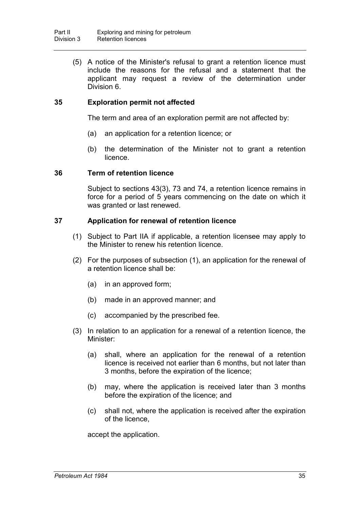(5) A notice of the Minister's refusal to grant a retention licence must include the reasons for the refusal and a statement that the applicant may request a review of the determination under Division 6.

## **35 Exploration permit not affected**

The term and area of an exploration permit are not affected by:

- (a) an application for a retention licence; or
- (b) the determination of the Minister not to grant a retention licence.

### **36 Term of retention licence**

Subject to sections 43(3), 73 and 74, a retention licence remains in force for a period of 5 years commencing on the date on which it was granted or last renewed.

## **37 Application for renewal of retention licence**

- (1) Subject to Part IIA if applicable, a retention licensee may apply to the Minister to renew his retention licence.
- (2) For the purposes of subsection (1), an application for the renewal of a retention licence shall be:
	- (a) in an approved form;
	- (b) made in an approved manner; and
	- (c) accompanied by the prescribed fee.
- (3) In relation to an application for a renewal of a retention licence, the Minister:
	- (a) shall, where an application for the renewal of a retention licence is received not earlier than 6 months, but not later than 3 months, before the expiration of the licence;
	- (b) may, where the application is received later than 3 months before the expiration of the licence; and
	- (c) shall not, where the application is received after the expiration of the licence,

accept the application.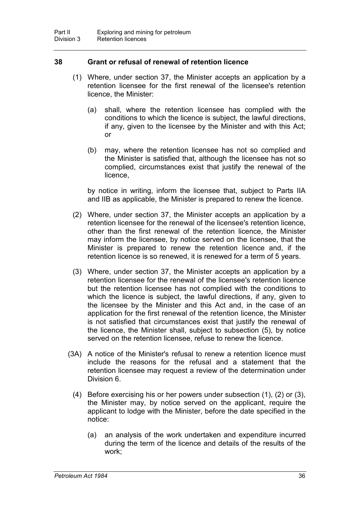## **38 Grant or refusal of renewal of retention licence**

- (1) Where, under section 37, the Minister accepts an application by a retention licensee for the first renewal of the licensee's retention licence, the Minister:
	- (a) shall, where the retention licensee has complied with the conditions to which the licence is subject, the lawful directions, if any, given to the licensee by the Minister and with this Act; or
	- (b) may, where the retention licensee has not so complied and the Minister is satisfied that, although the licensee has not so complied, circumstances exist that justify the renewal of the licence,

by notice in writing, inform the licensee that, subject to Parts IIA and IIB as applicable, the Minister is prepared to renew the licence.

- (2) Where, under section 37, the Minister accepts an application by a retention licensee for the renewal of the licensee's retention licence, other than the first renewal of the retention licence, the Minister may inform the licensee, by notice served on the licensee, that the Minister is prepared to renew the retention licence and, if the retention licence is so renewed, it is renewed for a term of 5 years.
- (3) Where, under section 37, the Minister accepts an application by a retention licensee for the renewal of the licensee's retention licence but the retention licensee has not complied with the conditions to which the licence is subject, the lawful directions, if any, given to the licensee by the Minister and this Act and, in the case of an application for the first renewal of the retention licence, the Minister is not satisfied that circumstances exist that justify the renewal of the licence, the Minister shall, subject to subsection (5), by notice served on the retention licensee, refuse to renew the licence.
- (3A) A notice of the Minister's refusal to renew a retention licence must include the reasons for the refusal and a statement that the retention licensee may request a review of the determination under Division 6.
	- (4) Before exercising his or her powers under subsection (1), (2) or (3), the Minister may, by notice served on the applicant, require the applicant to lodge with the Minister, before the date specified in the notice:
		- (a) an analysis of the work undertaken and expenditure incurred during the term of the licence and details of the results of the work;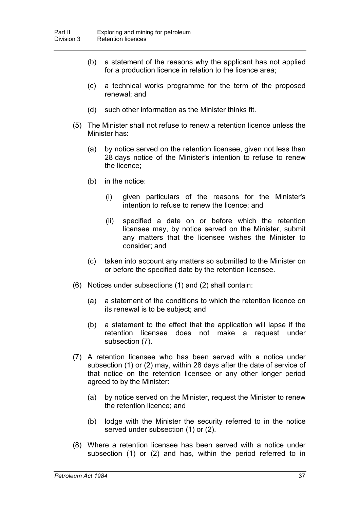- (b) a statement of the reasons why the applicant has not applied for a production licence in relation to the licence area;
- (c) a technical works programme for the term of the proposed renewal; and
- (d) such other information as the Minister thinks fit.
- (5) The Minister shall not refuse to renew a retention licence unless the Minister has:
	- (a) by notice served on the retention licensee, given not less than 28 days notice of the Minister's intention to refuse to renew the licence;
	- (b) in the notice:
		- (i) given particulars of the reasons for the Minister's intention to refuse to renew the licence; and
		- (ii) specified a date on or before which the retention licensee may, by notice served on the Minister, submit any matters that the licensee wishes the Minister to consider; and
	- (c) taken into account any matters so submitted to the Minister on or before the specified date by the retention licensee.
- (6) Notices under subsections (1) and (2) shall contain:
	- (a) a statement of the conditions to which the retention licence on its renewal is to be subject; and
	- (b) a statement to the effect that the application will lapse if the retention licensee does not make a request under subsection (7).
- (7) A retention licensee who has been served with a notice under subsection (1) or (2) may, within 28 days after the date of service of that notice on the retention licensee or any other longer period agreed to by the Minister:
	- (a) by notice served on the Minister, request the Minister to renew the retention licence; and
	- (b) lodge with the Minister the security referred to in the notice served under subsection (1) or (2).
- (8) Where a retention licensee has been served with a notice under subsection (1) or (2) and has, within the period referred to in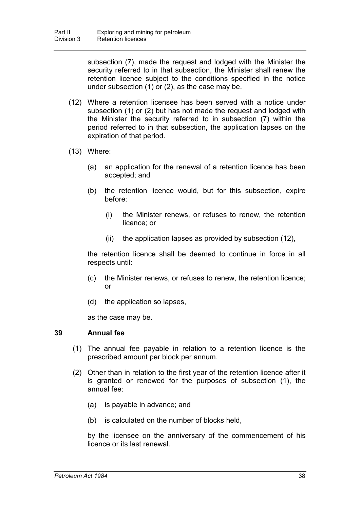subsection (7), made the request and lodged with the Minister the security referred to in that subsection, the Minister shall renew the retention licence subject to the conditions specified in the notice under subsection (1) or (2), as the case may be.

- (12) Where a retention licensee has been served with a notice under subsection (1) or (2) but has not made the request and lodged with the Minister the security referred to in subsection (7) within the period referred to in that subsection, the application lapses on the expiration of that period.
- (13) Where:
	- (a) an application for the renewal of a retention licence has been accepted; and
	- (b) the retention licence would, but for this subsection, expire before:
		- (i) the Minister renews, or refuses to renew, the retention licence; or
		- (ii) the application lapses as provided by subsection (12),

the retention licence shall be deemed to continue in force in all respects until:

- (c) the Minister renews, or refuses to renew, the retention licence; or
- (d) the application so lapses,

as the case may be.

#### **39 Annual fee**

- (1) The annual fee payable in relation to a retention licence is the prescribed amount per block per annum.
- (2) Other than in relation to the first year of the retention licence after it is granted or renewed for the purposes of subsection (1), the annual fee:
	- (a) is payable in advance; and
	- (b) is calculated on the number of blocks held,

by the licensee on the anniversary of the commencement of his licence or its last renewal.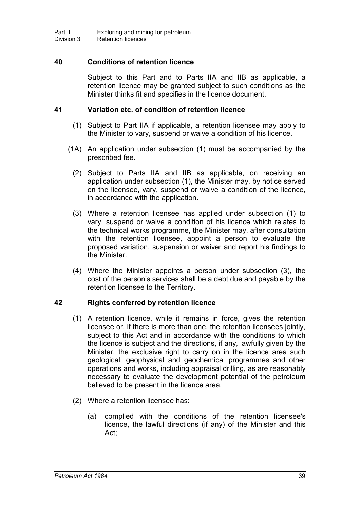## **40 Conditions of retention licence**

Subject to this Part and to Parts IIA and IIB as applicable, a retention licence may be granted subject to such conditions as the Minister thinks fit and specifies in the licence document.

## **41 Variation etc. of condition of retention licence**

- (1) Subject to Part IIA if applicable, a retention licensee may apply to the Minister to vary, suspend or waive a condition of his licence.
- (1A) An application under subsection (1) must be accompanied by the prescribed fee.
	- (2) Subject to Parts IIA and IIB as applicable, on receiving an application under subsection (1), the Minister may, by notice served on the licensee, vary, suspend or waive a condition of the licence, in accordance with the application.
	- (3) Where a retention licensee has applied under subsection (1) to vary, suspend or waive a condition of his licence which relates to the technical works programme, the Minister may, after consultation with the retention licensee, appoint a person to evaluate the proposed variation, suspension or waiver and report his findings to the Minister.
	- (4) Where the Minister appoints a person under subsection (3), the cost of the person's services shall be a debt due and payable by the retention licensee to the Territory.

## **42 Rights conferred by retention licence**

- (1) A retention licence, while it remains in force, gives the retention licensee or, if there is more than one, the retention licensees jointly, subject to this Act and in accordance with the conditions to which the licence is subject and the directions, if any, lawfully given by the Minister, the exclusive right to carry on in the licence area such geological, geophysical and geochemical programmes and other operations and works, including appraisal drilling, as are reasonably necessary to evaluate the development potential of the petroleum believed to be present in the licence area.
- (2) Where a retention licensee has:
	- (a) complied with the conditions of the retention licensee's licence, the lawful directions (if any) of the Minister and this Act;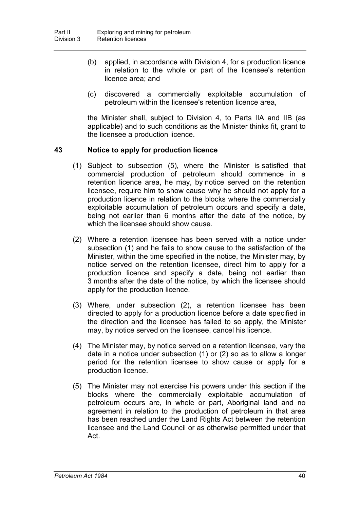- (b) applied, in accordance with Division 4, for a production licence in relation to the whole or part of the licensee's retention licence area; and
- (c) discovered a commercially exploitable accumulation of petroleum within the licensee's retention licence area,

the Minister shall, subject to Division 4, to Parts IIA and IIB (as applicable) and to such conditions as the Minister thinks fit, grant to the licensee a production licence.

## **43 Notice to apply for production licence**

- (1) Subject to subsection (5), where the Minister is satisfied that commercial production of petroleum should commence in a retention licence area, he may, by notice served on the retention licensee, require him to show cause why he should not apply for a production licence in relation to the blocks where the commercially exploitable accumulation of petroleum occurs and specify a date, being not earlier than 6 months after the date of the notice, by which the licensee should show cause.
- (2) Where a retention licensee has been served with a notice under subsection (1) and he fails to show cause to the satisfaction of the Minister, within the time specified in the notice, the Minister may, by notice served on the retention licensee, direct him to apply for a production licence and specify a date, being not earlier than 3 months after the date of the notice, by which the licensee should apply for the production licence.
- (3) Where, under subsection (2), a retention licensee has been directed to apply for a production licence before a date specified in the direction and the licensee has failed to so apply, the Minister may, by notice served on the licensee, cancel his licence.
- (4) The Minister may, by notice served on a retention licensee, vary the date in a notice under subsection (1) or (2) so as to allow a longer period for the retention licensee to show cause or apply for a production licence.
- (5) The Minister may not exercise his powers under this section if the blocks where the commercially exploitable accumulation of petroleum occurs are, in whole or part, Aboriginal land and no agreement in relation to the production of petroleum in that area has been reached under the Land Rights Act between the retention licensee and the Land Council or as otherwise permitted under that Act.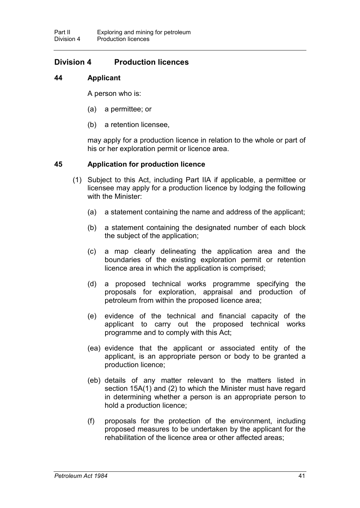# **Division 4 Production licences**

## **44 Applicant**

A person who is:

- (a) a permittee; or
- (b) a retention licensee,

may apply for a production licence in relation to the whole or part of his or her exploration permit or licence area.

## **45 Application for production licence**

- (1) Subject to this Act, including Part IIA if applicable, a permittee or licensee may apply for a production licence by lodging the following with the Minister:
	- (a) a statement containing the name and address of the applicant;
	- (b) a statement containing the designated number of each block the subject of the application;
	- (c) a map clearly delineating the application area and the boundaries of the existing exploration permit or retention licence area in which the application is comprised;
	- (d) a proposed technical works programme specifying the proposals for exploration, appraisal and production of petroleum from within the proposed licence area;
	- (e) evidence of the technical and financial capacity of the applicant to carry out the proposed technical works programme and to comply with this Act;
	- (ea) evidence that the applicant or associated entity of the applicant, is an appropriate person or body to be granted a production licence;
	- (eb) details of any matter relevant to the matters listed in section 15A(1) and (2) to which the Minister must have regard in determining whether a person is an appropriate person to hold a production licence;
	- (f) proposals for the protection of the environment, including proposed measures to be undertaken by the applicant for the rehabilitation of the licence area or other affected areas;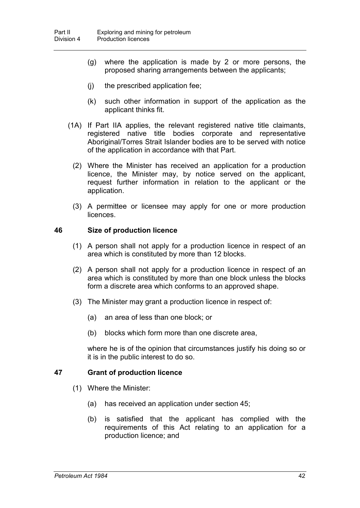- (g) where the application is made by 2 or more persons, the proposed sharing arrangements between the applicants;
- (j) the prescribed application fee;
- (k) such other information in support of the application as the applicant thinks fit.
- (1A) If Part IIA applies, the relevant registered native title claimants, registered native title bodies corporate and representative Aboriginal/Torres Strait Islander bodies are to be served with notice of the application in accordance with that Part.
	- (2) Where the Minister has received an application for a production licence, the Minister may, by notice served on the applicant, request further information in relation to the applicant or the application.
	- (3) A permittee or licensee may apply for one or more production licences.

## **46 Size of production licence**

- (1) A person shall not apply for a production licence in respect of an area which is constituted by more than 12 blocks.
- (2) A person shall not apply for a production licence in respect of an area which is constituted by more than one block unless the blocks form a discrete area which conforms to an approved shape.
- (3) The Minister may grant a production licence in respect of:
	- (a) an area of less than one block; or
	- (b) blocks which form more than one discrete area,

where he is of the opinion that circumstances justify his doing so or it is in the public interest to do so.

## **47 Grant of production licence**

- (1) Where the Minister:
	- (a) has received an application under section 45;
	- (b) is satisfied that the applicant has complied with the requirements of this Act relating to an application for a production licence; and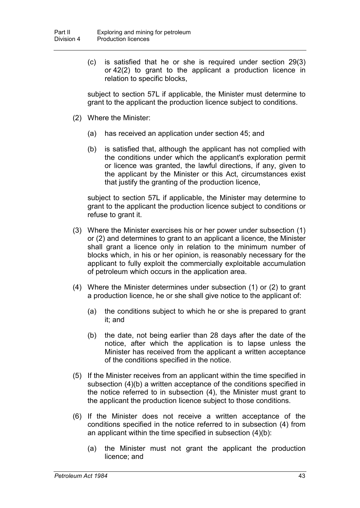(c) is satisfied that he or she is required under section 29(3) or 42(2) to grant to the applicant a production licence in relation to specific blocks,

subject to section 57L if applicable, the Minister must determine to grant to the applicant the production licence subject to conditions.

- (2) Where the Minister:
	- (a) has received an application under section 45; and
	- (b) is satisfied that, although the applicant has not complied with the conditions under which the applicant's exploration permit or licence was granted, the lawful directions, if any, given to the applicant by the Minister or this Act, circumstances exist that justify the granting of the production licence,

subject to section 57L if applicable, the Minister may determine to grant to the applicant the production licence subject to conditions or refuse to grant it.

- (3) Where the Minister exercises his or her power under subsection (1) or (2) and determines to grant to an applicant a licence, the Minister shall grant a licence only in relation to the minimum number of blocks which, in his or her opinion, is reasonably necessary for the applicant to fully exploit the commercially exploitable accumulation of petroleum which occurs in the application area.
- (4) Where the Minister determines under subsection (1) or (2) to grant a production licence, he or she shall give notice to the applicant of:
	- (a) the conditions subject to which he or she is prepared to grant it; and
	- (b) the date, not being earlier than 28 days after the date of the notice, after which the application is to lapse unless the Minister has received from the applicant a written acceptance of the conditions specified in the notice.
- (5) If the Minister receives from an applicant within the time specified in subsection (4)(b) a written acceptance of the conditions specified in the notice referred to in subsection (4), the Minister must grant to the applicant the production licence subject to those conditions.
- (6) If the Minister does not receive a written acceptance of the conditions specified in the notice referred to in subsection (4) from an applicant within the time specified in subsection (4)(b):
	- (a) the Minister must not grant the applicant the production licence; and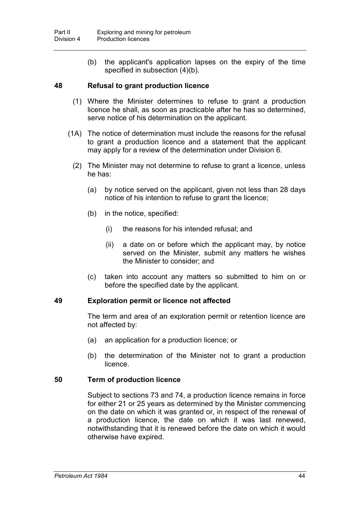(b) the applicant's application lapses on the expiry of the time specified in subsection (4)(b).

## **48 Refusal to grant production licence**

- (1) Where the Minister determines to refuse to grant a production licence he shall, as soon as practicable after he has so determined, serve notice of his determination on the applicant.
- (1A) The notice of determination must include the reasons for the refusal to grant a production licence and a statement that the applicant may apply for a review of the determination under Division 6.
	- (2) The Minister may not determine to refuse to grant a licence, unless he has:
		- (a) by notice served on the applicant, given not less than 28 days notice of his intention to refuse to grant the licence;
		- (b) in the notice, specified:
			- (i) the reasons for his intended refusal; and
			- (ii) a date on or before which the applicant may, by notice served on the Minister, submit any matters he wishes the Minister to consider; and
		- (c) taken into account any matters so submitted to him on or before the specified date by the applicant.

#### **49 Exploration permit or licence not affected**

The term and area of an exploration permit or retention licence are not affected by:

- (a) an application for a production licence; or
- (b) the determination of the Minister not to grant a production licence.

## **50 Term of production licence**

Subject to sections 73 and 74, a production licence remains in force for either 21 or 25 years as determined by the Minister commencing on the date on which it was granted or, in respect of the renewal of a production licence, the date on which it was last renewed, notwithstanding that it is renewed before the date on which it would otherwise have expired.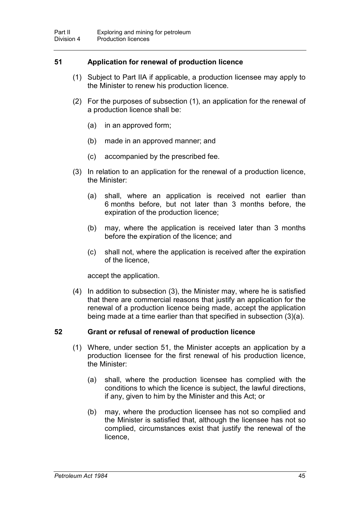## **51 Application for renewal of production licence**

- (1) Subject to Part IIA if applicable, a production licensee may apply to the Minister to renew his production licence.
- (2) For the purposes of subsection (1), an application for the renewal of a production licence shall be:
	- (a) in an approved form;
	- (b) made in an approved manner; and
	- (c) accompanied by the prescribed fee.
- (3) In relation to an application for the renewal of a production licence, the Minister:
	- (a) shall, where an application is received not earlier than 6 months before, but not later than 3 months before, the expiration of the production licence;
	- (b) may, where the application is received later than 3 months before the expiration of the licence; and
	- (c) shall not, where the application is received after the expiration of the licence,

accept the application.

(4) In addition to subsection (3), the Minister may, where he is satisfied that there are commercial reasons that justify an application for the renewal of a production licence being made, accept the application being made at a time earlier than that specified in subsection (3)(a).

## **52 Grant or refusal of renewal of production licence**

- (1) Where, under section 51, the Minister accepts an application by a production licensee for the first renewal of his production licence, the Minister:
	- (a) shall, where the production licensee has complied with the conditions to which the licence is subject, the lawful directions, if any, given to him by the Minister and this Act; or
	- (b) may, where the production licensee has not so complied and the Minister is satisfied that, although the licensee has not so complied, circumstances exist that justify the renewal of the licence,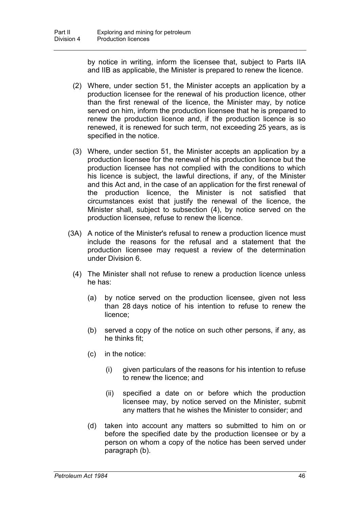by notice in writing, inform the licensee that, subject to Parts IIA and IIB as applicable, the Minister is prepared to renew the licence.

- (2) Where, under section 51, the Minister accepts an application by a production licensee for the renewal of his production licence, other than the first renewal of the licence, the Minister may, by notice served on him, inform the production licensee that he is prepared to renew the production licence and, if the production licence is so renewed, it is renewed for such term, not exceeding 25 years, as is specified in the notice.
- (3) Where, under section 51, the Minister accepts an application by a production licensee for the renewal of his production licence but the production licensee has not complied with the conditions to which his licence is subject, the lawful directions, if any, of the Minister and this Act and, in the case of an application for the first renewal of the production licence, the Minister is not satisfied that circumstances exist that justify the renewal of the licence, the Minister shall, subject to subsection (4), by notice served on the production licensee, refuse to renew the licence.
- (3A) A notice of the Minister's refusal to renew a production licence must include the reasons for the refusal and a statement that the production licensee may request a review of the determination under Division 6.
	- (4) The Minister shall not refuse to renew a production licence unless he has:
		- (a) by notice served on the production licensee, given not less than 28 days notice of his intention to refuse to renew the licence;
		- (b) served a copy of the notice on such other persons, if any, as he thinks fit;
		- (c) in the notice:
			- (i) given particulars of the reasons for his intention to refuse to renew the licence; and
			- (ii) specified a date on or before which the production licensee may, by notice served on the Minister, submit any matters that he wishes the Minister to consider; and
		- (d) taken into account any matters so submitted to him on or before the specified date by the production licensee or by a person on whom a copy of the notice has been served under paragraph (b).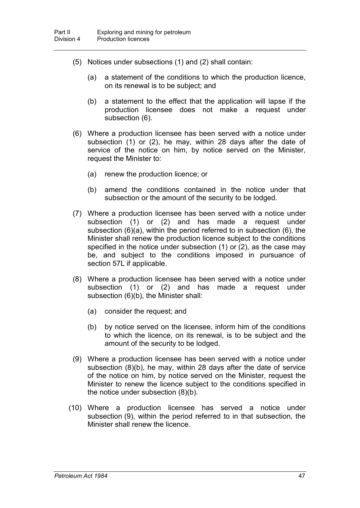- (5) Notices under subsections (1) and (2) shall contain:
	- (a) a statement of the conditions to which the production licence, on its renewal is to be subject; and
	- (b) a statement to the effect that the application will lapse if the production licensee does not make a request under subsection (6).
- (6) Where a production licensee has been served with a notice under subsection (1) or (2), he may, within 28 days after the date of service of the notice on him, by notice served on the Minister, request the Minister to:
	- (a) renew the production licence; or
	- (b) amend the conditions contained in the notice under that subsection or the amount of the security to be lodged.
- (7) Where a production licensee has been served with a notice under subsection (1) or (2) and has made a request under subsection (6)(a), within the period referred to in subsection (6), the Minister shall renew the production licence subject to the conditions specified in the notice under subsection (1) or (2), as the case may be, and subject to the conditions imposed in pursuance of section 57L if applicable.
- (8) Where a production licensee has been served with a notice under subsection (1) or (2) and has made a request under subsection (6)(b), the Minister shall:
	- (a) consider the request; and
	- (b) by notice served on the licensee, inform him of the conditions to which the licence, on its renewal, is to be subject and the amount of the security to be lodged.
- (9) Where a production licensee has been served with a notice under subsection (8)(b), he may, within 28 days after the date of service of the notice on him, by notice served on the Minister, request the Minister to renew the licence subject to the conditions specified in the notice under subsection (8)(b).
- (10) Where a production licensee has served a notice under subsection (9), within the period referred to in that subsection, the Minister shall renew the licence.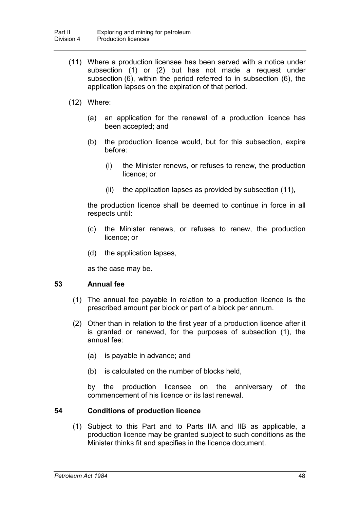- (11) Where a production licensee has been served with a notice under subsection (1) or (2) but has not made a request under subsection (6), within the period referred to in subsection (6), the application lapses on the expiration of that period.
- (12) Where:
	- (a) an application for the renewal of a production licence has been accepted; and
	- (b) the production licence would, but for this subsection, expire before:
		- (i) the Minister renews, or refuses to renew, the production licence; or
		- (ii) the application lapses as provided by subsection (11),

the production licence shall be deemed to continue in force in all respects until:

- (c) the Minister renews, or refuses to renew, the production licence; or
- (d) the application lapses,

as the case may be.

#### **53 Annual fee**

- (1) The annual fee payable in relation to a production licence is the prescribed amount per block or part of a block per annum.
- (2) Other than in relation to the first year of a production licence after it is granted or renewed, for the purposes of subsection (1), the annual fee:
	- (a) is payable in advance; and
	- (b) is calculated on the number of blocks held,

by the production licensee on the anniversary of the commencement of his licence or its last renewal.

## **54 Conditions of production licence**

(1) Subject to this Part and to Parts IIA and IIB as applicable, a production licence may be granted subject to such conditions as the Minister thinks fit and specifies in the licence document.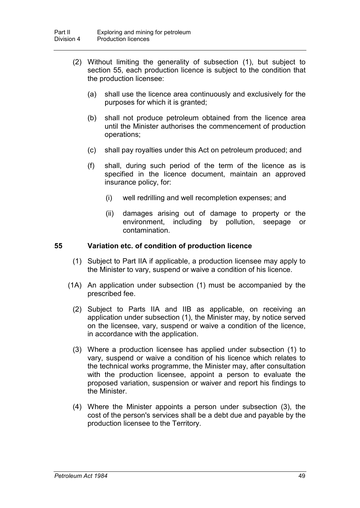- (2) Without limiting the generality of subsection (1), but subject to section 55, each production licence is subject to the condition that the production licensee:
	- (a) shall use the licence area continuously and exclusively for the purposes for which it is granted;
	- (b) shall not produce petroleum obtained from the licence area until the Minister authorises the commencement of production operations;
	- (c) shall pay royalties under this Act on petroleum produced; and
	- (f) shall, during such period of the term of the licence as is specified in the licence document, maintain an approved insurance policy, for:
		- (i) well redrilling and well recompletion expenses; and
		- (ii) damages arising out of damage to property or the environment, including by pollution, seepage or contamination.

### **55 Variation etc. of condition of production licence**

- (1) Subject to Part IIA if applicable, a production licensee may apply to the Minister to vary, suspend or waive a condition of his licence.
- (1A) An application under subsection (1) must be accompanied by the prescribed fee.
	- (2) Subject to Parts IIA and IIB as applicable, on receiving an application under subsection (1), the Minister may, by notice served on the licensee, vary, suspend or waive a condition of the licence, in accordance with the application.
	- (3) Where a production licensee has applied under subsection (1) to vary, suspend or waive a condition of his licence which relates to the technical works programme, the Minister may, after consultation with the production licensee, appoint a person to evaluate the proposed variation, suspension or waiver and report his findings to the Minister.
	- (4) Where the Minister appoints a person under subsection (3), the cost of the person's services shall be a debt due and payable by the production licensee to the Territory.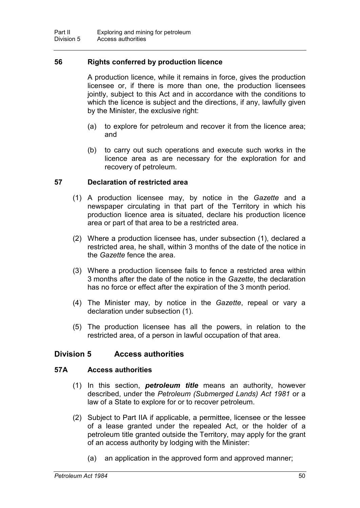## **56 Rights conferred by production licence**

A production licence, while it remains in force, gives the production licensee or, if there is more than one, the production licensees jointly, subject to this Act and in accordance with the conditions to which the licence is subject and the directions, if any, lawfully given by the Minister, the exclusive right:

- (a) to explore for petroleum and recover it from the licence area; and
- (b) to carry out such operations and execute such works in the licence area as are necessary for the exploration for and recovery of petroleum.

## **57 Declaration of restricted area**

- (1) A production licensee may, by notice in the *Gazette* and a newspaper circulating in that part of the Territory in which his production licence area is situated, declare his production licence area or part of that area to be a restricted area.
- (2) Where a production licensee has, under subsection (1), declared a restricted area, he shall, within 3 months of the date of the notice in the *Gazette* fence the area.
- (3) Where a production licensee fails to fence a restricted area within 3 months after the date of the notice in the *Gazette*, the declaration has no force or effect after the expiration of the 3 month period.
- (4) The Minister may, by notice in the *Gazette*, repeal or vary a declaration under subsection (1).
- (5) The production licensee has all the powers, in relation to the restricted area, of a person in lawful occupation of that area.

## **Division 5 Access authorities**

#### **57A Access authorities**

- (1) In this section, *petroleum title* means an authority, however described, under the *Petroleum (Submerged Lands) Act 1981* or a law of a State to explore for or to recover petroleum.
- (2) Subject to Part IIA if applicable, a permittee, licensee or the lessee of a lease granted under the repealed Act, or the holder of a petroleum title granted outside the Territory, may apply for the grant of an access authority by lodging with the Minister:
	- (a) an application in the approved form and approved manner;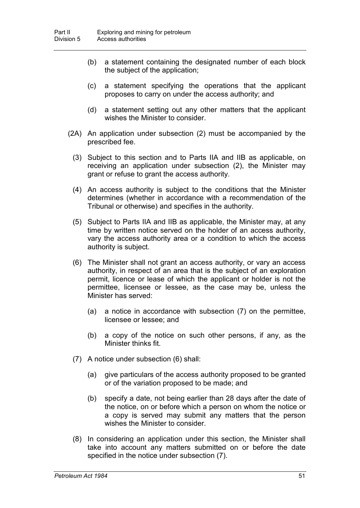- (b) a statement containing the designated number of each block the subject of the application;
- (c) a statement specifying the operations that the applicant proposes to carry on under the access authority; and
- (d) a statement setting out any other matters that the applicant wishes the Minister to consider.
- (2A) An application under subsection (2) must be accompanied by the prescribed fee.
	- (3) Subject to this section and to Parts IIA and IIB as applicable, on receiving an application under subsection (2), the Minister may grant or refuse to grant the access authority.
	- (4) An access authority is subject to the conditions that the Minister determines (whether in accordance with a recommendation of the Tribunal or otherwise) and specifies in the authority.
	- (5) Subject to Parts IIA and IIB as applicable, the Minister may, at any time by written notice served on the holder of an access authority, vary the access authority area or a condition to which the access authority is subject.
	- (6) The Minister shall not grant an access authority, or vary an access authority, in respect of an area that is the subject of an exploration permit, licence or lease of which the applicant or holder is not the permittee, licensee or lessee, as the case may be, unless the Minister has served:
		- (a) a notice in accordance with subsection (7) on the permittee, licensee or lessee; and
		- (b) a copy of the notice on such other persons, if any, as the Minister thinks fit.
	- (7) A notice under subsection (6) shall:
		- (a) give particulars of the access authority proposed to be granted or of the variation proposed to be made; and
		- (b) specify a date, not being earlier than 28 days after the date of the notice, on or before which a person on whom the notice or a copy is served may submit any matters that the person wishes the Minister to consider.
	- (8) In considering an application under this section, the Minister shall take into account any matters submitted on or before the date specified in the notice under subsection (7).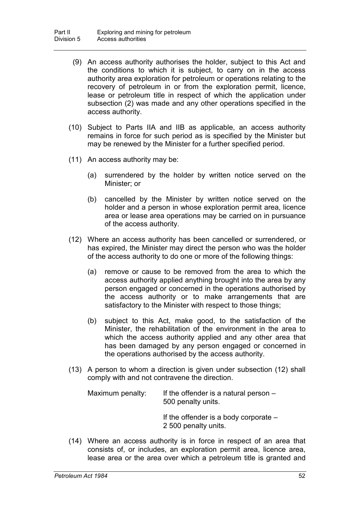- (9) An access authority authorises the holder, subject to this Act and the conditions to which it is subject, to carry on in the access authority area exploration for petroleum or operations relating to the recovery of petroleum in or from the exploration permit, licence, lease or petroleum title in respect of which the application under subsection (2) was made and any other operations specified in the access authority.
- (10) Subject to Parts IIA and IIB as applicable, an access authority remains in force for such period as is specified by the Minister but may be renewed by the Minister for a further specified period.
- (11) An access authority may be:
	- (a) surrendered by the holder by written notice served on the Minister; or
	- (b) cancelled by the Minister by written notice served on the holder and a person in whose exploration permit area, licence area or lease area operations may be carried on in pursuance of the access authority.
- (12) Where an access authority has been cancelled or surrendered, or has expired, the Minister may direct the person who was the holder of the access authority to do one or more of the following things:
	- (a) remove or cause to be removed from the area to which the access authority applied anything brought into the area by any person engaged or concerned in the operations authorised by the access authority or to make arrangements that are satisfactory to the Minister with respect to those things;
	- (b) subject to this Act, make good, to the satisfaction of the Minister, the rehabilitation of the environment in the area to which the access authority applied and any other area that has been damaged by any person engaged or concerned in the operations authorised by the access authority.
- (13) A person to whom a direction is given under subsection (12) shall comply with and not contravene the direction.

| Maximum penalty: | If the offender is a natural person $-$<br>500 penalty units.   |
|------------------|-----------------------------------------------------------------|
|                  | If the offender is a body corporate $-$<br>2 500 penalty units. |

(14) Where an access authority is in force in respect of an area that consists of, or includes, an exploration permit area, licence area, lease area or the area over which a petroleum title is granted and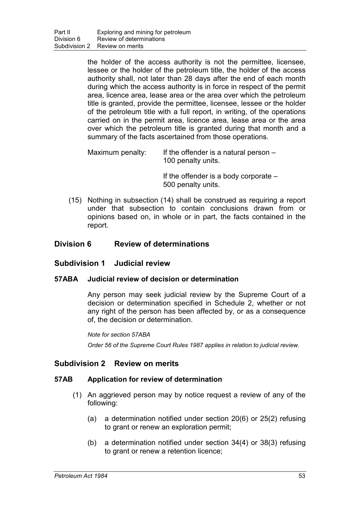the holder of the access authority is not the permittee, licensee, lessee or the holder of the petroleum title, the holder of the access authority shall, not later than 28 days after the end of each month during which the access authority is in force in respect of the permit area, licence area, lease area or the area over which the petroleum title is granted, provide the permittee, licensee, lessee or the holder of the petroleum title with a full report, in writing, of the operations carried on in the permit area, licence area, lease area or the area over which the petroleum title is granted during that month and a summary of the facts ascertained from those operations.

Maximum penalty: If the offender is a natural person  $-$ 100 penalty units.

> If the offender is a body corporate – 500 penalty units.

(15) Nothing in subsection (14) shall be construed as requiring a report under that subsection to contain conclusions drawn from or opinions based on, in whole or in part, the facts contained in the report.

# **Division 6 Review of determinations**

## **Subdivision 1 Judicial review**

## **57ABA Judicial review of decision or determination**

Any person may seek judicial review by the Supreme Court of a decision or determination specified in Schedule 2, whether or not any right of the person has been affected by, or as a consequence of, the decision or determination.

*Note for section 57ABA*

*Order 56 of the Supreme Court Rules 1987 applies in relation to judicial review.*

## **Subdivision 2 Review on merits**

## **57AB Application for review of determination**

- (1) An aggrieved person may by notice request a review of any of the following:
	- (a) a determination notified under section 20(6) or 25(2) refusing to grant or renew an exploration permit;
	- (b) a determination notified under section 34(4) or 38(3) refusing to grant or renew a retention licence;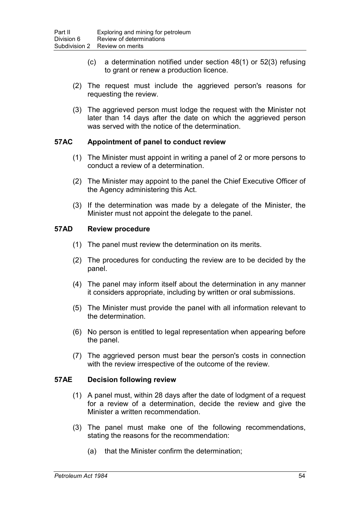- (c) a determination notified under section 48(1) or 52(3) refusing to grant or renew a production licence.
- (2) The request must include the aggrieved person's reasons for requesting the review.
- (3) The aggrieved person must lodge the request with the Minister not later than 14 days after the date on which the aggrieved person was served with the notice of the determination.

## **57AC Appointment of panel to conduct review**

- (1) The Minister must appoint in writing a panel of 2 or more persons to conduct a review of a determination.
- (2) The Minister may appoint to the panel the Chief Executive Officer of the Agency administering this Act.
- (3) If the determination was made by a delegate of the Minister, the Minister must not appoint the delegate to the panel.

## **57AD Review procedure**

- (1) The panel must review the determination on its merits.
- (2) The procedures for conducting the review are to be decided by the panel.
- (4) The panel may inform itself about the determination in any manner it considers appropriate, including by written or oral submissions.
- (5) The Minister must provide the panel with all information relevant to the determination.
- (6) No person is entitled to legal representation when appearing before the panel.
- (7) The aggrieved person must bear the person's costs in connection with the review irrespective of the outcome of the review.

## **57AE Decision following review**

- (1) A panel must, within 28 days after the date of lodgment of a request for a review of a determination, decide the review and give the Minister a written recommendation.
- (3) The panel must make one of the following recommendations, stating the reasons for the recommendation:
	- (a) that the Minister confirm the determination;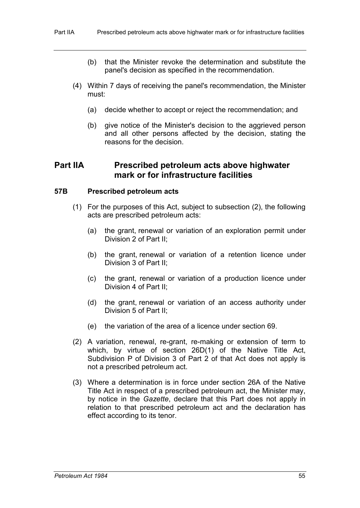- (b) that the Minister revoke the determination and substitute the panel's decision as specified in the recommendation.
- (4) Within 7 days of receiving the panel's recommendation, the Minister must:
	- (a) decide whether to accept or reject the recommendation; and
	- (b) give notice of the Minister's decision to the aggrieved person and all other persons affected by the decision, stating the reasons for the decision.

# **Part IIA Prescribed petroleum acts above highwater mark or for infrastructure facilities**

#### **57B Prescribed petroleum acts**

- (1) For the purposes of this Act, subject to subsection (2), the following acts are prescribed petroleum acts:
	- (a) the grant, renewal or variation of an exploration permit under Division 2 of Part II;
	- (b) the grant, renewal or variation of a retention licence under Division 3 of Part II;
	- (c) the grant, renewal or variation of a production licence under Division 4 of Part II;
	- (d) the grant, renewal or variation of an access authority under Division 5 of Part II;
	- (e) the variation of the area of a licence under section 69.
- (2) A variation, renewal, re-grant, re-making or extension of term to which, by virtue of section 26D(1) of the Native Title Act, Subdivision P of Division 3 of Part 2 of that Act does not apply is not a prescribed petroleum act.
- (3) Where a determination is in force under section 26A of the Native Title Act in respect of a prescribed petroleum act, the Minister may, by notice in the *Gazette*, declare that this Part does not apply in relation to that prescribed petroleum act and the declaration has effect according to its tenor.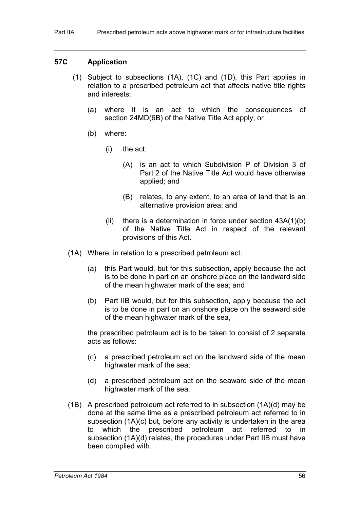## **57C Application**

- (1) Subject to subsections (1A), (1C) and (1D), this Part applies in relation to a prescribed petroleum act that affects native title rights and interests:
	- (a) where it is an act to which the consequences of section 24MD(6B) of the Native Title Act apply; or
	- (b) where:
		- (i) the act:
			- (A) is an act to which Subdivision P of Division 3 of Part 2 of the Native Title Act would have otherwise applied; and
			- (B) relates, to any extent, to an area of land that is an alternative provision area; and
		- (ii) there is a determination in force under section  $43A(1)(b)$ of the Native Title Act in respect of the relevant provisions of this Act.
- (1A) Where, in relation to a prescribed petroleum act:
	- (a) this Part would, but for this subsection, apply because the act is to be done in part on an onshore place on the landward side of the mean highwater mark of the sea; and
	- (b) Part IIB would, but for this subsection, apply because the act is to be done in part on an onshore place on the seaward side of the mean highwater mark of the sea,

the prescribed petroleum act is to be taken to consist of 2 separate acts as follows:

- (c) a prescribed petroleum act on the landward side of the mean highwater mark of the sea;
- (d) a prescribed petroleum act on the seaward side of the mean highwater mark of the sea.
- (1B) A prescribed petroleum act referred to in subsection (1A)(d) may be done at the same time as a prescribed petroleum act referred to in subsection (1A)(c) but, before any activity is undertaken in the area to which the prescribed petroleum act referred to in subsection (1A)(d) relates, the procedures under Part IIB must have been complied with.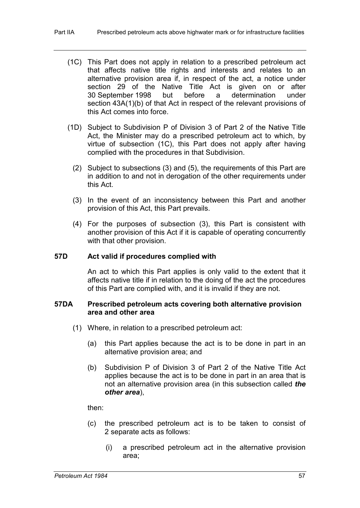- (1C) This Part does not apply in relation to a prescribed petroleum act that affects native title rights and interests and relates to an alternative provision area if, in respect of the act, a notice under section 29 of the Native Title Act is given on or after 30 September 1998 but before a determination under section 43A(1)(b) of that Act in respect of the relevant provisions of this Act comes into force.
- (1D) Subject to Subdivision P of Division 3 of Part 2 of the Native Title Act, the Minister may do a prescribed petroleum act to which, by virtue of subsection (1C), this Part does not apply after having complied with the procedures in that Subdivision.
	- (2) Subject to subsections (3) and (5), the requirements of this Part are in addition to and not in derogation of the other requirements under this Act.
	- (3) In the event of an inconsistency between this Part and another provision of this Act, this Part prevails.
	- (4) For the purposes of subsection (3), this Part is consistent with another provision of this Act if it is capable of operating concurrently with that other provision.

#### **57D Act valid if procedures complied with**

An act to which this Part applies is only valid to the extent that it affects native title if in relation to the doing of the act the procedures of this Part are complied with, and it is invalid if they are not.

### **57DA Prescribed petroleum acts covering both alternative provision area and other area**

- (1) Where, in relation to a prescribed petroleum act:
	- (a) this Part applies because the act is to be done in part in an alternative provision area; and
	- (b) Subdivision P of Division 3 of Part 2 of the Native Title Act applies because the act is to be done in part in an area that is not an alternative provision area (in this subsection called *the other area*),

then:

- (c) the prescribed petroleum act is to be taken to consist of 2 separate acts as follows:
	- (i) a prescribed petroleum act in the alternative provision area;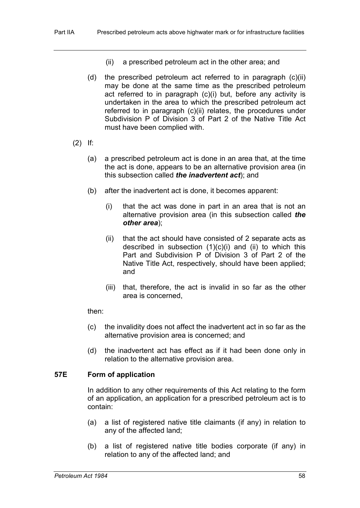- (ii) a prescribed petroleum act in the other area; and
- (d) the prescribed petroleum act referred to in paragraph (c)(ii) may be done at the same time as the prescribed petroleum act referred to in paragraph (c)(i) but, before any activity is undertaken in the area to which the prescribed petroleum act referred to in paragraph (c)(ii) relates, the procedures under Subdivision P of Division 3 of Part 2 of the Native Title Act must have been complied with.
- (2) If:
	- (a) a prescribed petroleum act is done in an area that, at the time the act is done, appears to be an alternative provision area (in this subsection called *the inadvertent act*); and
	- (b) after the inadvertent act is done, it becomes apparent:
		- (i) that the act was done in part in an area that is not an alternative provision area (in this subsection called *the other area*);
		- (ii) that the act should have consisted of 2 separate acts as described in subsection  $(1)(c)(i)$  and  $(ii)$  to which this Part and Subdivision P of Division 3 of Part 2 of the Native Title Act, respectively, should have been applied; and
		- (iii) that, therefore, the act is invalid in so far as the other area is concerned,

#### then:

- (c) the invalidity does not affect the inadvertent act in so far as the alternative provision area is concerned; and
- (d) the inadvertent act has effect as if it had been done only in relation to the alternative provision area.

## **57E Form of application**

In addition to any other requirements of this Act relating to the form of an application, an application for a prescribed petroleum act is to contain:

- (a) a list of registered native title claimants (if any) in relation to any of the affected land;
- (b) a list of registered native title bodies corporate (if any) in relation to any of the affected land; and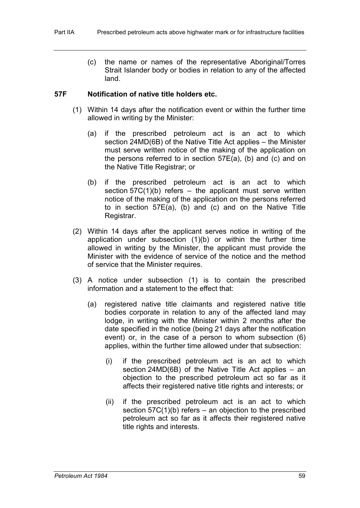(c) the name or names of the representative Aboriginal/Torres Strait Islander body or bodies in relation to any of the affected land.

### **57F Notification of native title holders etc.**

- (1) Within 14 days after the notification event or within the further time allowed in writing by the Minister:
	- (a) if the prescribed petroleum act is an act to which section 24MD(6B) of the Native Title Act applies – the Minister must serve written notice of the making of the application on the persons referred to in section 57E(a), (b) and (c) and on the Native Title Registrar; or
	- (b) if the prescribed petroleum act is an act to which section  $57C(1)(b)$  refers – the applicant must serve written notice of the making of the application on the persons referred to in section 57E(a), (b) and (c) and on the Native Title Registrar.
- (2) Within 14 days after the applicant serves notice in writing of the application under subsection (1)(b) or within the further time allowed in writing by the Minister, the applicant must provide the Minister with the evidence of service of the notice and the method of service that the Minister requires.
- (3) A notice under subsection (1) is to contain the prescribed information and a statement to the effect that:
	- (a) registered native title claimants and registered native title bodies corporate in relation to any of the affected land may lodge, in writing with the Minister within 2 months after the date specified in the notice (being 21 days after the notification event) or, in the case of a person to whom subsection (6) applies, within the further time allowed under that subsection:
		- (i) if the prescribed petroleum act is an act to which section 24MD(6B) of the Native Title Act applies – an objection to the prescribed petroleum act so far as it affects their registered native title rights and interests; or
		- (ii) if the prescribed petroleum act is an act to which section  $57C(1)(b)$  refers – an objection to the prescribed petroleum act so far as it affects their registered native title rights and interests.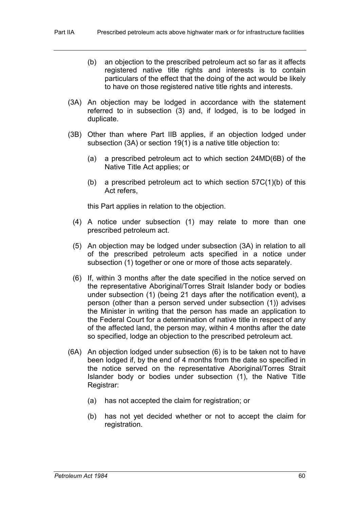- (b) an objection to the prescribed petroleum act so far as it affects registered native title rights and interests is to contain particulars of the effect that the doing of the act would be likely to have on those registered native title rights and interests.
- (3A) An objection may be lodged in accordance with the statement referred to in subsection (3) and, if lodged, is to be lodged in duplicate.
- (3B) Other than where Part IIB applies, if an objection lodged under subsection (3A) or section 19(1) is a native title objection to:
	- (a) a prescribed petroleum act to which section 24MD(6B) of the Native Title Act applies; or
	- (b) a prescribed petroleum act to which section  $57C(1)(b)$  of this Act refers,

this Part applies in relation to the objection.

- (4) A notice under subsection (1) may relate to more than one prescribed petroleum act.
- (5) An objection may be lodged under subsection (3A) in relation to all of the prescribed petroleum acts specified in a notice under subsection (1) together or one or more of those acts separately.
- (6) If, within 3 months after the date specified in the notice served on the representative Aboriginal/Torres Strait Islander body or bodies under subsection (1) (being 21 days after the notification event), a person (other than a person served under subsection (1)) advises the Minister in writing that the person has made an application to the Federal Court for a determination of native title in respect of any of the affected land, the person may, within 4 months after the date so specified, lodge an objection to the prescribed petroleum act.
- (6A) An objection lodged under subsection (6) is to be taken not to have been lodged if, by the end of 4 months from the date so specified in the notice served on the representative Aboriginal/Torres Strait Islander body or bodies under subsection (1), the Native Title Registrar:
	- (a) has not accepted the claim for registration; or
	- (b) has not yet decided whether or not to accept the claim for registration.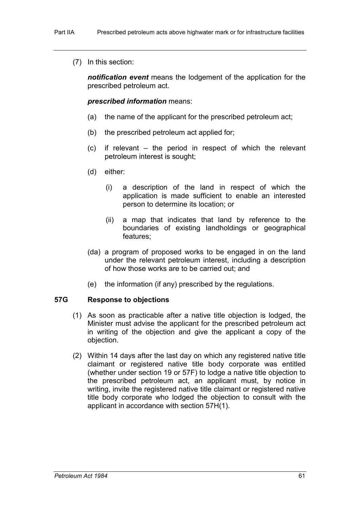(7) In this section:

*notification event* means the lodgement of the application for the prescribed petroleum act.

## *prescribed information* means:

- (a) the name of the applicant for the prescribed petroleum act;
- (b) the prescribed petroleum act applied for;
- (c) if relevant the period in respect of which the relevant petroleum interest is sought;
- (d) either:
	- (i) a description of the land in respect of which the application is made sufficient to enable an interested person to determine its location; or
	- (ii) a map that indicates that land by reference to the boundaries of existing landholdings or geographical features;
- (da) a program of proposed works to be engaged in on the land under the relevant petroleum interest, including a description of how those works are to be carried out; and
- (e) the information (if any) prescribed by the regulations.

## **57G Response to objections**

- (1) As soon as practicable after a native title objection is lodged, the Minister must advise the applicant for the prescribed petroleum act in writing of the objection and give the applicant a copy of the objection.
- (2) Within 14 days after the last day on which any registered native title claimant or registered native title body corporate was entitled (whether under section 19 or 57F) to lodge a native title objection to the prescribed petroleum act, an applicant must, by notice in writing, invite the registered native title claimant or registered native title body corporate who lodged the objection to consult with the applicant in accordance with section 57H(1).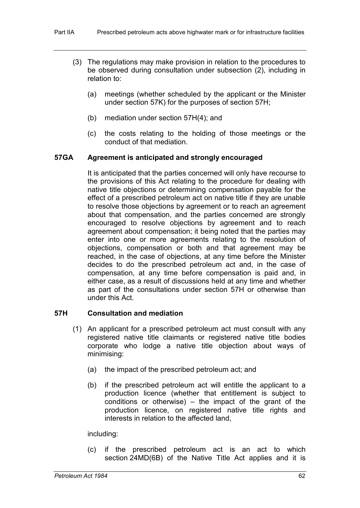- (3) The regulations may make provision in relation to the procedures to be observed during consultation under subsection (2), including in relation to:
	- (a) meetings (whether scheduled by the applicant or the Minister under section 57K) for the purposes of section 57H;
	- (b) mediation under section 57H(4); and
	- (c) the costs relating to the holding of those meetings or the conduct of that mediation.

## **57GA Agreement is anticipated and strongly encouraged**

It is anticipated that the parties concerned will only have recourse to the provisions of this Act relating to the procedure for dealing with native title objections or determining compensation payable for the effect of a prescribed petroleum act on native title if they are unable to resolve those objections by agreement or to reach an agreement about that compensation, and the parties concerned are strongly encouraged to resolve objections by agreement and to reach agreement about compensation; it being noted that the parties may enter into one or more agreements relating to the resolution of objections, compensation or both and that agreement may be reached, in the case of objections, at any time before the Minister decides to do the prescribed petroleum act and, in the case of compensation, at any time before compensation is paid and, in either case, as a result of discussions held at any time and whether as part of the consultations under section 57H or otherwise than under this Act.

## **57H Consultation and mediation**

- (1) An applicant for a prescribed petroleum act must consult with any registered native title claimants or registered native title bodies corporate who lodge a native title objection about ways of minimising:
	- (a) the impact of the prescribed petroleum act; and
	- (b) if the prescribed petroleum act will entitle the applicant to a production licence (whether that entitlement is subject to conditions or otherwise) – the impact of the grant of the production licence, on registered native title rights and interests in relation to the affected land,

including:

(c) if the prescribed petroleum act is an act to which section 24MD(6B) of the Native Title Act applies and it is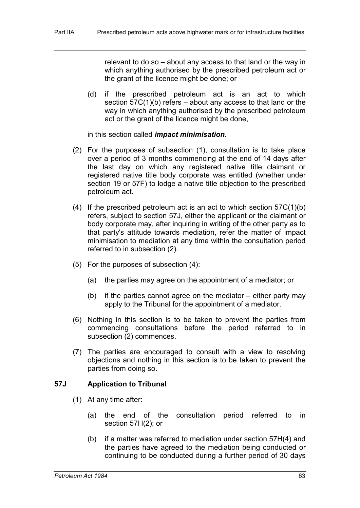relevant to do so – about any access to that land or the way in which anything authorised by the prescribed petroleum act or the grant of the licence might be done; or

(d) if the prescribed petroleum act is an act to which section  $57C(1)(b)$  refers – about any access to that land or the way in which anything authorised by the prescribed petroleum act or the grant of the licence might be done,

in this section called *impact minimisation*.

- (2) For the purposes of subsection (1), consultation is to take place over a period of 3 months commencing at the end of 14 days after the last day on which any registered native title claimant or registered native title body corporate was entitled (whether under section 19 or 57F) to lodge a native title objection to the prescribed petroleum act.
- (4) If the prescribed petroleum act is an act to which section  $57C(1)(b)$ refers, subject to section 57J, either the applicant or the claimant or body corporate may, after inquiring in writing of the other party as to that party's attitude towards mediation, refer the matter of impact minimisation to mediation at any time within the consultation period referred to in subsection (2).
- (5) For the purposes of subsection (4):
	- (a) the parties may agree on the appointment of a mediator; or
	- (b) if the parties cannot agree on the mediator either party may apply to the Tribunal for the appointment of a mediator.
- (6) Nothing in this section is to be taken to prevent the parties from commencing consultations before the period referred to in subsection (2) commences.
- (7) The parties are encouraged to consult with a view to resolving objections and nothing in this section is to be taken to prevent the parties from doing so.

## **57J Application to Tribunal**

- (1) At any time after:
	- (a) the end of the consultation period referred to in section 57H(2); or
	- (b) if a matter was referred to mediation under section 57H(4) and the parties have agreed to the mediation being conducted or continuing to be conducted during a further period of 30 days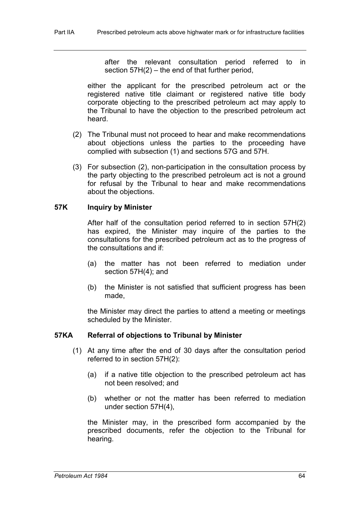after the relevant consultation period referred to in section 57H(2) – the end of that further period,

either the applicant for the prescribed petroleum act or the registered native title claimant or registered native title body corporate objecting to the prescribed petroleum act may apply to the Tribunal to have the objection to the prescribed petroleum act heard.

- (2) The Tribunal must not proceed to hear and make recommendations about objections unless the parties to the proceeding have complied with subsection (1) and sections 57G and 57H.
- (3) For subsection (2), non-participation in the consultation process by the party objecting to the prescribed petroleum act is not a ground for refusal by the Tribunal to hear and make recommendations about the objections.

## **57K Inquiry by Minister**

After half of the consultation period referred to in section 57H(2) has expired, the Minister may inquire of the parties to the consultations for the prescribed petroleum act as to the progress of the consultations and if:

- (a) the matter has not been referred to mediation under section 57H(4); and
- (b) the Minister is not satisfied that sufficient progress has been made,

the Minister may direct the parties to attend a meeting or meetings scheduled by the Minister.

## **57KA Referral of objections to Tribunal by Minister**

- (1) At any time after the end of 30 days after the consultation period referred to in section 57H(2):
	- (a) if a native title objection to the prescribed petroleum act has not been resolved; and
	- (b) whether or not the matter has been referred to mediation under section 57H(4),

the Minister may, in the prescribed form accompanied by the prescribed documents, refer the objection to the Tribunal for hearing.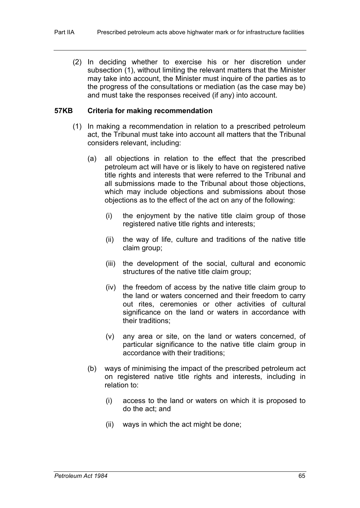(2) In deciding whether to exercise his or her discretion under subsection (1), without limiting the relevant matters that the Minister may take into account, the Minister must inquire of the parties as to the progress of the consultations or mediation (as the case may be) and must take the responses received (if any) into account.

#### **57KB Criteria for making recommendation**

- (1) In making a recommendation in relation to a prescribed petroleum act, the Tribunal must take into account all matters that the Tribunal considers relevant, including:
	- (a) all objections in relation to the effect that the prescribed petroleum act will have or is likely to have on registered native title rights and interests that were referred to the Tribunal and all submissions made to the Tribunal about those objections, which may include objections and submissions about those objections as to the effect of the act on any of the following:
		- (i) the enjoyment by the native title claim group of those registered native title rights and interests;
		- (ii) the way of life, culture and traditions of the native title claim group;
		- (iii) the development of the social, cultural and economic structures of the native title claim group;
		- (iv) the freedom of access by the native title claim group to the land or waters concerned and their freedom to carry out rites, ceremonies or other activities of cultural significance on the land or waters in accordance with their traditions;
		- (v) any area or site, on the land or waters concerned, of particular significance to the native title claim group in accordance with their traditions;
	- (b) ways of minimising the impact of the prescribed petroleum act on registered native title rights and interests, including in relation to:
		- (i) access to the land or waters on which it is proposed to do the act; and
		- (ii) ways in which the act might be done;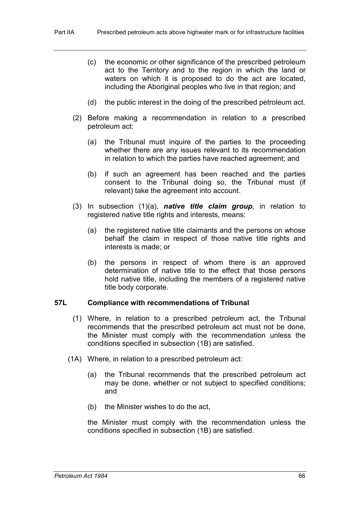- (c) the economic or other significance of the prescribed petroleum act to the Territory and to the region in which the land or waters on which it is proposed to do the act are located, including the Aboriginal peoples who live in that region; and
- (d) the public interest in the doing of the prescribed petroleum act.
- (2) Before making a recommendation in relation to a prescribed petroleum act:
	- (a) the Tribunal must inquire of the parties to the proceeding whether there are any issues relevant to its recommendation in relation to which the parties have reached agreement; and
	- (b) if such an agreement has been reached and the parties consent to the Tribunal doing so, the Tribunal must (if relevant) take the agreement into account.
- (3) In subsection (1)(a), *native title claim group*, in relation to registered native title rights and interests, means:
	- (a) the registered native title claimants and the persons on whose behalf the claim in respect of those native title rights and interests is made; or
	- (b) the persons in respect of whom there is an approved determination of native title to the effect that those persons hold native title, including the members of a registered native title body corporate.

#### **57L Compliance with recommendations of Tribunal**

- (1) Where, in relation to a prescribed petroleum act, the Tribunal recommends that the prescribed petroleum act must not be done, the Minister must comply with the recommendation unless the conditions specified in subsection (1B) are satisfied.
- (1A) Where, in relation to a prescribed petroleum act:
	- (a) the Tribunal recommends that the prescribed petroleum act may be done, whether or not subject to specified conditions; and
	- (b) the Minister wishes to do the act,

the Minister must comply with the recommendation unless the conditions specified in subsection (1B) are satisfied.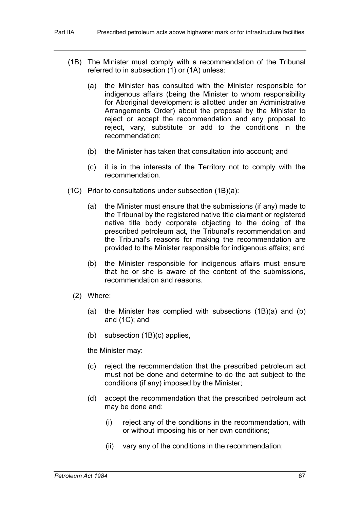- (1B) The Minister must comply with a recommendation of the Tribunal referred to in subsection (1) or (1A) unless:
	- (a) the Minister has consulted with the Minister responsible for indigenous affairs (being the Minister to whom responsibility for Aboriginal development is allotted under an Administrative Arrangements Order) about the proposal by the Minister to reject or accept the recommendation and any proposal to reject, vary, substitute or add to the conditions in the recommendation;
	- (b) the Minister has taken that consultation into account; and
	- (c) it is in the interests of the Territory not to comply with the recommendation.
- (1C) Prior to consultations under subsection (1B)(a):
	- (a) the Minister must ensure that the submissions (if any) made to the Tribunal by the registered native title claimant or registered native title body corporate objecting to the doing of the prescribed petroleum act, the Tribunal's recommendation and the Tribunal's reasons for making the recommendation are provided to the Minister responsible for indigenous affairs; and
	- (b) the Minister responsible for indigenous affairs must ensure that he or she is aware of the content of the submissions, recommendation and reasons.
	- (2) Where:
		- (a) the Minister has complied with subsections (1B)(a) and (b) and (1C); and
		- (b) subsection (1B)(c) applies,

the Minister may:

- (c) reject the recommendation that the prescribed petroleum act must not be done and determine to do the act subject to the conditions (if any) imposed by the Minister;
- (d) accept the recommendation that the prescribed petroleum act may be done and:
	- (i) reject any of the conditions in the recommendation, with or without imposing his or her own conditions;
	- (ii) vary any of the conditions in the recommendation;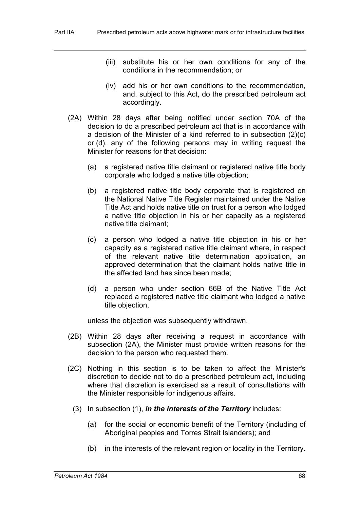- (iii) substitute his or her own conditions for any of the conditions in the recommendation; or
- (iv) add his or her own conditions to the recommendation, and, subject to this Act, do the prescribed petroleum act accordingly.
- (2A) Within 28 days after being notified under section 70A of the decision to do a prescribed petroleum act that is in accordance with a decision of the Minister of a kind referred to in subsection (2)(c) or (d), any of the following persons may in writing request the Minister for reasons for that decision:
	- (a) a registered native title claimant or registered native title body corporate who lodged a native title objection;
	- (b) a registered native title body corporate that is registered on the National Native Title Register maintained under the Native Title Act and holds native title on trust for a person who lodged a native title objection in his or her capacity as a registered native title claimant;
	- (c) a person who lodged a native title objection in his or her capacity as a registered native title claimant where, in respect of the relevant native title determination application, an approved determination that the claimant holds native title in the affected land has since been made;
	- (d) a person who under section 66B of the Native Title Act replaced a registered native title claimant who lodged a native title objection,

unless the objection was subsequently withdrawn.

- (2B) Within 28 days after receiving a request in accordance with subsection (2A), the Minister must provide written reasons for the decision to the person who requested them.
- (2C) Nothing in this section is to be taken to affect the Minister's discretion to decide not to do a prescribed petroleum act, including where that discretion is exercised as a result of consultations with the Minister responsible for indigenous affairs.
	- (3) In subsection (1), *in the interests of the Territory* includes:
		- (a) for the social or economic benefit of the Territory (including of Aboriginal peoples and Torres Strait Islanders); and
		- (b) in the interests of the relevant region or locality in the Territory.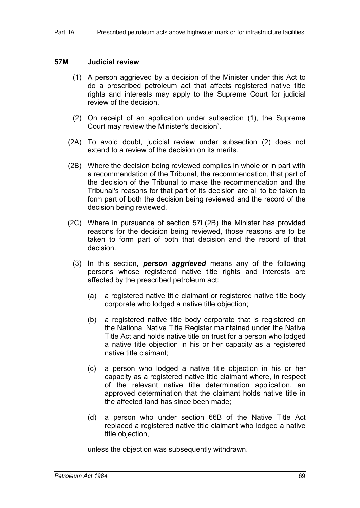## **57M Judicial review**

- (1) A person aggrieved by a decision of the Minister under this Act to do a prescribed petroleum act that affects registered native title rights and interests may apply to the Supreme Court for judicial review of the decision.
- (2) On receipt of an application under subsection (1), the Supreme Court may review the Minister's decision`.
- (2A) To avoid doubt, judicial review under subsection (2) does not extend to a review of the decision on its merits.
- (2B) Where the decision being reviewed complies in whole or in part with a recommendation of the Tribunal, the recommendation, that part of the decision of the Tribunal to make the recommendation and the Tribunal's reasons for that part of its decision are all to be taken to form part of both the decision being reviewed and the record of the decision being reviewed.
- (2C) Where in pursuance of section 57L(2B) the Minister has provided reasons for the decision being reviewed, those reasons are to be taken to form part of both that decision and the record of that decision.
	- (3) In this section, *person aggrieved* means any of the following persons whose registered native title rights and interests are affected by the prescribed petroleum act:
		- (a) a registered native title claimant or registered native title body corporate who lodged a native title objection;
		- (b) a registered native title body corporate that is registered on the National Native Title Register maintained under the Native Title Act and holds native title on trust for a person who lodged a native title objection in his or her capacity as a registered native title claimant;
		- (c) a person who lodged a native title objection in his or her capacity as a registered native title claimant where, in respect of the relevant native title determination application, an approved determination that the claimant holds native title in the affected land has since been made;
		- (d) a person who under section 66B of the Native Title Act replaced a registered native title claimant who lodged a native title objection,

unless the objection was subsequently withdrawn.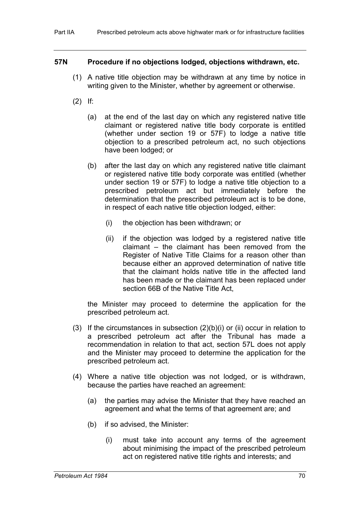#### **57N Procedure if no objections lodged, objections withdrawn, etc.**

- (1) A native title objection may be withdrawn at any time by notice in writing given to the Minister, whether by agreement or otherwise.
- (2) If:
	- (a) at the end of the last day on which any registered native title claimant or registered native title body corporate is entitled (whether under section 19 or 57F) to lodge a native title objection to a prescribed petroleum act, no such objections have been lodged; or
	- (b) after the last day on which any registered native title claimant or registered native title body corporate was entitled (whether under section 19 or 57F) to lodge a native title objection to a prescribed petroleum act but immediately before the determination that the prescribed petroleum act is to be done, in respect of each native title objection lodged, either:
		- (i) the objection has been withdrawn; or
		- (ii) if the objection was lodged by a registered native title claimant – the claimant has been removed from the Register of Native Title Claims for a reason other than because either an approved determination of native title that the claimant holds native title in the affected land has been made or the claimant has been replaced under section 66B of the Native Title Act,

the Minister may proceed to determine the application for the prescribed petroleum act.

- (3) If the circumstances in subsection (2)(b)(i) or (ii) occur in relation to a prescribed petroleum act after the Tribunal has made a recommendation in relation to that act, section 57L does not apply and the Minister may proceed to determine the application for the prescribed petroleum act.
- (4) Where a native title objection was not lodged, or is withdrawn, because the parties have reached an agreement:
	- (a) the parties may advise the Minister that they have reached an agreement and what the terms of that agreement are; and
	- (b) if so advised, the Minister:
		- (i) must take into account any terms of the agreement about minimising the impact of the prescribed petroleum act on registered native title rights and interests; and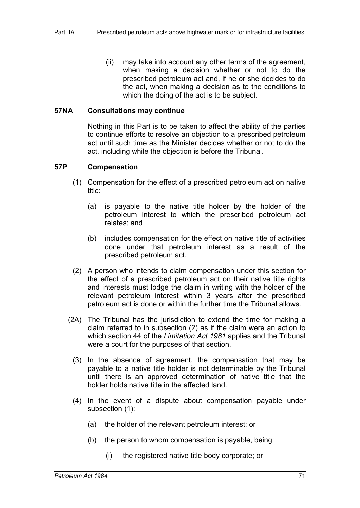(ii) may take into account any other terms of the agreement, when making a decision whether or not to do the prescribed petroleum act and, if he or she decides to do the act, when making a decision as to the conditions to which the doing of the act is to be subject.

## **57NA Consultations may continue**

Nothing in this Part is to be taken to affect the ability of the parties to continue efforts to resolve an objection to a prescribed petroleum act until such time as the Minister decides whether or not to do the act, including while the objection is before the Tribunal.

#### **57P Compensation**

- (1) Compensation for the effect of a prescribed petroleum act on native title:
	- (a) is payable to the native title holder by the holder of the petroleum interest to which the prescribed petroleum act relates; and
	- (b) includes compensation for the effect on native title of activities done under that petroleum interest as a result of the prescribed petroleum act.
- (2) A person who intends to claim compensation under this section for the effect of a prescribed petroleum act on their native title rights and interests must lodge the claim in writing with the holder of the relevant petroleum interest within 3 years after the prescribed petroleum act is done or within the further time the Tribunal allows.
- (2A) The Tribunal has the jurisdiction to extend the time for making a claim referred to in subsection (2) as if the claim were an action to which section 44 of the *Limitation Act 1981* applies and the Tribunal were a court for the purposes of that section.
	- (3) In the absence of agreement, the compensation that may be payable to a native title holder is not determinable by the Tribunal until there is an approved determination of native title that the holder holds native title in the affected land.
	- (4) In the event of a dispute about compensation payable under subsection (1):
		- (a) the holder of the relevant petroleum interest; or
		- (b) the person to whom compensation is payable, being:
			- (i) the registered native title body corporate; or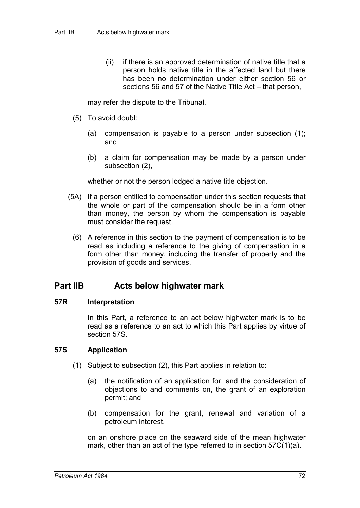(ii) if there is an approved determination of native title that a person holds native title in the affected land but there has been no determination under either section 56 or sections 56 and 57 of the Native Title Act – that person,

may refer the dispute to the Tribunal.

- (5) To avoid doubt:
	- (a) compensation is payable to a person under subsection (1); and
	- (b) a claim for compensation may be made by a person under subsection (2),

whether or not the person lodged a native title objection.

- (5A) If a person entitled to compensation under this section requests that the whole or part of the compensation should be in a form other than money, the person by whom the compensation is payable must consider the request.
	- (6) A reference in this section to the payment of compensation is to be read as including a reference to the giving of compensation in a form other than money, including the transfer of property and the provision of goods and services.

## **Part IIB Acts below highwater mark**

#### **57R Interpretation**

In this Part, a reference to an act below highwater mark is to be read as a reference to an act to which this Part applies by virtue of section 57S.

## **57S Application**

- (1) Subject to subsection (2), this Part applies in relation to:
	- (a) the notification of an application for, and the consideration of objections to and comments on, the grant of an exploration permit; and
	- (b) compensation for the grant, renewal and variation of a petroleum interest,

on an onshore place on the seaward side of the mean highwater mark, other than an act of the type referred to in section 57C(1)(a).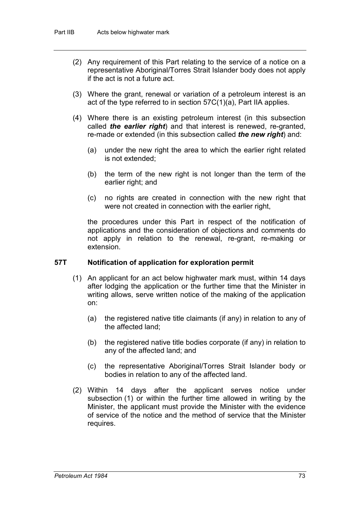- (2) Any requirement of this Part relating to the service of a notice on a representative Aboriginal/Torres Strait Islander body does not apply if the act is not a future act.
- (3) Where the grant, renewal or variation of a petroleum interest is an act of the type referred to in section 57C(1)(a), Part IIA applies.
- (4) Where there is an existing petroleum interest (in this subsection called *the earlier right*) and that interest is renewed, re-granted, re-made or extended (in this subsection called *the new right*) and:
	- (a) under the new right the area to which the earlier right related is not extended;
	- (b) the term of the new right is not longer than the term of the earlier right; and
	- (c) no rights are created in connection with the new right that were not created in connection with the earlier right,

the procedures under this Part in respect of the notification of applications and the consideration of objections and comments do not apply in relation to the renewal, re-grant, re-making or extension.

## **57T Notification of application for exploration permit**

- (1) An applicant for an act below highwater mark must, within 14 days after lodging the application or the further time that the Minister in writing allows, serve written notice of the making of the application on:
	- (a) the registered native title claimants (if any) in relation to any of the affected land;
	- (b) the registered native title bodies corporate (if any) in relation to any of the affected land; and
	- (c) the representative Aboriginal/Torres Strait Islander body or bodies in relation to any of the affected land.
- (2) Within 14 days after the applicant serves notice under subsection (1) or within the further time allowed in writing by the Minister, the applicant must provide the Minister with the evidence of service of the notice and the method of service that the Minister requires.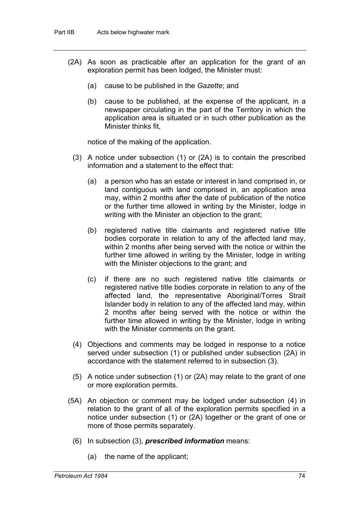- (2A) As soon as practicable after an application for the grant of an exploration permit has been lodged, the Minister must:
	- (a) cause to be published in the *Gazette*; and
	- (b) cause to be published, at the expense of the applicant, in a newspaper circulating in the part of the Territory in which the application area is situated or in such other publication as the Minister thinks fit,

notice of the making of the application.

- (3) A notice under subsection (1) or (2A) is to contain the prescribed information and a statement to the effect that:
	- (a) a person who has an estate or interest in land comprised in, or land contiguous with land comprised in, an application area may, within 2 months after the date of publication of the notice or the further time allowed in writing by the Minister, lodge in writing with the Minister an objection to the grant;
	- (b) registered native title claimants and registered native title bodies corporate in relation to any of the affected land may, within 2 months after being served with the notice or within the further time allowed in writing by the Minister, lodge in writing with the Minister objections to the grant; and
	- (c) if there are no such registered native title claimants or registered native title bodies corporate in relation to any of the affected land, the representative Aboriginal/Torres Strait Islander body in relation to any of the affected land may, within 2 months after being served with the notice or within the further time allowed in writing by the Minister, lodge in writing with the Minister comments on the grant.
- (4) Objections and comments may be lodged in response to a notice served under subsection (1) or published under subsection (2A) in accordance with the statement referred to in subsection (3).
- (5) A notice under subsection (1) or (2A) may relate to the grant of one or more exploration permits.
- (5A) An objection or comment may be lodged under subsection (4) in relation to the grant of all of the exploration permits specified in a notice under subsection (1) or (2A) together or the grant of one or more of those permits separately.
	- (6) In subsection (3), *prescribed information* means:
		- (a) the name of the applicant;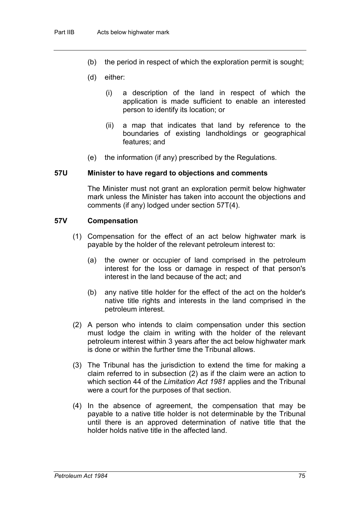- (b) the period in respect of which the exploration permit is sought;
- (d) either:
	- (i) a description of the land in respect of which the application is made sufficient to enable an interested person to identify its location; or
	- (ii) a map that indicates that land by reference to the boundaries of existing landholdings or geographical features; and
- (e) the information (if any) prescribed by the Regulations.

#### **57U Minister to have regard to objections and comments**

The Minister must not grant an exploration permit below highwater mark unless the Minister has taken into account the objections and comments (if any) lodged under section 57T(4).

#### **57V Compensation**

- (1) Compensation for the effect of an act below highwater mark is payable by the holder of the relevant petroleum interest to:
	- (a) the owner or occupier of land comprised in the petroleum interest for the loss or damage in respect of that person's interest in the land because of the act; and
	- (b) any native title holder for the effect of the act on the holder's native title rights and interests in the land comprised in the petroleum interest.
- (2) A person who intends to claim compensation under this section must lodge the claim in writing with the holder of the relevant petroleum interest within 3 years after the act below highwater mark is done or within the further time the Tribunal allows.
- (3) The Tribunal has the jurisdiction to extend the time for making a claim referred to in subsection (2) as if the claim were an action to which section 44 of the *Limitation Act 1981* applies and the Tribunal were a court for the purposes of that section.
- (4) In the absence of agreement, the compensation that may be payable to a native title holder is not determinable by the Tribunal until there is an approved determination of native title that the holder holds native title in the affected land.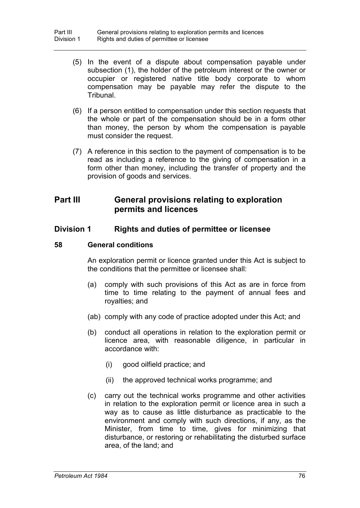- (5) In the event of a dispute about compensation payable under subsection (1), the holder of the petroleum interest or the owner or occupier or registered native title body corporate to whom compensation may be payable may refer the dispute to the Tribunal.
- (6) If a person entitled to compensation under this section requests that the whole or part of the compensation should be in a form other than money, the person by whom the compensation is payable must consider the request.
- (7) A reference in this section to the payment of compensation is to be read as including a reference to the giving of compensation in a form other than money, including the transfer of property and the provision of goods and services.

# **Part III General provisions relating to exploration permits and licences**

## **Division 1 Rights and duties of permittee or licensee**

## **58 General conditions**

An exploration permit or licence granted under this Act is subject to the conditions that the permittee or licensee shall:

- (a) comply with such provisions of this Act as are in force from time to time relating to the payment of annual fees and royalties; and
- (ab) comply with any code of practice adopted under this Act; and
- (b) conduct all operations in relation to the exploration permit or licence area, with reasonable diligence, in particular in accordance with:
	- (i) good oilfield practice; and
	- (ii) the approved technical works programme; and
- (c) carry out the technical works programme and other activities in relation to the exploration permit or licence area in such a way as to cause as little disturbance as practicable to the environment and comply with such directions, if any, as the Minister, from time to time, gives for minimizing that disturbance, or restoring or rehabilitating the disturbed surface area, of the land; and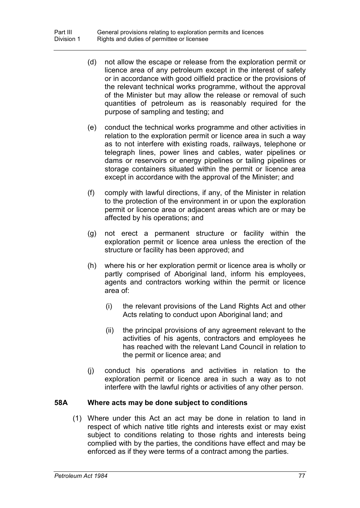- (d) not allow the escape or release from the exploration permit or licence area of any petroleum except in the interest of safety or in accordance with good oilfield practice or the provisions of the relevant technical works programme, without the approval of the Minister but may allow the release or removal of such quantities of petroleum as is reasonably required for the purpose of sampling and testing; and
- (e) conduct the technical works programme and other activities in relation to the exploration permit or licence area in such a way as to not interfere with existing roads, railways, telephone or telegraph lines, power lines and cables, water pipelines or dams or reservoirs or energy pipelines or tailing pipelines or storage containers situated within the permit or licence area except in accordance with the approval of the Minister; and
- (f) comply with lawful directions, if any, of the Minister in relation to the protection of the environment in or upon the exploration permit or licence area or adjacent areas which are or may be affected by his operations; and
- (g) not erect a permanent structure or facility within the exploration permit or licence area unless the erection of the structure or facility has been approved; and
- (h) where his or her exploration permit or licence area is wholly or partly comprised of Aboriginal land, inform his employees, agents and contractors working within the permit or licence area of:
	- (i) the relevant provisions of the Land Rights Act and other Acts relating to conduct upon Aboriginal land; and
	- (ii) the principal provisions of any agreement relevant to the activities of his agents, contractors and employees he has reached with the relevant Land Council in relation to the permit or licence area; and
- (j) conduct his operations and activities in relation to the exploration permit or licence area in such a way as to not interfere with the lawful rights or activities of any other person.

## **58A Where acts may be done subject to conditions**

(1) Where under this Act an act may be done in relation to land in respect of which native title rights and interests exist or may exist subject to conditions relating to those rights and interests being complied with by the parties, the conditions have effect and may be enforced as if they were terms of a contract among the parties.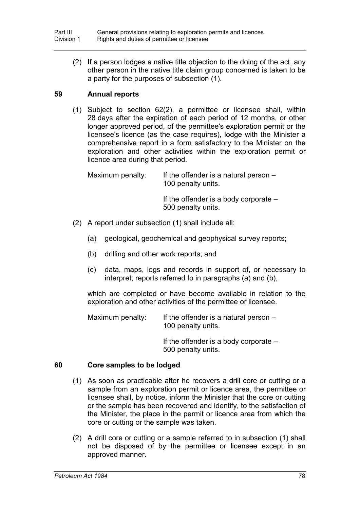(2) If a person lodges a native title objection to the doing of the act, any other person in the native title claim group concerned is taken to be a party for the purposes of subsection (1).

## **59 Annual reports**

(1) Subject to section 62(2), a permittee or licensee shall, within 28 days after the expiration of each period of 12 months, or other longer approved period, of the permittee's exploration permit or the licensee's licence (as the case requires), lodge with the Minister a comprehensive report in a form satisfactory to the Minister on the exploration and other activities within the exploration permit or licence area during that period.

Maximum penalty: If the offender is a natural person  $-$ 100 penalty units. If the offender is a body corporate – 500 penalty units.

- (2) A report under subsection (1) shall include all:
	- (a) geological, geochemical and geophysical survey reports;
	- (b) drilling and other work reports; and
	- (c) data, maps, logs and records in support of, or necessary to interpret, reports referred to in paragraphs (a) and (b),

which are completed or have become available in relation to the exploration and other activities of the permittee or licensee.

Maximum penalty: If the offender is a natural person  $-$ 100 penalty units.

> If the offender is a body corporate – 500 penalty units.

## **60 Core samples to be lodged**

- (1) As soon as practicable after he recovers a drill core or cutting or a sample from an exploration permit or licence area, the permittee or licensee shall, by notice, inform the Minister that the core or cutting or the sample has been recovered and identify, to the satisfaction of the Minister, the place in the permit or licence area from which the core or cutting or the sample was taken.
- (2) A drill core or cutting or a sample referred to in subsection (1) shall not be disposed of by the permittee or licensee except in an approved manner.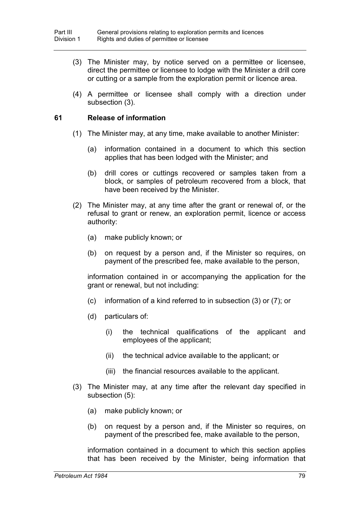- (3) The Minister may, by notice served on a permittee or licensee, direct the permittee or licensee to lodge with the Minister a drill core or cutting or a sample from the exploration permit or licence area.
- (4) A permittee or licensee shall comply with a direction under subsection (3).

## **61 Release of information**

- (1) The Minister may, at any time, make available to another Minister:
	- (a) information contained in a document to which this section applies that has been lodged with the Minister; and
	- (b) drill cores or cuttings recovered or samples taken from a block, or samples of petroleum recovered from a block, that have been received by the Minister.
- (2) The Minister may, at any time after the grant or renewal of, or the refusal to grant or renew, an exploration permit, licence or access authority:
	- (a) make publicly known; or
	- (b) on request by a person and, if the Minister so requires, on payment of the prescribed fee, make available to the person,

information contained in or accompanying the application for the grant or renewal, but not including:

- (c) information of a kind referred to in subsection (3) or (7); or
- (d) particulars of:
	- (i) the technical qualifications of the applicant and employees of the applicant;
	- (ii) the technical advice available to the applicant; or
	- (iii) the financial resources available to the applicant.
- (3) The Minister may, at any time after the relevant day specified in subsection (5):
	- (a) make publicly known; or
	- (b) on request by a person and, if the Minister so requires, on payment of the prescribed fee, make available to the person,

information contained in a document to which this section applies that has been received by the Minister, being information that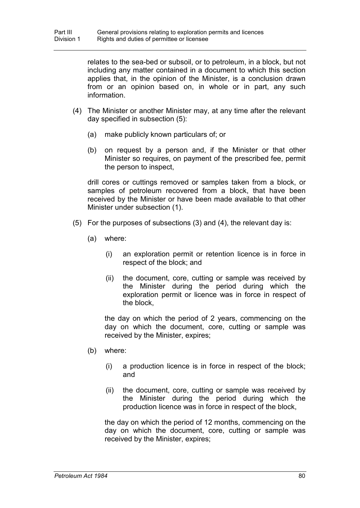relates to the sea-bed or subsoil, or to petroleum, in a block, but not including any matter contained in a document to which this section applies that, in the opinion of the Minister, is a conclusion drawn from or an opinion based on, in whole or in part, any such information.

- (4) The Minister or another Minister may, at any time after the relevant day specified in subsection (5):
	- (a) make publicly known particulars of; or
	- (b) on request by a person and, if the Minister or that other Minister so requires, on payment of the prescribed fee, permit the person to inspect,

drill cores or cuttings removed or samples taken from a block, or samples of petroleum recovered from a block, that have been received by the Minister or have been made available to that other Minister under subsection (1).

- (5) For the purposes of subsections (3) and (4), the relevant day is:
	- (a) where:
		- (i) an exploration permit or retention licence is in force in respect of the block; and
		- (ii) the document, core, cutting or sample was received by the Minister during the period during which the exploration permit or licence was in force in respect of the block,

the day on which the period of 2 years, commencing on the day on which the document, core, cutting or sample was received by the Minister, expires;

- (b) where:
	- (i) a production licence is in force in respect of the block; and
	- (ii) the document, core, cutting or sample was received by the Minister during the period during which the production licence was in force in respect of the block,

the day on which the period of 12 months, commencing on the day on which the document, core, cutting or sample was received by the Minister, expires;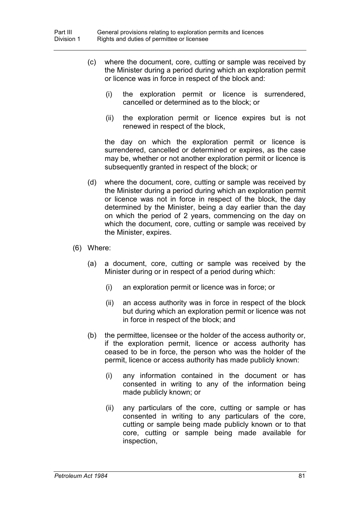- (c) where the document, core, cutting or sample was received by the Minister during a period during which an exploration permit or licence was in force in respect of the block and:
	- (i) the exploration permit or licence is surrendered, cancelled or determined as to the block; or
	- (ii) the exploration permit or licence expires but is not renewed in respect of the block,

the day on which the exploration permit or licence is surrendered, cancelled or determined or expires, as the case may be, whether or not another exploration permit or licence is subsequently granted in respect of the block; or

- (d) where the document, core, cutting or sample was received by the Minister during a period during which an exploration permit or licence was not in force in respect of the block, the day determined by the Minister, being a day earlier than the day on which the period of 2 years, commencing on the day on which the document, core, cutting or sample was received by the Minister, expires.
- (6) Where:
	- (a) a document, core, cutting or sample was received by the Minister during or in respect of a period during which:
		- (i) an exploration permit or licence was in force; or
		- (ii) an access authority was in force in respect of the block but during which an exploration permit or licence was not in force in respect of the block; and
	- (b) the permittee, licensee or the holder of the access authority or, if the exploration permit, licence or access authority has ceased to be in force, the person who was the holder of the permit, licence or access authority has made publicly known:
		- (i) any information contained in the document or has consented in writing to any of the information being made publicly known; or
		- (ii) any particulars of the core, cutting or sample or has consented in writing to any particulars of the core, cutting or sample being made publicly known or to that core, cutting or sample being made available for inspection,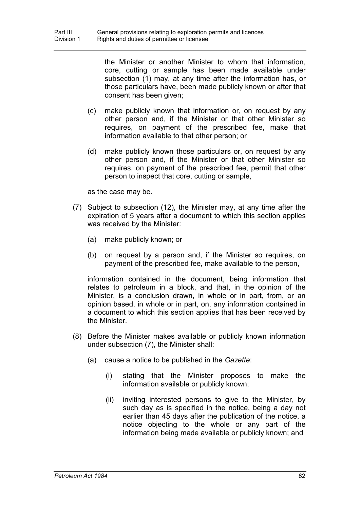the Minister or another Minister to whom that information, core, cutting or sample has been made available under subsection (1) may, at any time after the information has, or those particulars have, been made publicly known or after that consent has been given;

- (c) make publicly known that information or, on request by any other person and, if the Minister or that other Minister so requires, on payment of the prescribed fee, make that information available to that other person; or
- (d) make publicly known those particulars or, on request by any other person and, if the Minister or that other Minister so requires, on payment of the prescribed fee, permit that other person to inspect that core, cutting or sample,

as the case may be.

- (7) Subject to subsection (12), the Minister may, at any time after the expiration of 5 years after a document to which this section applies was received by the Minister:
	- (a) make publicly known; or
	- (b) on request by a person and, if the Minister so requires, on payment of the prescribed fee, make available to the person,

information contained in the document, being information that relates to petroleum in a block, and that, in the opinion of the Minister, is a conclusion drawn, in whole or in part, from, or an opinion based, in whole or in part, on, any information contained in a document to which this section applies that has been received by the Minister.

- (8) Before the Minister makes available or publicly known information under subsection (7), the Minister shall:
	- (a) cause a notice to be published in the *Gazette*:
		- (i) stating that the Minister proposes to make the information available or publicly known;
		- (ii) inviting interested persons to give to the Minister, by such day as is specified in the notice, being a day not earlier than 45 days after the publication of the notice, a notice objecting to the whole or any part of the information being made available or publicly known; and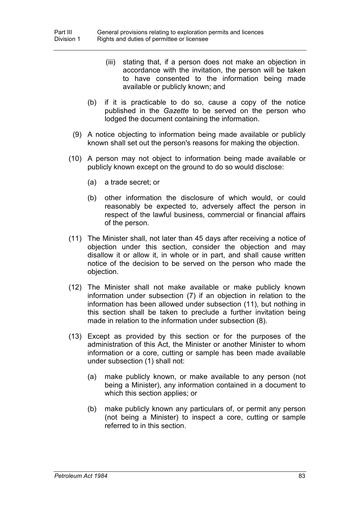- (iii) stating that, if a person does not make an objection in accordance with the invitation, the person will be taken to have consented to the information being made available or publicly known; and
- (b) if it is practicable to do so, cause a copy of the notice published in the *Gazette* to be served on the person who lodged the document containing the information.
- (9) A notice objecting to information being made available or publicly known shall set out the person's reasons for making the objection.
- (10) A person may not object to information being made available or publicly known except on the ground to do so would disclose:
	- (a) a trade secret; or
	- (b) other information the disclosure of which would, or could reasonably be expected to, adversely affect the person in respect of the lawful business, commercial or financial affairs of the person.
- (11) The Minister shall, not later than 45 days after receiving a notice of objection under this section, consider the objection and may disallow it or allow it, in whole or in part, and shall cause written notice of the decision to be served on the person who made the objection.
- (12) The Minister shall not make available or make publicly known information under subsection (7) if an objection in relation to the information has been allowed under subsection (11), but nothing in this section shall be taken to preclude a further invitation being made in relation to the information under subsection (8).
- (13) Except as provided by this section or for the purposes of the administration of this Act, the Minister or another Minister to whom information or a core, cutting or sample has been made available under subsection (1) shall not:
	- (a) make publicly known, or make available to any person (not being a Minister), any information contained in a document to which this section applies; or
	- (b) make publicly known any particulars of, or permit any person (not being a Minister) to inspect a core, cutting or sample referred to in this section.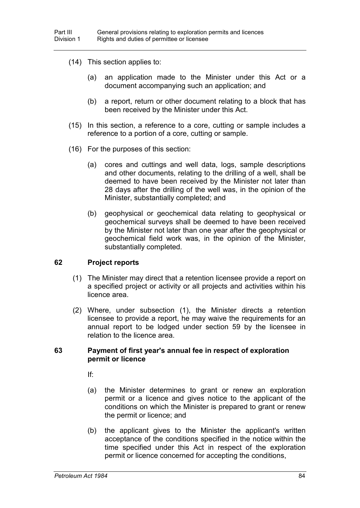- (14) This section applies to:
	- (a) an application made to the Minister under this Act or a document accompanying such an application; and
	- (b) a report, return or other document relating to a block that has been received by the Minister under this Act.
- (15) In this section, a reference to a core, cutting or sample includes a reference to a portion of a core, cutting or sample.
- (16) For the purposes of this section:
	- (a) cores and cuttings and well data, logs, sample descriptions and other documents, relating to the drilling of a well, shall be deemed to have been received by the Minister not later than 28 days after the drilling of the well was, in the opinion of the Minister, substantially completed; and
	- (b) geophysical or geochemical data relating to geophysical or geochemical surveys shall be deemed to have been received by the Minister not later than one year after the geophysical or geochemical field work was, in the opinion of the Minister, substantially completed.

#### **62 Project reports**

- (1) The Minister may direct that a retention licensee provide a report on a specified project or activity or all projects and activities within his licence area.
- (2) Where, under subsection (1), the Minister directs a retention licensee to provide a report, he may waive the requirements for an annual report to be lodged under section 59 by the licensee in relation to the licence area.

#### **63 Payment of first year's annual fee in respect of exploration permit or licence**

If:

- (a) the Minister determines to grant or renew an exploration permit or a licence and gives notice to the applicant of the conditions on which the Minister is prepared to grant or renew the permit or licence; and
- (b) the applicant gives to the Minister the applicant's written acceptance of the conditions specified in the notice within the time specified under this Act in respect of the exploration permit or licence concerned for accepting the conditions,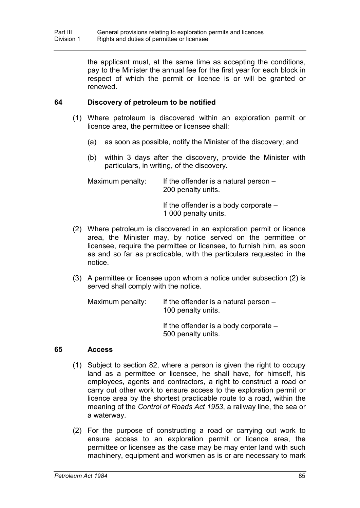the applicant must, at the same time as accepting the conditions, pay to the Minister the annual fee for the first year for each block in respect of which the permit or licence is or will be granted or renewed.

## **64 Discovery of petroleum to be notified**

- (1) Where petroleum is discovered within an exploration permit or licence area, the permittee or licensee shall:
	- (a) as soon as possible, notify the Minister of the discovery; and
	- (b) within 3 days after the discovery, provide the Minister with particulars, in writing, of the discovery.

| Maximum penalty: | If the offender is a natural person $-$<br>200 penalty units. |
|------------------|---------------------------------------------------------------|
|                  | If the offender is a body corporate $-$                       |

1 000 penalty units.

- (2) Where petroleum is discovered in an exploration permit or licence area, the Minister may, by notice served on the permittee or licensee, require the permittee or licensee, to furnish him, as soon as and so far as practicable, with the particulars requested in the notice.
- (3) A permittee or licensee upon whom a notice under subsection (2) is served shall comply with the notice.

Maximum penalty: If the offender is a natural person  $-$ 100 penalty units.

> If the offender is a body corporate – 500 penalty units.

## **65 Access**

- (1) Subject to section 82, where a person is given the right to occupy land as a permittee or licensee, he shall have, for himself, his employees, agents and contractors, a right to construct a road or carry out other work to ensure access to the exploration permit or licence area by the shortest practicable route to a road, within the meaning of the *Control of Roads Act 1953*, a railway line, the sea or a waterway.
- (2) For the purpose of constructing a road or carrying out work to ensure access to an exploration permit or licence area, the permittee or licensee as the case may be may enter land with such machinery, equipment and workmen as is or are necessary to mark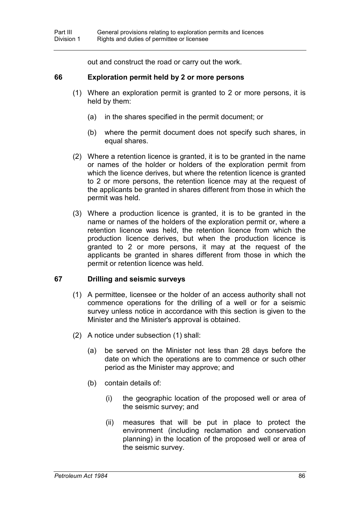out and construct the road or carry out the work.

#### **66 Exploration permit held by 2 or more persons**

- (1) Where an exploration permit is granted to 2 or more persons, it is held by them:
	- (a) in the shares specified in the permit document; or
	- (b) where the permit document does not specify such shares, in equal shares.
- (2) Where a retention licence is granted, it is to be granted in the name or names of the holder or holders of the exploration permit from which the licence derives, but where the retention licence is granted to 2 or more persons, the retention licence may at the request of the applicants be granted in shares different from those in which the permit was held.
- (3) Where a production licence is granted, it is to be granted in the name or names of the holders of the exploration permit or, where a retention licence was held, the retention licence from which the production licence derives, but when the production licence is granted to 2 or more persons, it may at the request of the applicants be granted in shares different from those in which the permit or retention licence was held.

## **67 Drilling and seismic surveys**

- (1) A permittee, licensee or the holder of an access authority shall not commence operations for the drilling of a well or for a seismic survey unless notice in accordance with this section is given to the Minister and the Minister's approval is obtained.
- (2) A notice under subsection (1) shall:
	- (a) be served on the Minister not less than 28 days before the date on which the operations are to commence or such other period as the Minister may approve; and
	- (b) contain details of:
		- (i) the geographic location of the proposed well or area of the seismic survey; and
		- (ii) measures that will be put in place to protect the environment (including reclamation and conservation planning) in the location of the proposed well or area of the seismic survey.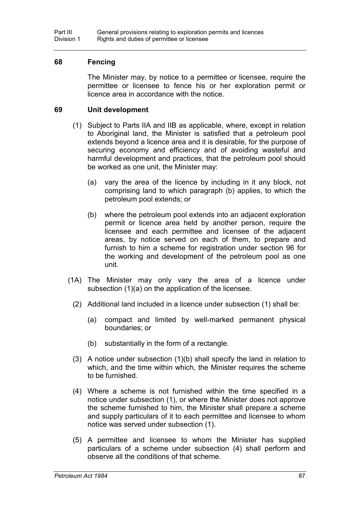#### **68 Fencing**

The Minister may, by notice to a permittee or licensee, require the permittee or licensee to fence his or her exploration permit or licence area in accordance with the notice.

#### **69 Unit development**

- (1) Subject to Parts IIA and IIB as applicable, where, except in relation to Aboriginal land, the Minister is satisfied that a petroleum pool extends beyond a licence area and it is desirable, for the purpose of securing economy and efficiency and of avoiding wasteful and harmful development and practices, that the petroleum pool should be worked as one unit, the Minister may:
	- (a) vary the area of the licence by including in it any block, not comprising land to which paragraph (b) applies, to which the petroleum pool extends; or
	- (b) where the petroleum pool extends into an adjacent exploration permit or licence area held by another person, require the licensee and each permittee and licensee of the adjacent areas, by notice served on each of them, to prepare and furnish to him a scheme for registration under section 96 for the working and development of the petroleum pool as one unit.
- (1A) The Minister may only vary the area of a licence under subsection (1)(a) on the application of the licensee.
	- (2) Additional land included in a licence under subsection (1) shall be:
		- (a) compact and limited by well-marked permanent physical boundaries; or
		- (b) substantially in the form of a rectangle.
	- (3) A notice under subsection (1)(b) shall specify the land in relation to which, and the time within which, the Minister requires the scheme to be furnished.
	- (4) Where a scheme is not furnished within the time specified in a notice under subsection (1), or where the Minister does not approve the scheme furnished to him, the Minister shall prepare a scheme and supply particulars of it to each permittee and licensee to whom notice was served under subsection (1).
	- (5) A permittee and licensee to whom the Minister has supplied particulars of a scheme under subsection (4) shall perform and observe all the conditions of that scheme.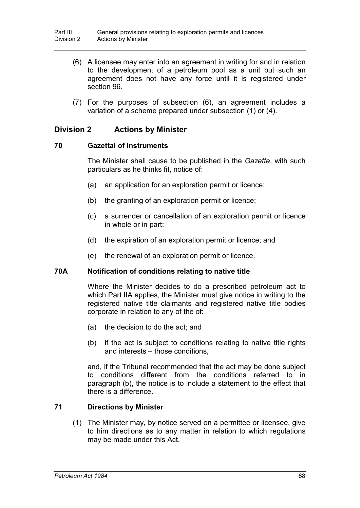- (6) A licensee may enter into an agreement in writing for and in relation to the development of a petroleum pool as a unit but such an agreement does not have any force until it is registered under section 96.
- (7) For the purposes of subsection (6), an agreement includes a variation of a scheme prepared under subsection (1) or (4).

## **Division 2 Actions by Minister**

## **70 Gazettal of instruments**

The Minister shall cause to be published in the *Gazette*, with such particulars as he thinks fit, notice of:

- (a) an application for an exploration permit or licence;
- (b) the granting of an exploration permit or licence;
- (c) a surrender or cancellation of an exploration permit or licence in whole or in part;
- (d) the expiration of an exploration permit or licence; and
- (e) the renewal of an exploration permit or licence.

## **70A Notification of conditions relating to native title**

Where the Minister decides to do a prescribed petroleum act to which Part IIA applies, the Minister must give notice in writing to the registered native title claimants and registered native title bodies corporate in relation to any of the of:

- (a) the decision to do the act; and
- (b) if the act is subject to conditions relating to native title rights and interests – those conditions,

and, if the Tribunal recommended that the act may be done subject to conditions different from the conditions referred to in paragraph (b), the notice is to include a statement to the effect that there is a difference.

## **71 Directions by Minister**

(1) The Minister may, by notice served on a permittee or licensee, give to him directions as to any matter in relation to which regulations may be made under this Act.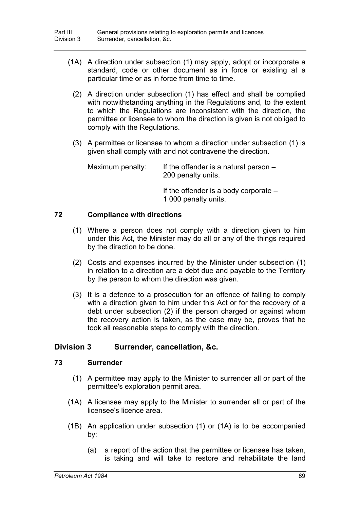- (1A) A direction under subsection (1) may apply, adopt or incorporate a standard, code or other document as in force or existing at a particular time or as in force from time to time.
	- (2) A direction under subsection (1) has effect and shall be complied with notwithstanding anything in the Regulations and, to the extent to which the Regulations are inconsistent with the direction, the permittee or licensee to whom the direction is given is not obliged to comply with the Regulations.
	- (3) A permittee or licensee to whom a direction under subsection (1) is given shall comply with and not contravene the direction.

| Maximum penalty: | If the offender is a natural person $-$ |
|------------------|-----------------------------------------|
|                  | 200 penalty units.                      |

If the offender is a body corporate – 1 000 penalty units.

## **72 Compliance with directions**

- (1) Where a person does not comply with a direction given to him under this Act, the Minister may do all or any of the things required by the direction to be done.
- (2) Costs and expenses incurred by the Minister under subsection (1) in relation to a direction are a debt due and payable to the Territory by the person to whom the direction was given.
- (3) It is a defence to a prosecution for an offence of failing to comply with a direction given to him under this Act or for the recovery of a debt under subsection (2) if the person charged or against whom the recovery action is taken, as the case may be, proves that he took all reasonable steps to comply with the direction.

## **Division 3 Surrender, cancellation, &c.**

## **73 Surrender**

- (1) A permittee may apply to the Minister to surrender all or part of the permittee's exploration permit area.
- (1A) A licensee may apply to the Minister to surrender all or part of the licensee's licence area.
- (1B) An application under subsection (1) or (1A) is to be accompanied by:
	- (a) a report of the action that the permittee or licensee has taken, is taking and will take to restore and rehabilitate the land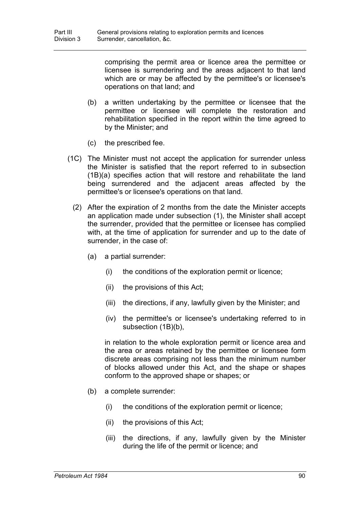comprising the permit area or licence area the permittee or licensee is surrendering and the areas adjacent to that land which are or may be affected by the permittee's or licensee's operations on that land; and

- (b) a written undertaking by the permittee or licensee that the permittee or licensee will complete the restoration and rehabilitation specified in the report within the time agreed to by the Minister; and
- (c) the prescribed fee.
- (1C) The Minister must not accept the application for surrender unless the Minister is satisfied that the report referred to in subsection (1B)(a) specifies action that will restore and rehabilitate the land being surrendered and the adjacent areas affected by the permittee's or licensee's operations on that land.
	- (2) After the expiration of 2 months from the date the Minister accepts an application made under subsection (1), the Minister shall accept the surrender, provided that the permittee or licensee has complied with, at the time of application for surrender and up to the date of surrender, in the case of:
		- (a) a partial surrender:
			- (i) the conditions of the exploration permit or licence;
			- (ii) the provisions of this Act;
			- (iii) the directions, if any, lawfully given by the Minister; and
			- (iv) the permittee's or licensee's undertaking referred to in subsection (1B)(b),

in relation to the whole exploration permit or licence area and the area or areas retained by the permittee or licensee form discrete areas comprising not less than the minimum number of blocks allowed under this Act, and the shape or shapes conform to the approved shape or shapes; or

- (b) a complete surrender:
	- (i) the conditions of the exploration permit or licence;
	- (ii) the provisions of this Act;
	- (iii) the directions, if any, lawfully given by the Minister during the life of the permit or licence; and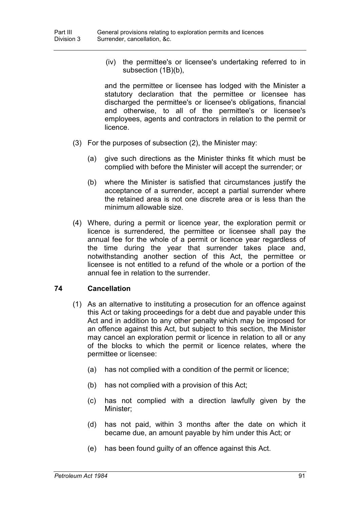(iv) the permittee's or licensee's undertaking referred to in subsection (1B)(b),

and the permittee or licensee has lodged with the Minister a statutory declaration that the permittee or licensee has discharged the permittee's or licensee's obligations, financial and otherwise, to all of the permittee's or licensee's employees, agents and contractors in relation to the permit or licence.

- (3) For the purposes of subsection (2), the Minister may:
	- (a) give such directions as the Minister thinks fit which must be complied with before the Minister will accept the surrender; or
	- (b) where the Minister is satisfied that circumstances justify the acceptance of a surrender, accept a partial surrender where the retained area is not one discrete area or is less than the minimum allowable size.
- (4) Where, during a permit or licence year, the exploration permit or licence is surrendered, the permittee or licensee shall pay the annual fee for the whole of a permit or licence year regardless of the time during the year that surrender takes place and, notwithstanding another section of this Act, the permittee or licensee is not entitled to a refund of the whole or a portion of the annual fee in relation to the surrender.

## **74 Cancellation**

- (1) As an alternative to instituting a prosecution for an offence against this Act or taking proceedings for a debt due and payable under this Act and in addition to any other penalty which may be imposed for an offence against this Act, but subject to this section, the Minister may cancel an exploration permit or licence in relation to all or any of the blocks to which the permit or licence relates, where the permittee or licensee:
	- (a) has not complied with a condition of the permit or licence;
	- (b) has not complied with a provision of this Act;
	- (c) has not complied with a direction lawfully given by the Minister;
	- (d) has not paid, within 3 months after the date on which it became due, an amount payable by him under this Act; or
	- (e) has been found guilty of an offence against this Act.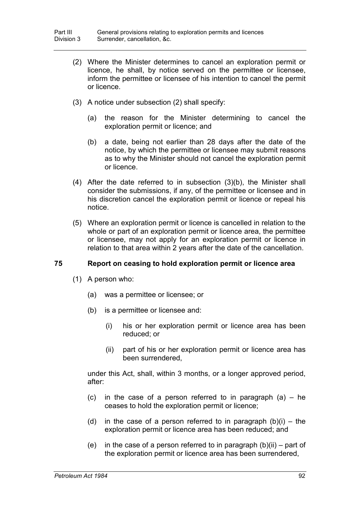- (2) Where the Minister determines to cancel an exploration permit or licence, he shall, by notice served on the permittee or licensee, inform the permittee or licensee of his intention to cancel the permit or licence.
- (3) A notice under subsection (2) shall specify:
	- (a) the reason for the Minister determining to cancel the exploration permit or licence; and
	- (b) a date, being not earlier than 28 days after the date of the notice, by which the permittee or licensee may submit reasons as to why the Minister should not cancel the exploration permit or licence.
- (4) After the date referred to in subsection (3)(b), the Minister shall consider the submissions, if any, of the permittee or licensee and in his discretion cancel the exploration permit or licence or repeal his notice.
- (5) Where an exploration permit or licence is cancelled in relation to the whole or part of an exploration permit or licence area, the permittee or licensee, may not apply for an exploration permit or licence in relation to that area within 2 years after the date of the cancellation.

## **75 Report on ceasing to hold exploration permit or licence area**

- (1) A person who:
	- (a) was a permittee or licensee; or
	- (b) is a permittee or licensee and:
		- (i) his or her exploration permit or licence area has been reduced; or
		- (ii) part of his or her exploration permit or licence area has been surrendered,

under this Act, shall, within 3 months, or a longer approved period, after:

- (c) in the case of a person referred to in paragraph  $(a)$  he ceases to hold the exploration permit or licence;
- (d) in the case of a person referred to in paragraph  $(b)(i) -$  the exploration permit or licence area has been reduced; and
- (e) in the case of a person referred to in paragraph  $(b)(ii)$  part of the exploration permit or licence area has been surrendered,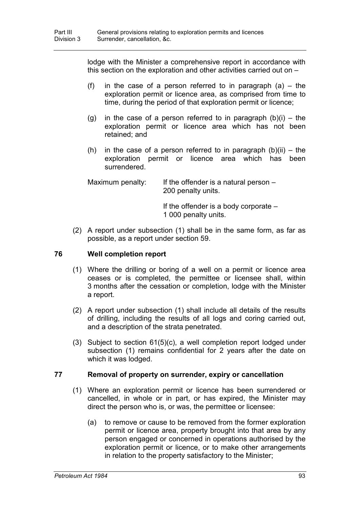lodge with the Minister a comprehensive report in accordance with this section on the exploration and other activities carried out on –

- (f) in the case of a person referred to in paragraph  $(a)$  the exploration permit or licence area, as comprised from time to time, during the period of that exploration permit or licence;
- (g) in the case of a person referred to in paragraph  $(b)(i) -$  the exploration permit or licence area which has not been retained; and
- (h) in the case of a person referred to in paragraph  $(b)(ii) the$ exploration permit or licence area which has been surrendered.

| Maximum penalty: | If the offender is a natural person $-$<br>200 penalty units.   |
|------------------|-----------------------------------------------------------------|
|                  | If the offender is a body corporate $-$<br>1 000 penalty units. |

(2) A report under subsection (1) shall be in the same form, as far as possible, as a report under section 59.

## **76 Well completion report**

- (1) Where the drilling or boring of a well on a permit or licence area ceases or is completed, the permittee or licensee shall, within 3 months after the cessation or completion, lodge with the Minister a report.
- (2) A report under subsection (1) shall include all details of the results of drilling, including the results of all logs and coring carried out, and a description of the strata penetrated.
- (3) Subject to section 61(5)(c), a well completion report lodged under subsection (1) remains confidential for 2 years after the date on which it was lodged.

## **77 Removal of property on surrender, expiry or cancellation**

- (1) Where an exploration permit or licence has been surrendered or cancelled, in whole or in part, or has expired, the Minister may direct the person who is, or was, the permittee or licensee:
	- (a) to remove or cause to be removed from the former exploration permit or licence area, property brought into that area by any person engaged or concerned in operations authorised by the exploration permit or licence, or to make other arrangements in relation to the property satisfactory to the Minister;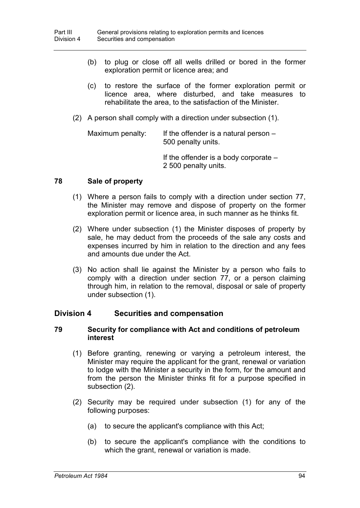- (b) to plug or close off all wells drilled or bored in the former exploration permit or licence area; and
- (c) to restore the surface of the former exploration permit or licence area, where disturbed, and take measures to rehabilitate the area, to the satisfaction of the Minister.
- (2) A person shall comply with a direction under subsection (1).

Maximum penalty: If the offender is a natural person – 500 penalty units.

> If the offender is a body corporate – 2 500 penalty units.

#### **78 Sale of property**

- (1) Where a person fails to comply with a direction under section 77, the Minister may remove and dispose of property on the former exploration permit or licence area, in such manner as he thinks fit.
- (2) Where under subsection (1) the Minister disposes of property by sale, he may deduct from the proceeds of the sale any costs and expenses incurred by him in relation to the direction and any fees and amounts due under the Act.
- (3) No action shall lie against the Minister by a person who fails to comply with a direction under section 77, or a person claiming through him, in relation to the removal, disposal or sale of property under subsection (1).

## **Division 4 Securities and compensation**

#### **79 Security for compliance with Act and conditions of petroleum interest**

- (1) Before granting, renewing or varying a petroleum interest, the Minister may require the applicant for the grant, renewal or variation to lodge with the Minister a security in the form, for the amount and from the person the Minister thinks fit for a purpose specified in subsection (2).
- (2) Security may be required under subsection (1) for any of the following purposes:
	- (a) to secure the applicant's compliance with this Act;
	- (b) to secure the applicant's compliance with the conditions to which the grant, renewal or variation is made.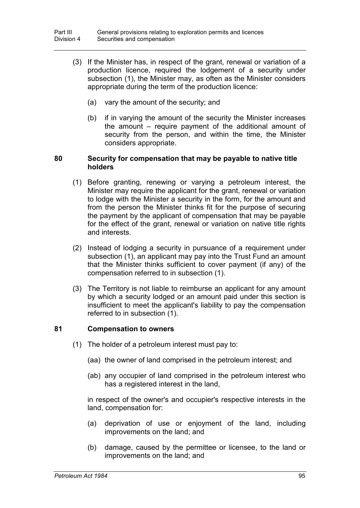- (3) If the Minister has, in respect of the grant, renewal or variation of a production licence, required the lodgement of a security under subsection (1), the Minister may, as often as the Minister considers appropriate during the term of the production licence:
	- (a) vary the amount of the security; and
	- (b) if in varying the amount of the security the Minister increases the amount – require payment of the additional amount of security from the person, and within the time, the Minister considers appropriate.

#### **80 Security for compensation that may be payable to native title holders**

- (1) Before granting, renewing or varying a petroleum interest, the Minister may require the applicant for the grant, renewal or variation to lodge with the Minister a security in the form, for the amount and from the person the Minister thinks fit for the purpose of securing the payment by the applicant of compensation that may be payable for the effect of the grant, renewal or variation on native title rights and interests.
- (2) Instead of lodging a security in pursuance of a requirement under subsection (1), an applicant may pay into the Trust Fund an amount that the Minister thinks sufficient to cover payment (if any) of the compensation referred to in subsection (1).
- (3) The Territory is not liable to reimburse an applicant for any amount by which a security lodged or an amount paid under this section is insufficient to meet the applicant's liability to pay the compensation referred to in subsection (1).

## **81 Compensation to owners**

- (1) The holder of a petroleum interest must pay to:
	- (aa) the owner of land comprised in the petroleum interest; and
	- (ab) any occupier of land comprised in the petroleum interest who has a registered interest in the land.

in respect of the owner's and occupier's respective interests in the land, compensation for:

- (a) deprivation of use or enjoyment of the land, including improvements on the land; and
- (b) damage, caused by the permittee or licensee, to the land or improvements on the land; and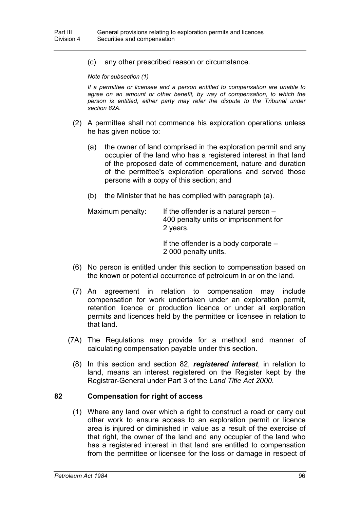(c) any other prescribed reason or circumstance.

*Note for subsection (1)*

*If a permittee or licensee and a person entitled to compensation are unable to agree on an amount or other benefit, by way of compensation, to which the person is entitled, either party may refer the dispute to the Tribunal under section 82A.*

- (2) A permittee shall not commence his exploration operations unless he has given notice to:
	- (a) the owner of land comprised in the exploration permit and any occupier of the land who has a registered interest in that land of the proposed date of commencement, nature and duration of the permittee's exploration operations and served those persons with a copy of this section; and
	- (b) the Minister that he has complied with paragraph (a).

| Maximum penalty: | If the offender is a natural person $-$<br>400 penalty units or imprisonment for<br>2 years. |
|------------------|----------------------------------------------------------------------------------------------|
|                  | If the offender is a body corporate $-$<br>2 000 penalty units.                              |

- (6) No person is entitled under this section to compensation based on the known or potential occurrence of petroleum in or on the land.
- (7) An agreement in relation to compensation may include compensation for work undertaken under an exploration permit, retention licence or production licence or under all exploration permits and licences held by the permittee or licensee in relation to that land.
- (7A) The Regulations may provide for a method and manner of calculating compensation payable under this section.
	- (8) In this section and section 82, *registered interest*, in relation to land, means an interest registered on the Register kept by the Registrar-General under Part 3 of the *Land Title Act 2000*.

#### **82 Compensation for right of access**

(1) Where any land over which a right to construct a road or carry out other work to ensure access to an exploration permit or licence area is injured or diminished in value as a result of the exercise of that right, the owner of the land and any occupier of the land who has a registered interest in that land are entitled to compensation from the permittee or licensee for the loss or damage in respect of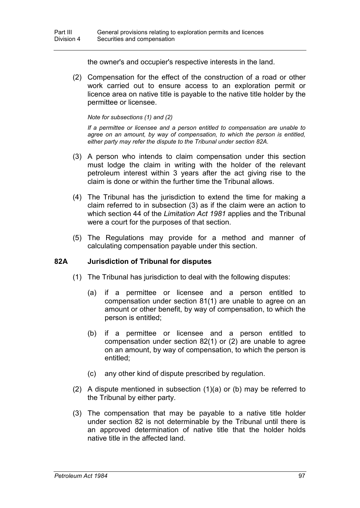the owner's and occupier's respective interests in the land.

(2) Compensation for the effect of the construction of a road or other work carried out to ensure access to an exploration permit or licence area on native title is payable to the native title holder by the permittee or licensee.

#### *Note for subsections (1) and (2)*

*If a permittee or licensee and a person entitled to compensation are unable to agree on an amount, by way of compensation, to which the person is entitled, either party may refer the dispute to the Tribunal under section 82A.*

- (3) A person who intends to claim compensation under this section must lodge the claim in writing with the holder of the relevant petroleum interest within 3 years after the act giving rise to the claim is done or within the further time the Tribunal allows.
- (4) The Tribunal has the jurisdiction to extend the time for making a claim referred to in subsection (3) as if the claim were an action to which section 44 of the *Limitation Act 1981* applies and the Tribunal were a court for the purposes of that section.
- (5) The Regulations may provide for a method and manner of calculating compensation payable under this section.

## **82A Jurisdiction of Tribunal for disputes**

- (1) The Tribunal has jurisdiction to deal with the following disputes:
	- (a) if a permittee or licensee and a person entitled to compensation under section 81(1) are unable to agree on an amount or other benefit, by way of compensation, to which the person is entitled;
	- (b) if a permittee or licensee and a person entitled to compensation under section 82(1) or (2) are unable to agree on an amount, by way of compensation, to which the person is entitled;
	- (c) any other kind of dispute prescribed by regulation.
- (2) A dispute mentioned in subsection (1)(a) or (b) may be referred to the Tribunal by either party.
- (3) The compensation that may be payable to a native title holder under section 82 is not determinable by the Tribunal until there is an approved determination of native title that the holder holds native title in the affected land.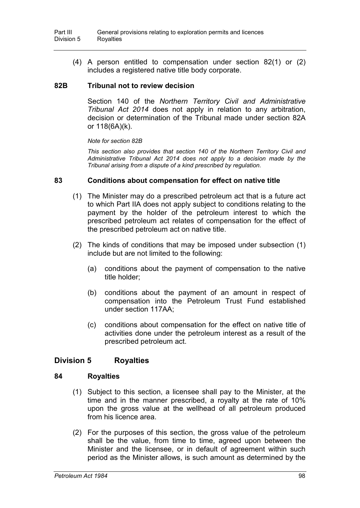(4) A person entitled to compensation under section 82(1) or (2) includes a registered native title body corporate.

## **82B Tribunal not to review decision**

Section 140 of the *Northern Territory Civil and Administrative Tribunal Act 2014* does not apply in relation to any arbitration, decision or determination of the Tribunal made under section 82A or 118(6A)(k).

*Note for section 82B*

*This section also provides that section 140 of the Northern Territory Civil and Administrative Tribunal Act 2014 does not apply to a decision made by the Tribunal arising from a dispute of a kind prescribed by regulation.*

#### **83 Conditions about compensation for effect on native title**

- (1) The Minister may do a prescribed petroleum act that is a future act to which Part IIA does not apply subject to conditions relating to the payment by the holder of the petroleum interest to which the prescribed petroleum act relates of compensation for the effect of the prescribed petroleum act on native title.
- (2) The kinds of conditions that may be imposed under subsection (1) include but are not limited to the following:
	- (a) conditions about the payment of compensation to the native title holder;
	- (b) conditions about the payment of an amount in respect of compensation into the Petroleum Trust Fund established under section 117AA;
	- (c) conditions about compensation for the effect on native title of activities done under the petroleum interest as a result of the prescribed petroleum act.

## **Division 5 Royalties**

#### **84 Royalties**

- (1) Subject to this section, a licensee shall pay to the Minister, at the time and in the manner prescribed, a royalty at the rate of 10% upon the gross value at the wellhead of all petroleum produced from his licence area.
- (2) For the purposes of this section, the gross value of the petroleum shall be the value, from time to time, agreed upon between the Minister and the licensee, or in default of agreement within such period as the Minister allows, is such amount as determined by the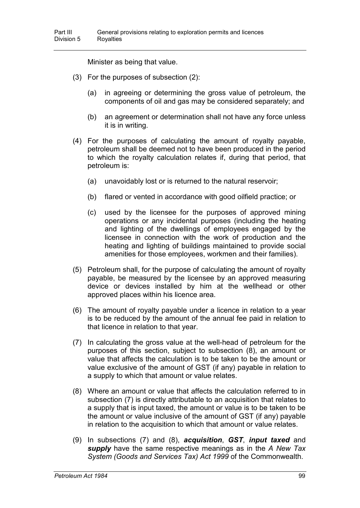Minister as being that value.

- (3) For the purposes of subsection (2):
	- (a) in agreeing or determining the gross value of petroleum, the components of oil and gas may be considered separately; and
	- (b) an agreement or determination shall not have any force unless it is in writing.
- (4) For the purposes of calculating the amount of royalty payable, petroleum shall be deemed not to have been produced in the period to which the royalty calculation relates if, during that period, that petroleum is:
	- (a) unavoidably lost or is returned to the natural reservoir;
	- (b) flared or vented in accordance with good oilfield practice; or
	- (c) used by the licensee for the purposes of approved mining operations or any incidental purposes (including the heating and lighting of the dwellings of employees engaged by the licensee in connection with the work of production and the heating and lighting of buildings maintained to provide social amenities for those employees, workmen and their families).
- (5) Petroleum shall, for the purpose of calculating the amount of royalty payable, be measured by the licensee by an approved measuring device or devices installed by him at the wellhead or other approved places within his licence area.
- (6) The amount of royalty payable under a licence in relation to a year is to be reduced by the amount of the annual fee paid in relation to that licence in relation to that year.
- (7) In calculating the gross value at the well-head of petroleum for the purposes of this section, subject to subsection (8), an amount or value that affects the calculation is to be taken to be the amount or value exclusive of the amount of GST (if any) payable in relation to a supply to which that amount or value relates.
- (8) Where an amount or value that affects the calculation referred to in subsection (7) is directly attributable to an acquisition that relates to a supply that is input taxed, the amount or value is to be taken to be the amount or value inclusive of the amount of GST (if any) payable in relation to the acquisition to which that amount or value relates.
- (9) In subsections (7) and (8), *acquisition*, *GST*, *input taxed* and *supply* have the same respective meanings as in the *A New Tax System (Goods and Services Tax) Act 1999* of the Commonwealth.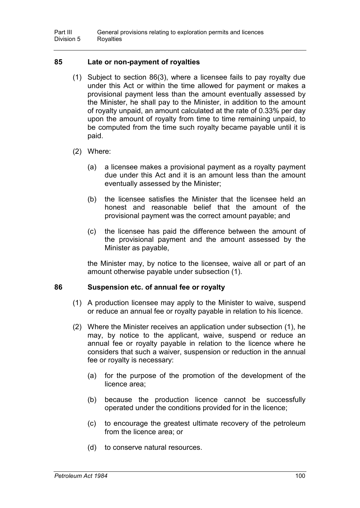## **85 Late or non-payment of royalties**

- (1) Subject to section 86(3), where a licensee fails to pay royalty due under this Act or within the time allowed for payment or makes a provisional payment less than the amount eventually assessed by the Minister, he shall pay to the Minister, in addition to the amount of royalty unpaid, an amount calculated at the rate of 0.33% per day upon the amount of royalty from time to time remaining unpaid, to be computed from the time such royalty became payable until it is paid.
- (2) Where:
	- (a) a licensee makes a provisional payment as a royalty payment due under this Act and it is an amount less than the amount eventually assessed by the Minister;
	- (b) the licensee satisfies the Minister that the licensee held an honest and reasonable belief that the amount of the provisional payment was the correct amount payable; and
	- (c) the licensee has paid the difference between the amount of the provisional payment and the amount assessed by the Minister as payable,

the Minister may, by notice to the licensee, waive all or part of an amount otherwise payable under subsection (1).

## **86 Suspension etc. of annual fee or royalty**

- (1) A production licensee may apply to the Minister to waive, suspend or reduce an annual fee or royalty payable in relation to his licence.
- (2) Where the Minister receives an application under subsection (1), he may, by notice to the applicant, waive, suspend or reduce an annual fee or royalty payable in relation to the licence where he considers that such a waiver, suspension or reduction in the annual fee or royalty is necessary:
	- (a) for the purpose of the promotion of the development of the licence area;
	- (b) because the production licence cannot be successfully operated under the conditions provided for in the licence;
	- (c) to encourage the greatest ultimate recovery of the petroleum from the licence area; or
	- (d) to conserve natural resources.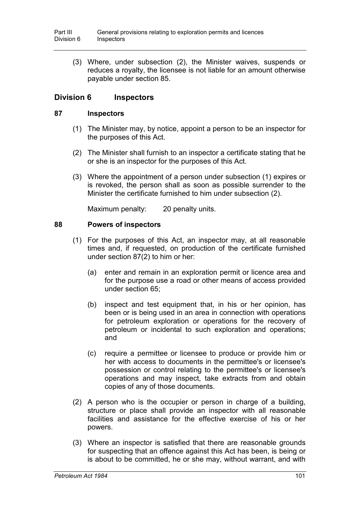(3) Where, under subsection (2), the Minister waives, suspends or reduces a royalty, the licensee is not liable for an amount otherwise payable under section 85.

# **Division 6 Inspectors**

### **87 Inspectors**

- (1) The Minister may, by notice, appoint a person to be an inspector for the purposes of this Act.
- (2) The Minister shall furnish to an inspector a certificate stating that he or she is an inspector for the purposes of this Act.
- (3) Where the appointment of a person under subsection (1) expires or is revoked, the person shall as soon as possible surrender to the Minister the certificate furnished to him under subsection (2).

Maximum penalty: 20 penalty units.

## **88 Powers of inspectors**

- (1) For the purposes of this Act, an inspector may, at all reasonable times and, if requested, on production of the certificate furnished under section 87(2) to him or her:
	- (a) enter and remain in an exploration permit or licence area and for the purpose use a road or other means of access provided under section 65;
	- (b) inspect and test equipment that, in his or her opinion, has been or is being used in an area in connection with operations for petroleum exploration or operations for the recovery of petroleum or incidental to such exploration and operations; and
	- (c) require a permittee or licensee to produce or provide him or her with access to documents in the permittee's or licensee's possession or control relating to the permittee's or licensee's operations and may inspect, take extracts from and obtain copies of any of those documents.
- (2) A person who is the occupier or person in charge of a building, structure or place shall provide an inspector with all reasonable facilities and assistance for the effective exercise of his or her powers.
- (3) Where an inspector is satisfied that there are reasonable grounds for suspecting that an offence against this Act has been, is being or is about to be committed, he or she may, without warrant, and with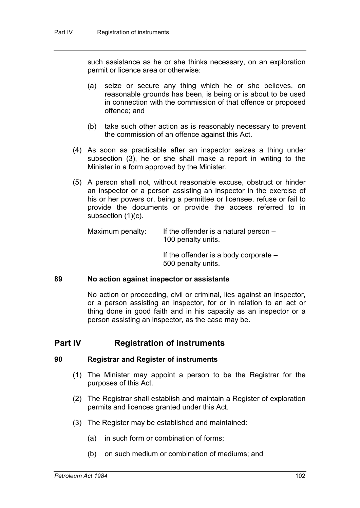such assistance as he or she thinks necessary, on an exploration permit or licence area or otherwise:

- (a) seize or secure any thing which he or she believes, on reasonable grounds has been, is being or is about to be used in connection with the commission of that offence or proposed offence; and
- (b) take such other action as is reasonably necessary to prevent the commission of an offence against this Act.
- (4) As soon as practicable after an inspector seizes a thing under subsection (3), he or she shall make a report in writing to the Minister in a form approved by the Minister.
- (5) A person shall not, without reasonable excuse, obstruct or hinder an inspector or a person assisting an inspector in the exercise of his or her powers or, being a permittee or licensee, refuse or fail to provide the documents or provide the access referred to in subsection (1)(c).

Maximum penalty: If the offender is a natural person  $-$ 100 penalty units.

> If the offender is a body corporate – 500 penalty units.

### **89 No action against inspector or assistants**

No action or proceeding, civil or criminal, lies against an inspector, or a person assisting an inspector, for or in relation to an act or thing done in good faith and in his capacity as an inspector or a person assisting an inspector, as the case may be.

# **Part IV Registration of instruments**

#### **90 Registrar and Register of instruments**

- (1) The Minister may appoint a person to be the Registrar for the purposes of this Act.
- (2) The Registrar shall establish and maintain a Register of exploration permits and licences granted under this Act.
- (3) The Register may be established and maintained:
	- (a) in such form or combination of forms;
	- (b) on such medium or combination of mediums; and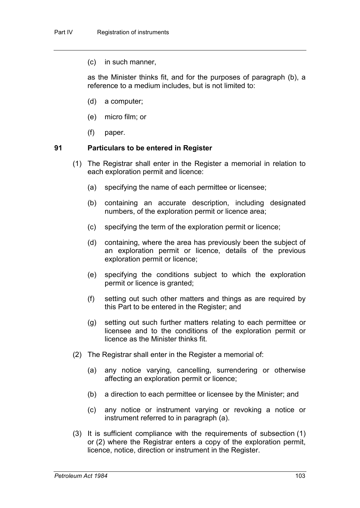(c) in such manner,

as the Minister thinks fit, and for the purposes of paragraph (b), a reference to a medium includes, but is not limited to:

- (d) a computer;
- (e) micro film; or
- (f) paper.

#### **91 Particulars to be entered in Register**

- (1) The Registrar shall enter in the Register a memorial in relation to each exploration permit and licence:
	- (a) specifying the name of each permittee or licensee;
	- (b) containing an accurate description, including designated numbers, of the exploration permit or licence area;
	- (c) specifying the term of the exploration permit or licence;
	- (d) containing, where the area has previously been the subject of an exploration permit or licence, details of the previous exploration permit or licence;
	- (e) specifying the conditions subject to which the exploration permit or licence is granted;
	- (f) setting out such other matters and things as are required by this Part to be entered in the Register; and
	- (g) setting out such further matters relating to each permittee or licensee and to the conditions of the exploration permit or licence as the Minister thinks fit.
- (2) The Registrar shall enter in the Register a memorial of:
	- (a) any notice varying, cancelling, surrendering or otherwise affecting an exploration permit or licence;
	- (b) a direction to each permittee or licensee by the Minister; and
	- (c) any notice or instrument varying or revoking a notice or instrument referred to in paragraph (a).
- (3) It is sufficient compliance with the requirements of subsection (1) or (2) where the Registrar enters a copy of the exploration permit, licence, notice, direction or instrument in the Register.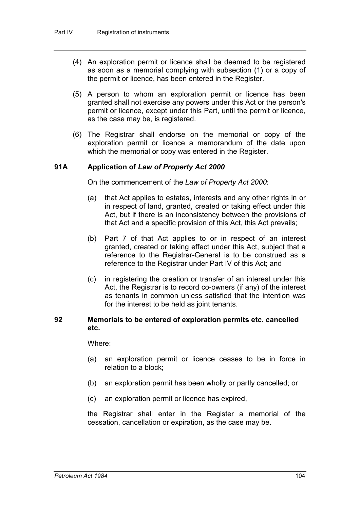- (4) An exploration permit or licence shall be deemed to be registered as soon as a memorial complying with subsection (1) or a copy of the permit or licence, has been entered in the Register.
- (5) A person to whom an exploration permit or licence has been granted shall not exercise any powers under this Act or the person's permit or licence, except under this Part, until the permit or licence, as the case may be, is registered.
- (6) The Registrar shall endorse on the memorial or copy of the exploration permit or licence a memorandum of the date upon which the memorial or copy was entered in the Register.

# **91A Application of** *Law of Property Act 2000*

On the commencement of the *Law of Property Act 2000*:

- (a) that Act applies to estates, interests and any other rights in or in respect of land, granted, created or taking effect under this Act, but if there is an inconsistency between the provisions of that Act and a specific provision of this Act, this Act prevails;
- (b) Part 7 of that Act applies to or in respect of an interest granted, created or taking effect under this Act, subject that a reference to the Registrar-General is to be construed as a reference to the Registrar under Part IV of this Act; and
- (c) in registering the creation or transfer of an interest under this Act, the Registrar is to record co-owners (if any) of the interest as tenants in common unless satisfied that the intention was for the interest to be held as joint tenants.

### **92 Memorials to be entered of exploration permits etc. cancelled etc.**

Where:

- (a) an exploration permit or licence ceases to be in force in relation to a block;
- (b) an exploration permit has been wholly or partly cancelled; or
- (c) an exploration permit or licence has expired,

the Registrar shall enter in the Register a memorial of the cessation, cancellation or expiration, as the case may be.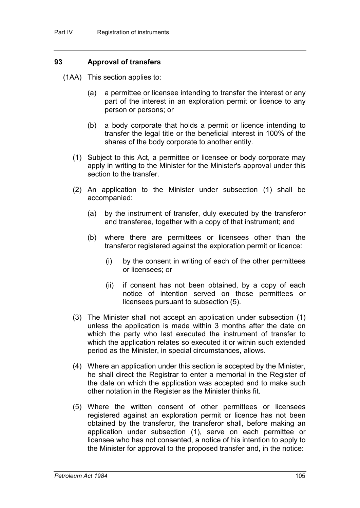## **93 Approval of transfers**

(1AA) This section applies to:

- (a) a permittee or licensee intending to transfer the interest or any part of the interest in an exploration permit or licence to any person or persons; or
- (b) a body corporate that holds a permit or licence intending to transfer the legal title or the beneficial interest in 100% of the shares of the body corporate to another entity.
- (1) Subject to this Act, a permittee or licensee or body corporate may apply in writing to the Minister for the Minister's approval under this section to the transfer.
- (2) An application to the Minister under subsection (1) shall be accompanied:
	- (a) by the instrument of transfer, duly executed by the transferor and transferee, together with a copy of that instrument; and
	- (b) where there are permittees or licensees other than the transferor registered against the exploration permit or licence:
		- (i) by the consent in writing of each of the other permittees or licensees; or
		- (ii) if consent has not been obtained, by a copy of each notice of intention served on those permittees or licensees pursuant to subsection (5).
- (3) The Minister shall not accept an application under subsection (1) unless the application is made within 3 months after the date on which the party who last executed the instrument of transfer to which the application relates so executed it or within such extended period as the Minister, in special circumstances, allows.
- (4) Where an application under this section is accepted by the Minister, he shall direct the Registrar to enter a memorial in the Register of the date on which the application was accepted and to make such other notation in the Register as the Minister thinks fit.
- (5) Where the written consent of other permittees or licensees registered against an exploration permit or licence has not been obtained by the transferor, the transferor shall, before making an application under subsection (1), serve on each permittee or licensee who has not consented, a notice of his intention to apply to the Minister for approval to the proposed transfer and, in the notice: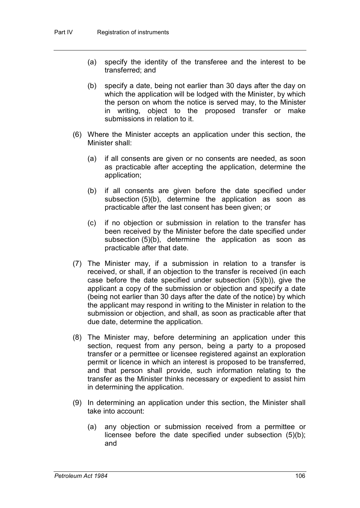- (a) specify the identity of the transferee and the interest to be transferred; and
- (b) specify a date, being not earlier than 30 days after the day on which the application will be lodged with the Minister, by which the person on whom the notice is served may, to the Minister in writing, object to the proposed transfer or make submissions in relation to it.
- (6) Where the Minister accepts an application under this section, the Minister shall:
	- (a) if all consents are given or no consents are needed, as soon as practicable after accepting the application, determine the application;
	- (b) if all consents are given before the date specified under subsection (5)(b), determine the application as soon as practicable after the last consent has been given; or
	- (c) if no objection or submission in relation to the transfer has been received by the Minister before the date specified under subsection (5)(b), determine the application as soon as practicable after that date.
- (7) The Minister may, if a submission in relation to a transfer is received, or shall, if an objection to the transfer is received (in each case before the date specified under subsection (5)(b)), give the applicant a copy of the submission or objection and specify a date (being not earlier than 30 days after the date of the notice) by which the applicant may respond in writing to the Minister in relation to the submission or objection, and shall, as soon as practicable after that due date, determine the application.
- (8) The Minister may, before determining an application under this section, request from any person, being a party to a proposed transfer or a permittee or licensee registered against an exploration permit or licence in which an interest is proposed to be transferred, and that person shall provide, such information relating to the transfer as the Minister thinks necessary or expedient to assist him in determining the application.
- (9) In determining an application under this section, the Minister shall take into account:
	- (a) any objection or submission received from a permittee or licensee before the date specified under subsection (5)(b); and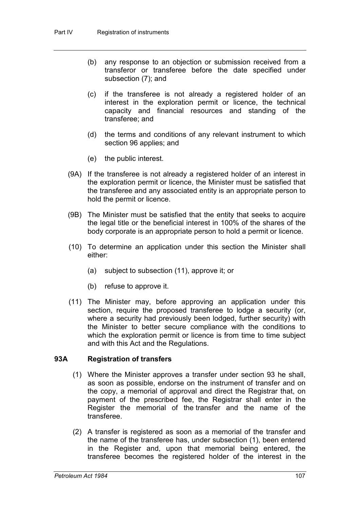- (b) any response to an objection or submission received from a transferor or transferee before the date specified under subsection (7); and
- (c) if the transferee is not already a registered holder of an interest in the exploration permit or licence, the technical capacity and financial resources and standing of the transferee; and
- (d) the terms and conditions of any relevant instrument to which section 96 applies; and
- (e) the public interest.
- (9A) If the transferee is not already a registered holder of an interest in the exploration permit or licence, the Minister must be satisfied that the transferee and any associated entity is an appropriate person to hold the permit or licence.
- (9B) The Minister must be satisfied that the entity that seeks to acquire the legal title or the beneficial interest in 100% of the shares of the body corporate is an appropriate person to hold a permit or licence.
- (10) To determine an application under this section the Minister shall either:
	- (a) subject to subsection (11), approve it; or
	- (b) refuse to approve it.
- (11) The Minister may, before approving an application under this section, require the proposed transferee to lodge a security (or, where a security had previously been lodged, further security) with the Minister to better secure compliance with the conditions to which the exploration permit or licence is from time to time subject and with this Act and the Regulations.

# **93A Registration of transfers**

- (1) Where the Minister approves a transfer under section 93 he shall, as soon as possible, endorse on the instrument of transfer and on the copy, a memorial of approval and direct the Registrar that, on payment of the prescribed fee, the Registrar shall enter in the Register the memorial of the transfer and the name of the transferee.
- (2) A transfer is registered as soon as a memorial of the transfer and the name of the transferee has, under subsection (1), been entered in the Register and, upon that memorial being entered, the transferee becomes the registered holder of the interest in the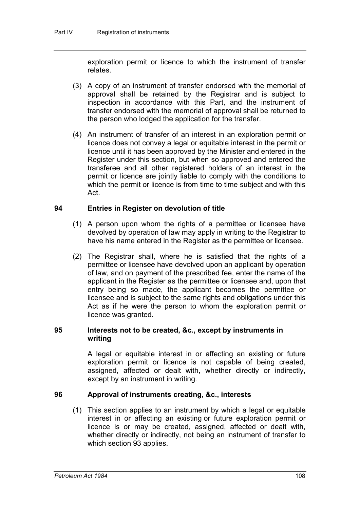exploration permit or licence to which the instrument of transfer relates.

- (3) A copy of an instrument of transfer endorsed with the memorial of approval shall be retained by the Registrar and is subject to inspection in accordance with this Part, and the instrument of transfer endorsed with the memorial of approval shall be returned to the person who lodged the application for the transfer.
- (4) An instrument of transfer of an interest in an exploration permit or licence does not convey a legal or equitable interest in the permit or licence until it has been approved by the Minister and entered in the Register under this section, but when so approved and entered the transferee and all other registered holders of an interest in the permit or licence are jointly liable to comply with the conditions to which the permit or licence is from time to time subject and with this Act.

# **94 Entries in Register on devolution of title**

- (1) A person upon whom the rights of a permittee or licensee have devolved by operation of law may apply in writing to the Registrar to have his name entered in the Register as the permittee or licensee.
- (2) The Registrar shall, where he is satisfied that the rights of a permittee or licensee have devolved upon an applicant by operation of law, and on payment of the prescribed fee, enter the name of the applicant in the Register as the permittee or licensee and, upon that entry being so made, the applicant becomes the permittee or licensee and is subject to the same rights and obligations under this Act as if he were the person to whom the exploration permit or licence was granted.

# **95 Interests not to be created, &c., except by instruments in writing**

A legal or equitable interest in or affecting an existing or future exploration permit or licence is not capable of being created, assigned, affected or dealt with, whether directly or indirectly, except by an instrument in writing.

# **96 Approval of instruments creating, &c., interests**

(1) This section applies to an instrument by which a legal or equitable interest in or affecting an existing or future exploration permit or licence is or may be created, assigned, affected or dealt with, whether directly or indirectly, not being an instrument of transfer to which section 93 applies.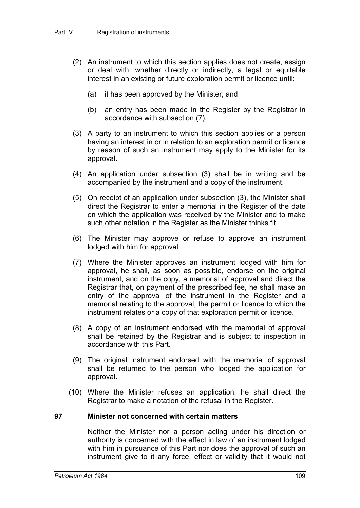- (2) An instrument to which this section applies does not create, assign or deal with, whether directly or indirectly, a legal or equitable interest in an existing or future exploration permit or licence until:
	- (a) it has been approved by the Minister; and
	- (b) an entry has been made in the Register by the Registrar in accordance with subsection (7).
- (3) A party to an instrument to which this section applies or a person having an interest in or in relation to an exploration permit or licence by reason of such an instrument may apply to the Minister for its approval.
- (4) An application under subsection (3) shall be in writing and be accompanied by the instrument and a copy of the instrument.
- (5) On receipt of an application under subsection (3), the Minister shall direct the Registrar to enter a memorial in the Register of the date on which the application was received by the Minister and to make such other notation in the Register as the Minister thinks fit.
- (6) The Minister may approve or refuse to approve an instrument lodged with him for approval.
- (7) Where the Minister approves an instrument lodged with him for approval, he shall, as soon as possible, endorse on the original instrument, and on the copy, a memorial of approval and direct the Registrar that, on payment of the prescribed fee, he shall make an entry of the approval of the instrument in the Register and a memorial relating to the approval, the permit or licence to which the instrument relates or a copy of that exploration permit or licence.
- (8) A copy of an instrument endorsed with the memorial of approval shall be retained by the Registrar and is subject to inspection in accordance with this Part.
- (9) The original instrument endorsed with the memorial of approval shall be returned to the person who lodged the application for approval.
- (10) Where the Minister refuses an application, he shall direct the Registrar to make a notation of the refusal in the Register.

#### **97 Minister not concerned with certain matters**

Neither the Minister nor a person acting under his direction or authority is concerned with the effect in law of an instrument lodged with him in pursuance of this Part nor does the approval of such an instrument give to it any force, effect or validity that it would not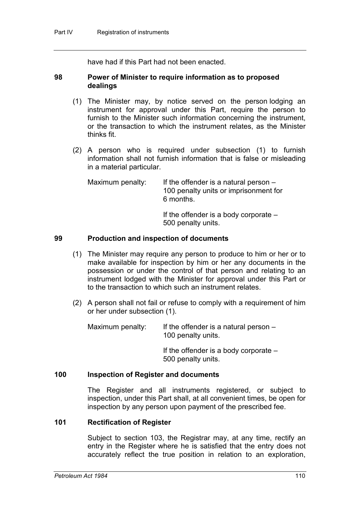have had if this Part had not been enacted.

### **98 Power of Minister to require information as to proposed dealings**

- (1) The Minister may, by notice served on the person lodging an instrument for approval under this Part, require the person to furnish to the Minister such information concerning the instrument, or the transaction to which the instrument relates, as the Minister thinks fit.
- (2) A person who is required under subsection (1) to furnish information shall not furnish information that is false or misleading in a material particular.

Maximum penalty: If the offender is a natural person  $-$ 100 penalty units or imprisonment for 6 months.

> If the offender is a body corporate – 500 penalty units.

### **99 Production and inspection of documents**

- (1) The Minister may require any person to produce to him or her or to make available for inspection by him or her any documents in the possession or under the control of that person and relating to an instrument lodged with the Minister for approval under this Part or to the transaction to which such an instrument relates.
- (2) A person shall not fail or refuse to comply with a requirement of him or her under subsection (1).

Maximum penalty: If the offender is a natural person  $-$ 100 penalty units.

> If the offender is a body corporate – 500 penalty units.

### **100 Inspection of Register and documents**

The Register and all instruments registered, or subject to inspection, under this Part shall, at all convenient times, be open for inspection by any person upon payment of the prescribed fee.

#### **101 Rectification of Register**

Subject to section 103, the Registrar may, at any time, rectify an entry in the Register where he is satisfied that the entry does not accurately reflect the true position in relation to an exploration,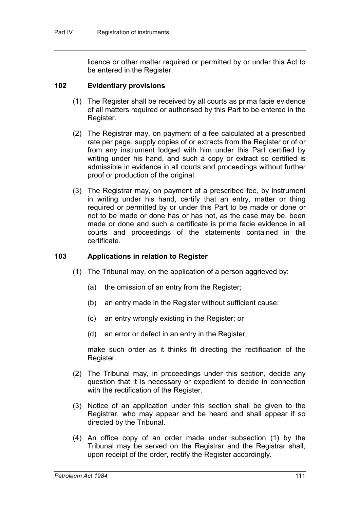licence or other matter required or permitted by or under this Act to be entered in the Register.

### **102 Evidentiary provisions**

- (1) The Register shall be received by all courts as prima facie evidence of all matters required or authorised by this Part to be entered in the Register.
- (2) The Registrar may, on payment of a fee calculated at a prescribed rate per page, supply copies of or extracts from the Register or of or from any instrument lodged with him under this Part certified by writing under his hand, and such a copy or extract so certified is admissible in evidence in all courts and proceedings without further proof or production of the original.
- (3) The Registrar may, on payment of a prescribed fee, by instrument in writing under his hand, certify that an entry, matter or thing required or permitted by or under this Part to be made or done or not to be made or done has or has not, as the case may be, been made or done and such a certificate is prima facie evidence in all courts and proceedings of the statements contained in the certificate.

### **103 Applications in relation to Register**

- (1) The Tribunal may, on the application of a person aggrieved by:
	- (a) the omission of an entry from the Register;
	- (b) an entry made in the Register without sufficient cause;
	- (c) an entry wrongly existing in the Register; or
	- (d) an error or defect in an entry in the Register,

make such order as it thinks fit directing the rectification of the Register.

- (2) The Tribunal may, in proceedings under this section, decide any question that it is necessary or expedient to decide in connection with the rectification of the Register.
- (3) Notice of an application under this section shall be given to the Registrar, who may appear and be heard and shall appear if so directed by the Tribunal.
- (4) An office copy of an order made under subsection (1) by the Tribunal may be served on the Registrar and the Registrar shall, upon receipt of the order, rectify the Register accordingly.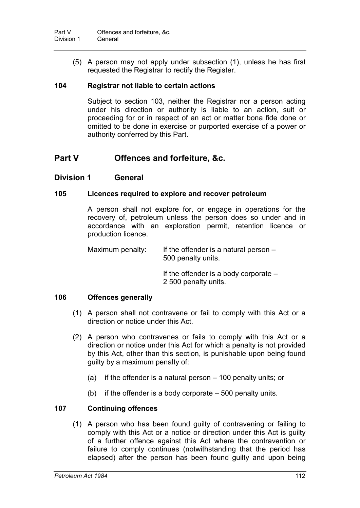(5) A person may not apply under subsection (1), unless he has first requested the Registrar to rectify the Register.

## **104 Registrar not liable to certain actions**

Subject to section 103, neither the Registrar nor a person acting under his direction or authority is liable to an action, suit or proceeding for or in respect of an act or matter bona fide done or omitted to be done in exercise or purported exercise of a power or authority conferred by this Part.

# **Part V Offences and forfeiture, &c.**

# **Division 1 General**

## **105 Licences required to explore and recover petroleum**

A person shall not explore for, or engage in operations for the recovery of, petroleum unless the person does so under and in accordance with an exploration permit, retention licence or production licence.

Maximum penalty: If the offender is a natural person  $-$ 500 penalty units.

If the offender is a body corporate –

2 500 penalty units.

## **106 Offences generally**

- (1) A person shall not contravene or fail to comply with this Act or a direction or notice under this Act.
- (2) A person who contravenes or fails to comply with this Act or a direction or notice under this Act for which a penalty is not provided by this Act, other than this section, is punishable upon being found guilty by a maximum penalty of:
	- (a) if the offender is a natural person 100 penalty units; or
	- (b) if the offender is a body corporate 500 penalty units.

# **107 Continuing offences**

(1) A person who has been found guilty of contravening or failing to comply with this Act or a notice or direction under this Act is guilty of a further offence against this Act where the contravention or failure to comply continues (notwithstanding that the period has elapsed) after the person has been found guilty and upon being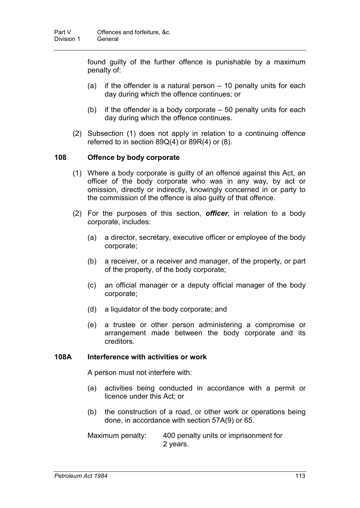found guilty of the further offence is punishable by a maximum penalty of:

- (a) if the offender is a natural person 10 penalty units for each day during which the offence continues; or
- (b) if the offender is a body corporate  $-50$  penalty units for each day during which the offence continues.
- (2) Subsection (1) does not apply in relation to a continuing offence referred to in section  $89Q(4)$  or  $89R(4)$  or  $(8)$ .

### **108 Offence by body corporate**

- (1) Where a body corporate is guilty of an offence against this Act, an officer of the body corporate who was in any way, by act or omission, directly or indirectly, knowingly concerned in or party to the commission of the offence is also guilty of that offence.
- (2) For the purposes of this section, *officer*, in relation to a body corporate, includes:
	- (a) a director, secretary, executive officer or employee of the body corporate;
	- (b) a receiver, or a receiver and manager, of the property, or part of the property, of the body corporate;
	- (c) an official manager or a deputy official manager of the body corporate;
	- (d) a liquidator of the body corporate; and
	- (e) a trustee or other person administering a compromise or arrangement made between the body corporate and its creditors.

### **108A Interference with activities or work**

A person must not interfere with:

- (a) activities being conducted in accordance with a permit or licence under this Act; or
- (b) the construction of a road, or other work or operations being done, in accordance with section 57A(9) or 65.

Maximum penalty: 400 penalty units or imprisonment for 2 years.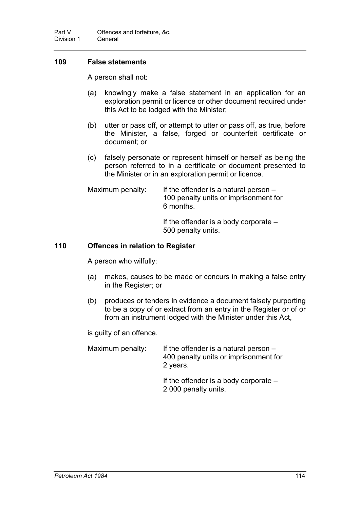# **109 False statements**

A person shall not:

- (a) knowingly make a false statement in an application for an exploration permit or licence or other document required under this Act to be lodged with the Minister;
- (b) utter or pass off, or attempt to utter or pass off, as true, before the Minister, a false, forged or counterfeit certificate or document; or
- (c) falsely personate or represent himself or herself as being the person referred to in a certificate or document presented to the Minister or in an exploration permit or licence.

Maximum penalty: If the offender is a natural person – 100 penalty units or imprisonment for 6 months.

If the offender is a body corporate – 500 penalty units.

## **110 Offences in relation to Register**

A person who wilfully:

- (a) makes, causes to be made or concurs in making a false entry in the Register; or
- (b) produces or tenders in evidence a document falsely purporting to be a copy of or extract from an entry in the Register or of or from an instrument lodged with the Minister under this Act,

is guilty of an offence.

| If the offender is a natural person $-$ |
|-----------------------------------------|
| 400 penalty units or imprisonment for   |
| 2 years.                                |
|                                         |

If the offender is a body corporate – 2 000 penalty units.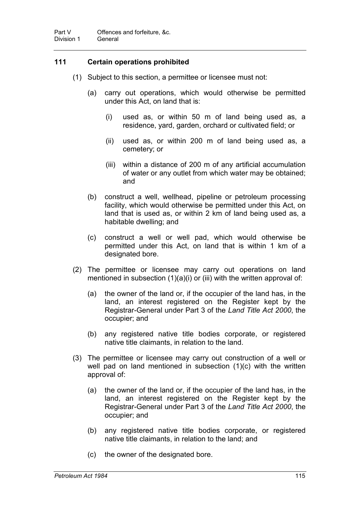# **111 Certain operations prohibited**

- (1) Subject to this section, a permittee or licensee must not:
	- (a) carry out operations, which would otherwise be permitted under this Act, on land that is:
		- (i) used as, or within 50 m of land being used as, a residence, yard, garden, orchard or cultivated field; or
		- (ii) used as, or within 200 m of land being used as, a cemetery; or
		- (iii) within a distance of 200 m of any artificial accumulation of water or any outlet from which water may be obtained; and
	- (b) construct a well, wellhead, pipeline or petroleum processing facility, which would otherwise be permitted under this Act, on land that is used as, or within 2 km of land being used as, a habitable dwelling; and
	- (c) construct a well or well pad, which would otherwise be permitted under this Act, on land that is within 1 km of a designated bore.
- (2) The permittee or licensee may carry out operations on land mentioned in subsection  $(1)(a)(i)$  or (iii) with the written approval of:
	- (a) the owner of the land or, if the occupier of the land has, in the land, an interest registered on the Register kept by the Registrar-General under Part 3 of the *Land Title Act 2000*, the occupier; and
	- (b) any registered native title bodies corporate, or registered native title claimants, in relation to the land.
- (3) The permittee or licensee may carry out construction of a well or well pad on land mentioned in subsection (1)(c) with the written approval of:
	- (a) the owner of the land or, if the occupier of the land has, in the land, an interest registered on the Register kept by the Registrar-General under Part 3 of the *Land Title Act 2000*, the occupier; and
	- (b) any registered native title bodies corporate, or registered native title claimants, in relation to the land; and
	- (c) the owner of the designated bore.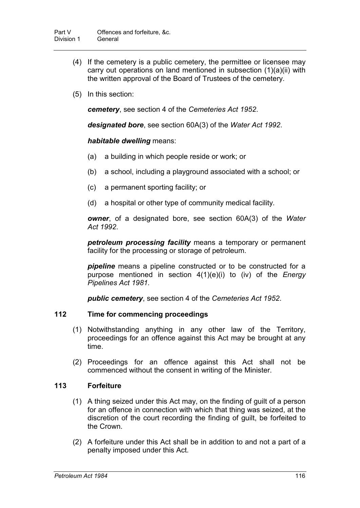- (4) If the cemetery is a public cemetery, the permittee or licensee may carry out operations on land mentioned in subsection (1)(a)(ii) with the written approval of the Board of Trustees of the cemetery.
- (5) In this section:

*cemetery*, see section 4 of the *Cemeteries Act 1952*.

*designated bore*, see section 60A(3) of the *Water Act 1992*.

### *habitable dwelling* means:

- (a) a building in which people reside or work; or
- (b) a school, including a playground associated with a school; or
- (c) a permanent sporting facility; or
- (d) a hospital or other type of community medical facility.

*owner*, of a designated bore, see section 60A(3) of the *Water Act 1992*.

*petroleum processing facility* means a temporary or permanent facility for the processing or storage of petroleum.

*pipeline* means a pipeline constructed or to be constructed for a purpose mentioned in section 4(1)(e)(i) to (iv) of the *Energy Pipelines Act 1981*.

*public cemetery*, see section 4 of the *Cemeteries Act 1952*.

## **112 Time for commencing proceedings**

- (1) Notwithstanding anything in any other law of the Territory, proceedings for an offence against this Act may be brought at any time.
- (2) Proceedings for an offence against this Act shall not be commenced without the consent in writing of the Minister.

## **113 Forfeiture**

- (1) A thing seized under this Act may, on the finding of guilt of a person for an offence in connection with which that thing was seized, at the discretion of the court recording the finding of guilt, be forfeited to the Crown.
- (2) A forfeiture under this Act shall be in addition to and not a part of a penalty imposed under this Act.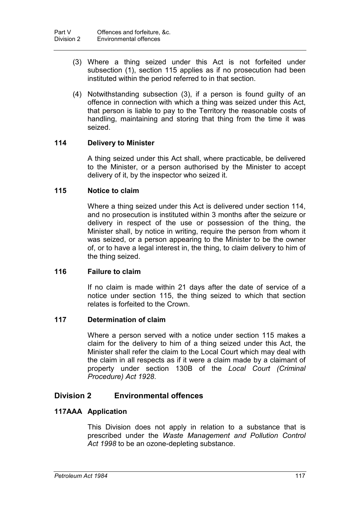- (3) Where a thing seized under this Act is not forfeited under subsection (1), section 115 applies as if no prosecution had been instituted within the period referred to in that section.
- (4) Notwithstanding subsection (3), if a person is found guilty of an offence in connection with which a thing was seized under this Act, that person is liable to pay to the Territory the reasonable costs of handling, maintaining and storing that thing from the time it was seized.

# **114 Delivery to Minister**

A thing seized under this Act shall, where practicable, be delivered to the Minister, or a person authorised by the Minister to accept delivery of it, by the inspector who seized it.

## **115 Notice to claim**

Where a thing seized under this Act is delivered under section 114, and no prosecution is instituted within 3 months after the seizure or delivery in respect of the use or possession of the thing, the Minister shall, by notice in writing, require the person from whom it was seized, or a person appearing to the Minister to be the owner of, or to have a legal interest in, the thing, to claim delivery to him of the thing seized.

## **116 Failure to claim**

If no claim is made within 21 days after the date of service of a notice under section 115, the thing seized to which that section relates is forfeited to the Crown.

## **117 Determination of claim**

Where a person served with a notice under section 115 makes a claim for the delivery to him of a thing seized under this Act, the Minister shall refer the claim to the Local Court which may deal with the claim in all respects as if it were a claim made by a claimant of property under section 130B of the *Local Court (Criminal Procedure) Act 1928*.

# **Division 2 Environmental offences**

## **117AAA Application**

This Division does not apply in relation to a substance that is prescribed under the *Waste Management and Pollution Control Act 1998* to be an ozone-depleting substance.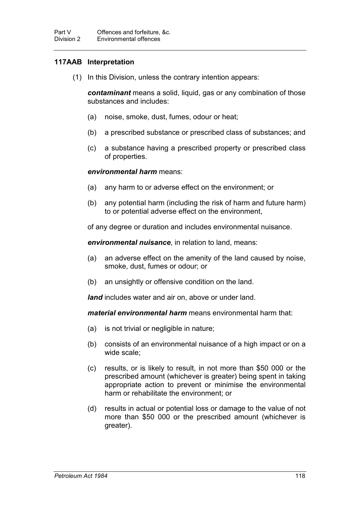# **117AAB Interpretation**

(1) In this Division, unless the contrary intention appears:

*contaminant* means a solid, liquid, gas or any combination of those substances and includes:

- (a) noise, smoke, dust, fumes, odour or heat;
- (b) a prescribed substance or prescribed class of substances; and
- (c) a substance having a prescribed property or prescribed class of properties.

### *environmental harm* means:

- (a) any harm to or adverse effect on the environment; or
- (b) any potential harm (including the risk of harm and future harm) to or potential adverse effect on the environment,

of any degree or duration and includes environmental nuisance.

*environmental nuisance*, in relation to land, means:

- (a) an adverse effect on the amenity of the land caused by noise, smoke, dust, fumes or odour; or
- (b) an unsightly or offensive condition on the land.

*land* includes water and air on, above or under land.

*material environmental harm* means environmental harm that:

- (a) is not trivial or negligible in nature;
- (b) consists of an environmental nuisance of a high impact or on a wide scale;
- (c) results, or is likely to result, in not more than \$50 000 or the prescribed amount (whichever is greater) being spent in taking appropriate action to prevent or minimise the environmental harm or rehabilitate the environment; or
- (d) results in actual or potential loss or damage to the value of not more than \$50 000 or the prescribed amount (whichever is greater).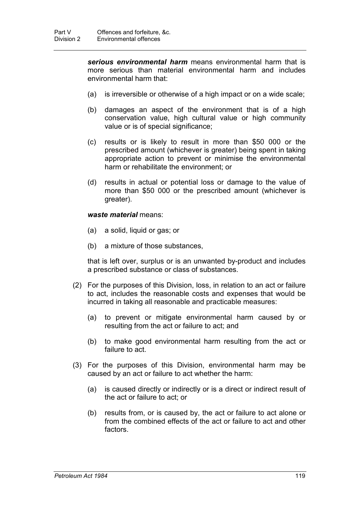*serious environmental harm* means environmental harm that is more serious than material environmental harm and includes environmental harm that:

- (a) is irreversible or otherwise of a high impact or on a wide scale;
- (b) damages an aspect of the environment that is of a high conservation value, high cultural value or high community value or is of special significance;
- (c) results or is likely to result in more than \$50 000 or the prescribed amount (whichever is greater) being spent in taking appropriate action to prevent or minimise the environmental harm or rehabilitate the environment; or
- (d) results in actual or potential loss or damage to the value of more than \$50 000 or the prescribed amount (whichever is greater).

#### *waste material* means:

- (a) a solid, liquid or gas; or
- (b) a mixture of those substances,

that is left over, surplus or is an unwanted by-product and includes a prescribed substance or class of substances.

- (2) For the purposes of this Division, loss, in relation to an act or failure to act, includes the reasonable costs and expenses that would be incurred in taking all reasonable and practicable measures:
	- (a) to prevent or mitigate environmental harm caused by or resulting from the act or failure to act; and
	- (b) to make good environmental harm resulting from the act or failure to act.
- (3) For the purposes of this Division, environmental harm may be caused by an act or failure to act whether the harm:
	- (a) is caused directly or indirectly or is a direct or indirect result of the act or failure to act; or
	- (b) results from, or is caused by, the act or failure to act alone or from the combined effects of the act or failure to act and other factors.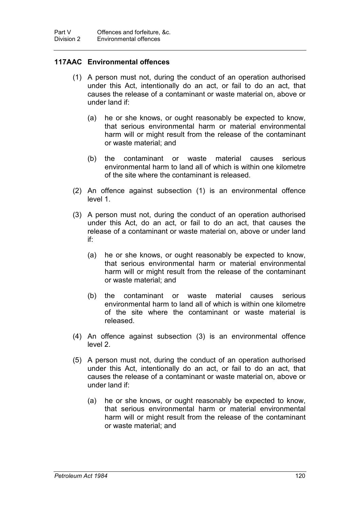# **117AAC Environmental offences**

- (1) A person must not, during the conduct of an operation authorised under this Act, intentionally do an act, or fail to do an act, that causes the release of a contaminant or waste material on, above or under land if:
	- (a) he or she knows, or ought reasonably be expected to know, that serious environmental harm or material environmental harm will or might result from the release of the contaminant or waste material; and
	- (b) the contaminant or waste material causes serious environmental harm to land all of which is within one kilometre of the site where the contaminant is released.
- (2) An offence against subsection (1) is an environmental offence level 1.
- (3) A person must not, during the conduct of an operation authorised under this Act, do an act, or fail to do an act, that causes the release of a contaminant or waste material on, above or under land if:
	- (a) he or she knows, or ought reasonably be expected to know, that serious environmental harm or material environmental harm will or might result from the release of the contaminant or waste material; and
	- (b) the contaminant or waste material causes serious environmental harm to land all of which is within one kilometre of the site where the contaminant or waste material is released.
- (4) An offence against subsection (3) is an environmental offence level 2.
- (5) A person must not, during the conduct of an operation authorised under this Act, intentionally do an act, or fail to do an act, that causes the release of a contaminant or waste material on, above or under land if:
	- (a) he or she knows, or ought reasonably be expected to know, that serious environmental harm or material environmental harm will or might result from the release of the contaminant or waste material; and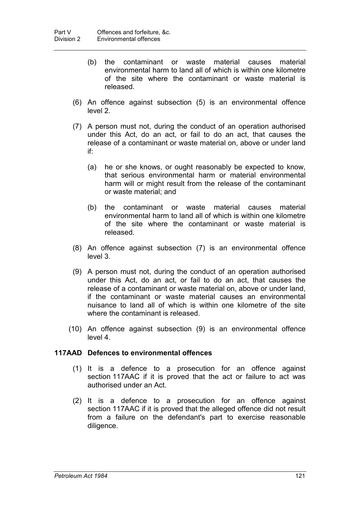- (b) the contaminant or waste material causes material environmental harm to land all of which is within one kilometre of the site where the contaminant or waste material is released.
- (6) An offence against subsection (5) is an environmental offence level 2.
- (7) A person must not, during the conduct of an operation authorised under this Act, do an act, or fail to do an act, that causes the release of a contaminant or waste material on, above or under land if:
	- (a) he or she knows, or ought reasonably be expected to know, that serious environmental harm or material environmental harm will or might result from the release of the contaminant or waste material; and
	- (b) the contaminant or waste material causes material environmental harm to land all of which is within one kilometre of the site where the contaminant or waste material is released.
- (8) An offence against subsection (7) is an environmental offence level 3.
- (9) A person must not, during the conduct of an operation authorised under this Act, do an act, or fail to do an act, that causes the release of a contaminant or waste material on, above or under land, if the contaminant or waste material causes an environmental nuisance to land all of which is within one kilometre of the site where the contaminant is released.
- (10) An offence against subsection (9) is an environmental offence level 4.

## **117AAD Defences to environmental offences**

- (1) It is a defence to a prosecution for an offence against section 117AAC if it is proved that the act or failure to act was authorised under an Act.
- (2) It is a defence to a prosecution for an offence against section 117AAC if it is proved that the alleged offence did not result from a failure on the defendant's part to exercise reasonable diligence.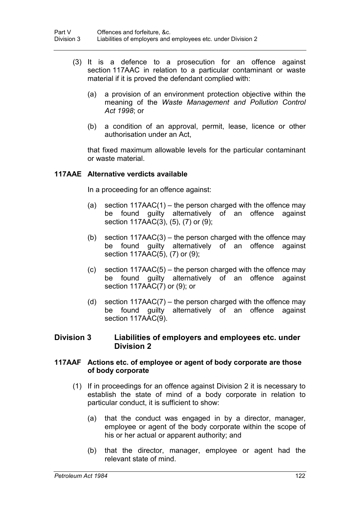- (3) It is a defence to a prosecution for an offence against section 117AAC in relation to a particular contaminant or waste material if it is proved the defendant complied with:
	- (a) a provision of an environment protection objective within the meaning of the *Waste Management and Pollution Control Act 1998*; or
	- (b) a condition of an approval, permit, lease, licence or other authorisation under an Act,

that fixed maximum allowable levels for the particular contaminant or waste material.

## **117AAE Alternative verdicts available**

In a proceeding for an offence against:

- (a) section  $117AAC(1)$  the person charged with the offence may be found guilty alternatively of an offence against section 117AAC(3), (5), (7) or (9);
- (b) section  $117AAC(3)$  the person charged with the offence may be found guilty alternatively of an offence against section 117AAC(5), (7) or (9);
- $(c)$  section 117AAC(5) the person charged with the offence may be found guilty alternatively of an offence against section 117AAC(7) or (9); or
- (d) section  $117AAC(7)$  the person charged with the offence may be found guilty alternatively of an offence against section 117AAC(9).

## **Division 3 Liabilities of employers and employees etc. under Division 2**

## **117AAF Actions etc. of employee or agent of body corporate are those of body corporate**

- (1) If in proceedings for an offence against Division 2 it is necessary to establish the state of mind of a body corporate in relation to particular conduct, it is sufficient to show:
	- (a) that the conduct was engaged in by a director, manager, employee or agent of the body corporate within the scope of his or her actual or apparent authority; and
	- (b) that the director, manager, employee or agent had the relevant state of mind.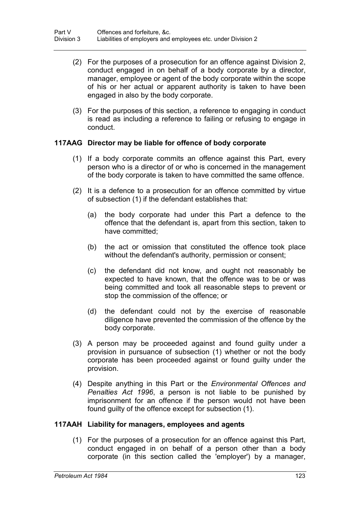- (2) For the purposes of a prosecution for an offence against Division 2, conduct engaged in on behalf of a body corporate by a director, manager, employee or agent of the body corporate within the scope of his or her actual or apparent authority is taken to have been engaged in also by the body corporate.
- (3) For the purposes of this section, a reference to engaging in conduct is read as including a reference to failing or refusing to engage in conduct.

## **117AAG Director may be liable for offence of body corporate**

- (1) If a body corporate commits an offence against this Part, every person who is a director of or who is concerned in the management of the body corporate is taken to have committed the same offence.
- (2) It is a defence to a prosecution for an offence committed by virtue of subsection (1) if the defendant establishes that:
	- (a) the body corporate had under this Part a defence to the offence that the defendant is, apart from this section, taken to have committed;
	- (b) the act or omission that constituted the offence took place without the defendant's authority, permission or consent;
	- (c) the defendant did not know, and ought not reasonably be expected to have known, that the offence was to be or was being committed and took all reasonable steps to prevent or stop the commission of the offence; or
	- (d) the defendant could not by the exercise of reasonable diligence have prevented the commission of the offence by the body corporate.
- (3) A person may be proceeded against and found guilty under a provision in pursuance of subsection (1) whether or not the body corporate has been proceeded against or found guilty under the provision.
- (4) Despite anything in this Part or the *Environmental Offences and Penalties Act 1996*, a person is not liable to be punished by imprisonment for an offence if the person would not have been found guilty of the offence except for subsection (1).

#### **117AAH Liability for managers, employees and agents**

(1) For the purposes of a prosecution for an offence against this Part, conduct engaged in on behalf of a person other than a body corporate (in this section called the 'employer') by a manager,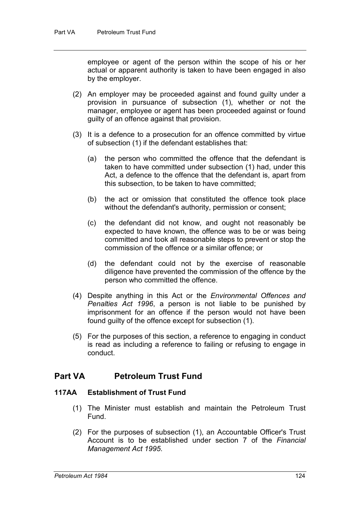employee or agent of the person within the scope of his or her actual or apparent authority is taken to have been engaged in also by the employer.

- (2) An employer may be proceeded against and found guilty under a provision in pursuance of subsection (1), whether or not the manager, employee or agent has been proceeded against or found guilty of an offence against that provision.
- (3) It is a defence to a prosecution for an offence committed by virtue of subsection (1) if the defendant establishes that:
	- (a) the person who committed the offence that the defendant is taken to have committed under subsection (1) had, under this Act, a defence to the offence that the defendant is, apart from this subsection, to be taken to have committed;
	- (b) the act or omission that constituted the offence took place without the defendant's authority, permission or consent;
	- (c) the defendant did not know, and ought not reasonably be expected to have known, the offence was to be or was being committed and took all reasonable steps to prevent or stop the commission of the offence or a similar offence; or
	- (d) the defendant could not by the exercise of reasonable diligence have prevented the commission of the offence by the person who committed the offence.
- (4) Despite anything in this Act or the *Environmental Offences and Penalties Act 1996*, a person is not liable to be punished by imprisonment for an offence if the person would not have been found guilty of the offence except for subsection (1).
- (5) For the purposes of this section, a reference to engaging in conduct is read as including a reference to failing or refusing to engage in conduct.

# **Part VA Petroleum Trust Fund**

#### **117AA Establishment of Trust Fund**

- (1) The Minister must establish and maintain the Petroleum Trust Fund.
- (2) For the purposes of subsection (1), an Accountable Officer's Trust Account is to be established under section 7 of the *Financial Management Act 1995*.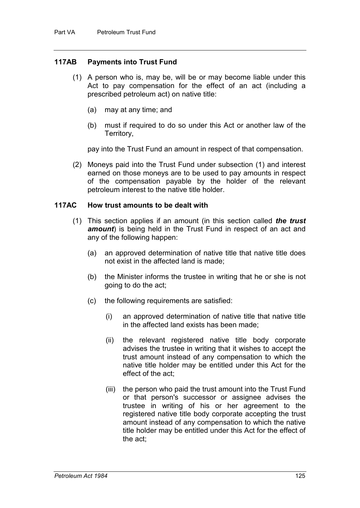## **117AB Payments into Trust Fund**

- (1) A person who is, may be, will be or may become liable under this Act to pay compensation for the effect of an act (including a prescribed petroleum act) on native title:
	- (a) may at any time; and
	- (b) must if required to do so under this Act or another law of the Territory,

pay into the Trust Fund an amount in respect of that compensation.

(2) Moneys paid into the Trust Fund under subsection (1) and interest earned on those moneys are to be used to pay amounts in respect of the compensation payable by the holder of the relevant petroleum interest to the native title holder.

#### **117AC How trust amounts to be dealt with**

- (1) This section applies if an amount (in this section called *the trust amount*) is being held in the Trust Fund in respect of an act and any of the following happen:
	- (a) an approved determination of native title that native title does not exist in the affected land is made;
	- (b) the Minister informs the trustee in writing that he or she is not going to do the act;
	- (c) the following requirements are satisfied:
		- (i) an approved determination of native title that native title in the affected land exists has been made;
		- (ii) the relevant registered native title body corporate advises the trustee in writing that it wishes to accept the trust amount instead of any compensation to which the native title holder may be entitled under this Act for the effect of the act;
		- (iii) the person who paid the trust amount into the Trust Fund or that person's successor or assignee advises the trustee in writing of his or her agreement to the registered native title body corporate accepting the trust amount instead of any compensation to which the native title holder may be entitled under this Act for the effect of the act;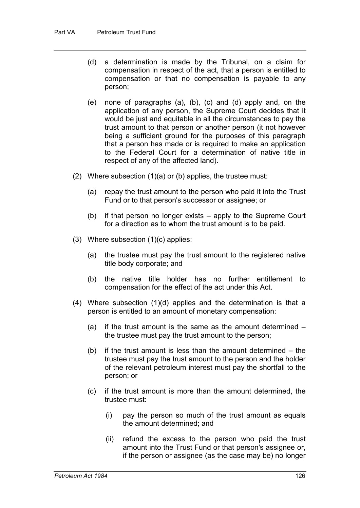- (d) a determination is made by the Tribunal, on a claim for compensation in respect of the act, that a person is entitled to compensation or that no compensation is payable to any person;
- (e) none of paragraphs (a), (b), (c) and (d) apply and, on the application of any person, the Supreme Court decides that it would be just and equitable in all the circumstances to pay the trust amount to that person or another person (it not however being a sufficient ground for the purposes of this paragraph that a person has made or is required to make an application to the Federal Court for a determination of native title in respect of any of the affected land).
- (2) Where subsection (1)(a) or (b) applies, the trustee must:
	- (a) repay the trust amount to the person who paid it into the Trust Fund or to that person's successor or assignee; or
	- (b) if that person no longer exists apply to the Supreme Court for a direction as to whom the trust amount is to be paid.
- (3) Where subsection (1)(c) applies:
	- (a) the trustee must pay the trust amount to the registered native title body corporate; and
	- (b) the native title holder has no further entitlement to compensation for the effect of the act under this Act.
- (4) Where subsection (1)(d) applies and the determination is that a person is entitled to an amount of monetary compensation:
	- (a) if the trust amount is the same as the amount determined the trustee must pay the trust amount to the person;
	- (b) if the trust amount is less than the amount determined the trustee must pay the trust amount to the person and the holder of the relevant petroleum interest must pay the shortfall to the person; or
	- (c) if the trust amount is more than the amount determined, the trustee must:
		- (i) pay the person so much of the trust amount as equals the amount determined; and
		- (ii) refund the excess to the person who paid the trust amount into the Trust Fund or that person's assignee or, if the person or assignee (as the case may be) no longer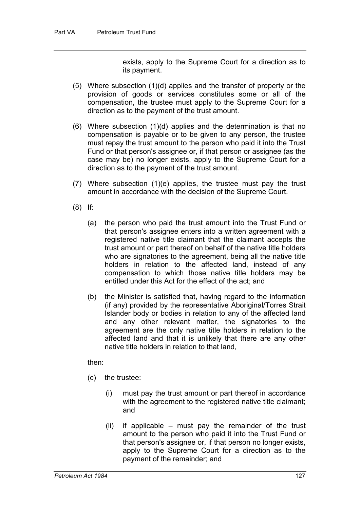exists, apply to the Supreme Court for a direction as to its payment.

- (5) Where subsection (1)(d) applies and the transfer of property or the provision of goods or services constitutes some or all of the compensation, the trustee must apply to the Supreme Court for a direction as to the payment of the trust amount.
- (6) Where subsection (1)(d) applies and the determination is that no compensation is payable or to be given to any person, the trustee must repay the trust amount to the person who paid it into the Trust Fund or that person's assignee or, if that person or assignee (as the case may be) no longer exists, apply to the Supreme Court for a direction as to the payment of the trust amount.
- (7) Where subsection (1)(e) applies, the trustee must pay the trust amount in accordance with the decision of the Supreme Court.
- (8) If:
	- (a) the person who paid the trust amount into the Trust Fund or that person's assignee enters into a written agreement with a registered native title claimant that the claimant accepts the trust amount or part thereof on behalf of the native title holders who are signatories to the agreement, being all the native title holders in relation to the affected land, instead of any compensation to which those native title holders may be entitled under this Act for the effect of the act; and
	- (b) the Minister is satisfied that, having regard to the information (if any) provided by the representative Aboriginal/Torres Strait Islander body or bodies in relation to any of the affected land and any other relevant matter, the signatories to the agreement are the only native title holders in relation to the affected land and that it is unlikely that there are any other native title holders in relation to that land,

then:

- (c) the trustee:
	- (i) must pay the trust amount or part thereof in accordance with the agreement to the registered native title claimant; and
	- $(ii)$  if applicable must pay the remainder of the trust amount to the person who paid it into the Trust Fund or that person's assignee or, if that person no longer exists, apply to the Supreme Court for a direction as to the payment of the remainder; and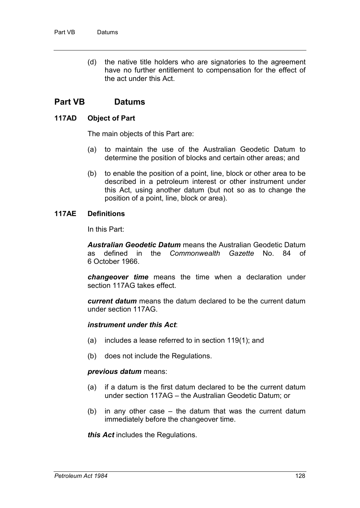(d) the native title holders who are signatories to the agreement have no further entitlement to compensation for the effect of the act under this Act.

# **Part VB Datums**

## **117AD Object of Part**

The main objects of this Part are:

- (a) to maintain the use of the Australian Geodetic Datum to determine the position of blocks and certain other areas; and
- (b) to enable the position of a point, line, block or other area to be described in a petroleum interest or other instrument under this Act, using another datum (but not so as to change the position of a point, line, block or area).

## **117AE Definitions**

In this Part:

*Australian Geodetic Datum* means the Australian Geodetic Datum as defined in the *Commonwealth Gazette* No. 84 of 6 October 1966.

*changeover time* means the time when a declaration under section 117AG takes effect.

*current datum* means the datum declared to be the current datum under section 117AG.

#### *instrument under this Act*:

- (a) includes a lease referred to in section 119(1); and
- (b) does not include the Regulations.

#### *previous datum* means:

- (a) if a datum is the first datum declared to be the current datum under section 117AG – the Australian Geodetic Datum; or
- (b) in any other case the datum that was the current datum immediately before the changeover time.

*this Act* includes the Regulations.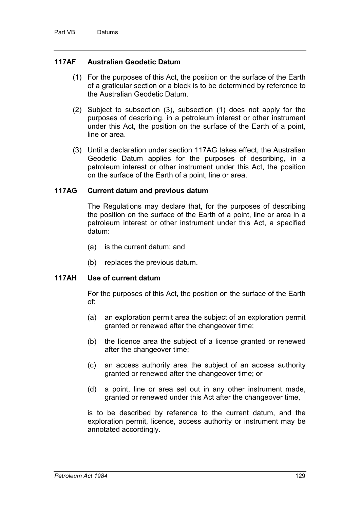## **117AF Australian Geodetic Datum**

- (1) For the purposes of this Act, the position on the surface of the Earth of a graticular section or a block is to be determined by reference to the Australian Geodetic Datum.
- (2) Subject to subsection (3), subsection (1) does not apply for the purposes of describing, in a petroleum interest or other instrument under this Act, the position on the surface of the Earth of a point, line or area.
- (3) Until a declaration under section 117AG takes effect, the Australian Geodetic Datum applies for the purposes of describing, in a petroleum interest or other instrument under this Act, the position on the surface of the Earth of a point, line or area.

## **117AG Current datum and previous datum**

The Regulations may declare that, for the purposes of describing the position on the surface of the Earth of a point, line or area in a petroleum interest or other instrument under this Act, a specified datum:

- (a) is the current datum; and
- (b) replaces the previous datum.

## **117AH Use of current datum**

For the purposes of this Act, the position on the surface of the Earth of:

- (a) an exploration permit area the subject of an exploration permit granted or renewed after the changeover time;
- (b) the licence area the subject of a licence granted or renewed after the changeover time;
- (c) an access authority area the subject of an access authority granted or renewed after the changeover time; or
- (d) a point, line or area set out in any other instrument made, granted or renewed under this Act after the changeover time,

is to be described by reference to the current datum, and the exploration permit, licence, access authority or instrument may be annotated accordingly.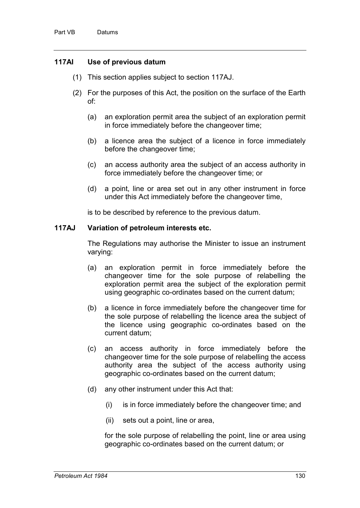## **117AI Use of previous datum**

- (1) This section applies subject to section 117AJ.
- (2) For the purposes of this Act, the position on the surface of the Earth of:
	- (a) an exploration permit area the subject of an exploration permit in force immediately before the changeover time;
	- (b) a licence area the subject of a licence in force immediately before the changeover time;
	- (c) an access authority area the subject of an access authority in force immediately before the changeover time; or
	- (d) a point, line or area set out in any other instrument in force under this Act immediately before the changeover time,

is to be described by reference to the previous datum.

## **117AJ Variation of petroleum interests etc.**

The Regulations may authorise the Minister to issue an instrument varying:

- (a) an exploration permit in force immediately before the changeover time for the sole purpose of relabelling the exploration permit area the subject of the exploration permit using geographic co-ordinates based on the current datum;
- (b) a licence in force immediately before the changeover time for the sole purpose of relabelling the licence area the subject of the licence using geographic co-ordinates based on the current datum;
- (c) an access authority in force immediately before the changeover time for the sole purpose of relabelling the access authority area the subject of the access authority using geographic co-ordinates based on the current datum;
- (d) any other instrument under this Act that:
	- (i) is in force immediately before the changeover time; and
	- (ii) sets out a point, line or area,

for the sole purpose of relabelling the point, line or area using geographic co-ordinates based on the current datum; or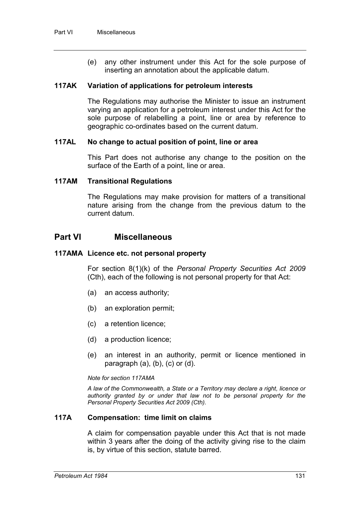(e) any other instrument under this Act for the sole purpose of inserting an annotation about the applicable datum.

### **117AK Variation of applications for petroleum interests**

The Regulations may authorise the Minister to issue an instrument varying an application for a petroleum interest under this Act for the sole purpose of relabelling a point, line or area by reference to geographic co-ordinates based on the current datum.

### **117AL No change to actual position of point, line or area**

This Part does not authorise any change to the position on the surface of the Earth of a point, line or area.

### **117AM Transitional Regulations**

The Regulations may make provision for matters of a transitional nature arising from the change from the previous datum to the current datum.

# **Part VI Miscellaneous**

### **117AMA Licence etc. not personal property**

For section 8(1)(k) of the *Personal Property Securities Act 2009*  (Cth), each of the following is not personal property for that Act:

- (a) an access authority;
- (b) an exploration permit;
- (c) a retention licence;
- (d) a production licence;
- (e) an interest in an authority, permit or licence mentioned in paragraph  $(a)$ ,  $(b)$ ,  $(c)$  or  $(d)$ .

#### *Note for section 117AMA*

*A law of the Commonwealth, a State or a Territory may declare a right, licence or authority granted by or under that law not to be personal property for the Personal Property Securities Act 2009 (Cth).*

#### **117A Compensation: time limit on claims**

A claim for compensation payable under this Act that is not made within 3 years after the doing of the activity giving rise to the claim is, by virtue of this section, statute barred.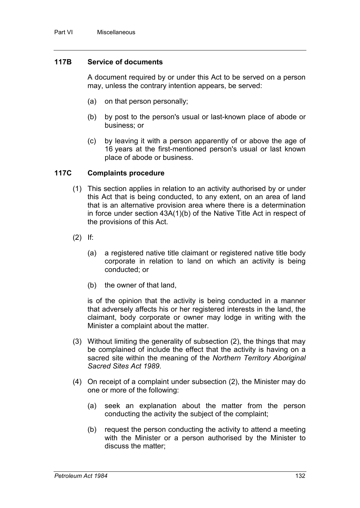## **117B Service of documents**

A document required by or under this Act to be served on a person may, unless the contrary intention appears, be served:

- (a) on that person personally;
- (b) by post to the person's usual or last-known place of abode or business; or
- (c) by leaving it with a person apparently of or above the age of 16 years at the first-mentioned person's usual or last known place of abode or business.

### **117C Complaints procedure**

- (1) This section applies in relation to an activity authorised by or under this Act that is being conducted, to any extent, on an area of land that is an alternative provision area where there is a determination in force under section 43A(1)(b) of the Native Title Act in respect of the provisions of this Act.
- (2) If:
	- (a) a registered native title claimant or registered native title body corporate in relation to land on which an activity is being conducted; or
	- (b) the owner of that land,

is of the opinion that the activity is being conducted in a manner that adversely affects his or her registered interests in the land, the claimant, body corporate or owner may lodge in writing with the Minister a complaint about the matter.

- (3) Without limiting the generality of subsection (2), the things that may be complained of include the effect that the activity is having on a sacred site within the meaning of the *Northern Territory Aboriginal Sacred Sites Act 1989*.
- (4) On receipt of a complaint under subsection (2), the Minister may do one or more of the following:
	- (a) seek an explanation about the matter from the person conducting the activity the subject of the complaint;
	- (b) request the person conducting the activity to attend a meeting with the Minister or a person authorised by the Minister to discuss the matter;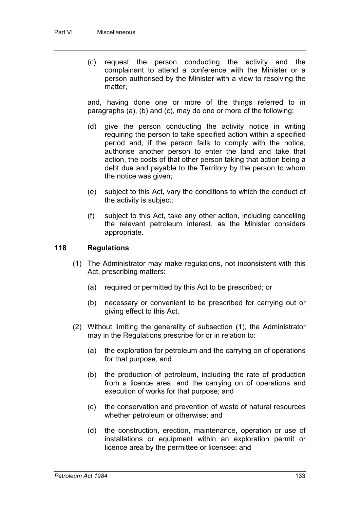(c) request the person conducting the activity and the complainant to attend a conference with the Minister or a person authorised by the Minister with a view to resolving the matter,

and, having done one or more of the things referred to in paragraphs (a), (b) and (c), may do one or more of the following:

- (d) give the person conducting the activity notice in writing requiring the person to take specified action within a specified period and, if the person fails to comply with the notice, authorise another person to enter the land and take that action, the costs of that other person taking that action being a debt due and payable to the Territory by the person to whom the notice was given;
- (e) subject to this Act, vary the conditions to which the conduct of the activity is subject;
- (f) subject to this Act, take any other action, including cancelling the relevant petroleum interest, as the Minister considers appropriate.

## **118 Regulations**

- (1) The Administrator may make regulations, not inconsistent with this Act, prescribing matters:
	- (a) required or permitted by this Act to be prescribed; or
	- (b) necessary or convenient to be prescribed for carrying out or giving effect to this Act.
- (2) Without limiting the generality of subsection (1), the Administrator may in the Regulations prescribe for or in relation to:
	- (a) the exploration for petroleum and the carrying on of operations for that purpose; and
	- (b) the production of petroleum, including the rate of production from a licence area, and the carrying on of operations and execution of works for that purpose; and
	- (c) the conservation and prevention of waste of natural resources whether petroleum or otherwise; and
	- (d) the construction, erection, maintenance, operation or use of installations or equipment within an exploration permit or licence area by the permittee or licensee; and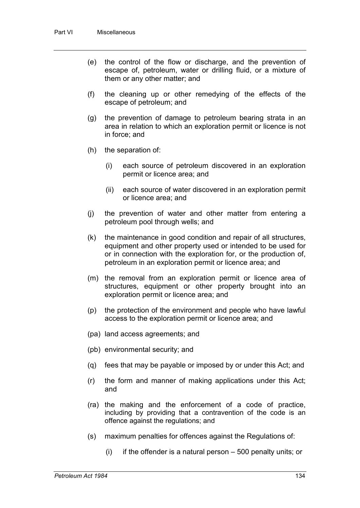- (e) the control of the flow or discharge, and the prevention of escape of, petroleum, water or drilling fluid, or a mixture of them or any other matter; and
- (f) the cleaning up or other remedying of the effects of the escape of petroleum; and
- (g) the prevention of damage to petroleum bearing strata in an area in relation to which an exploration permit or licence is not in force; and
- (h) the separation of:
	- (i) each source of petroleum discovered in an exploration permit or licence area; and
	- (ii) each source of water discovered in an exploration permit or licence area; and
- (j) the prevention of water and other matter from entering a petroleum pool through wells; and
- (k) the maintenance in good condition and repair of all structures, equipment and other property used or intended to be used for or in connection with the exploration for, or the production of, petroleum in an exploration permit or licence area; and
- (m) the removal from an exploration permit or licence area of structures, equipment or other property brought into an exploration permit or licence area; and
- (p) the protection of the environment and people who have lawful access to the exploration permit or licence area; and
- (pa) land access agreements; and
- (pb) environmental security; and
- (q) fees that may be payable or imposed by or under this Act; and
- (r) the form and manner of making applications under this Act; and
- (ra) the making and the enforcement of a code of practice, including by providing that a contravention of the code is an offence against the regulations; and
- (s) maximum penalties for offences against the Regulations of:
	- $(i)$  if the offender is a natural person  $-500$  penalty units; or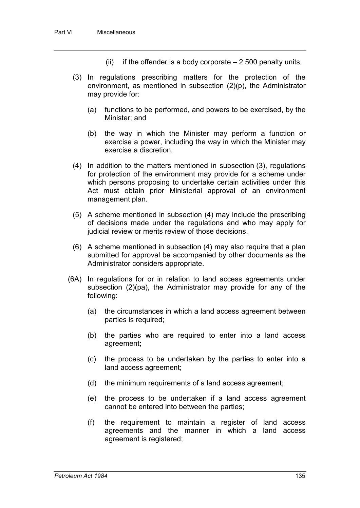- (ii) if the offender is a body corporate  $-2500$  penalty units.
- (3) In regulations prescribing matters for the protection of the environment, as mentioned in subsection (2)(p), the Administrator may provide for:
	- (a) functions to be performed, and powers to be exercised, by the Minister; and
	- (b) the way in which the Minister may perform a function or exercise a power, including the way in which the Minister may exercise a discretion.
- (4) In addition to the matters mentioned in subsection (3), regulations for protection of the environment may provide for a scheme under which persons proposing to undertake certain activities under this Act must obtain prior Ministerial approval of an environment management plan.
- (5) A scheme mentioned in subsection (4) may include the prescribing of decisions made under the regulations and who may apply for judicial review or merits review of those decisions.
- (6) A scheme mentioned in subsection (4) may also require that a plan submitted for approval be accompanied by other documents as the Administrator considers appropriate.
- (6A) In regulations for or in relation to land access agreements under subsection (2)(pa), the Administrator may provide for any of the following:
	- (a) the circumstances in which a land access agreement between parties is required;
	- (b) the parties who are required to enter into a land access agreement;
	- (c) the process to be undertaken by the parties to enter into a land access agreement;
	- (d) the minimum requirements of a land access agreement;
	- (e) the process to be undertaken if a land access agreement cannot be entered into between the parties;
	- (f) the requirement to maintain a register of land access agreements and the manner in which a land access agreement is registered;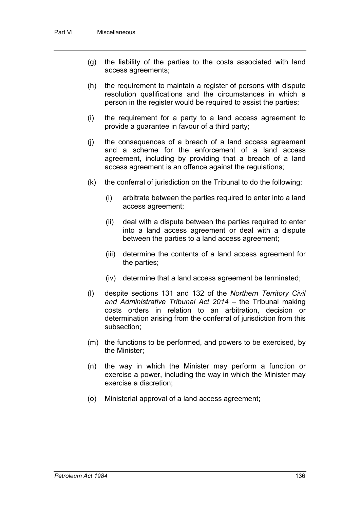- (g) the liability of the parties to the costs associated with land access agreements;
- (h) the requirement to maintain a register of persons with dispute resolution qualifications and the circumstances in which a person in the register would be required to assist the parties;
- (i) the requirement for a party to a land access agreement to provide a guarantee in favour of a third party;
- (j) the consequences of a breach of a land access agreement and a scheme for the enforcement of a land access agreement, including by providing that a breach of a land access agreement is an offence against the regulations;
- (k) the conferral of jurisdiction on the Tribunal to do the following:
	- (i) arbitrate between the parties required to enter into a land access agreement;
	- (ii) deal with a dispute between the parties required to enter into a land access agreement or deal with a dispute between the parties to a land access agreement;
	- (iii) determine the contents of a land access agreement for the parties;
	- (iv) determine that a land access agreement be terminated;
- (l) despite sections 131 and 132 of the *Northern Territory Civil and Administrative Tribunal Act 2014* – the Tribunal making costs orders in relation to an arbitration, decision or determination arising from the conferral of jurisdiction from this subsection;
- (m) the functions to be performed, and powers to be exercised, by the Minister;
- (n) the way in which the Minister may perform a function or exercise a power, including the way in which the Minister may exercise a discretion;
- (o) Ministerial approval of a land access agreement;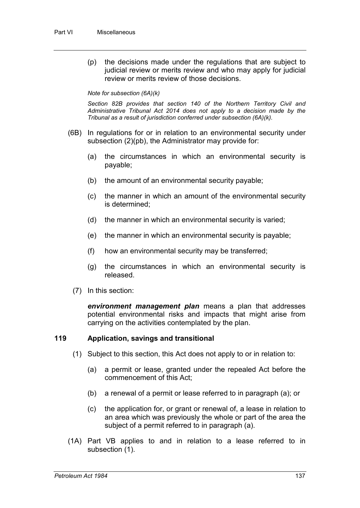(p) the decisions made under the regulations that are subject to judicial review or merits review and who may apply for judicial review or merits review of those decisions.

#### *Note for subsection (6A)(k)*

*Section 82B provides that section 140 of the Northern Territory Civil and Administrative Tribunal Act 2014 does not apply to a decision made by the Tribunal as a result of jurisdiction conferred under subsection (6A)(k).*

- (6B) In regulations for or in relation to an environmental security under subsection (2)(pb), the Administrator may provide for:
	- (a) the circumstances in which an environmental security is payable;
	- (b) the amount of an environmental security payable;
	- (c) the manner in which an amount of the environmental security is determined;
	- (d) the manner in which an environmental security is varied;
	- (e) the manner in which an environmental security is payable;
	- (f) how an environmental security may be transferred;
	- (g) the circumstances in which an environmental security is released.
	- (7) In this section:

*environment management plan* means a plan that addresses potential environmental risks and impacts that might arise from carrying on the activities contemplated by the plan.

#### **119 Application, savings and transitional**

- (1) Subject to this section, this Act does not apply to or in relation to:
	- (a) a permit or lease, granted under the repealed Act before the commencement of this Act;
	- (b) a renewal of a permit or lease referred to in paragraph (a); or
	- (c) the application for, or grant or renewal of, a lease in relation to an area which was previously the whole or part of the area the subject of a permit referred to in paragraph (a).
- (1A) Part VB applies to and in relation to a lease referred to in subsection (1).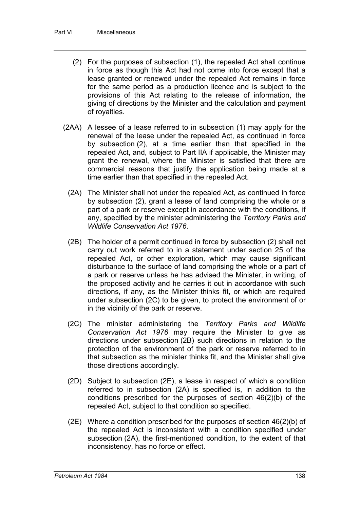- (2) For the purposes of subsection (1), the repealed Act shall continue in force as though this Act had not come into force except that a lease granted or renewed under the repealed Act remains in force for the same period as a production licence and is subject to the provisions of this Act relating to the release of information, the giving of directions by the Minister and the calculation and payment of royalties.
- (2AA) A lessee of a lease referred to in subsection (1) may apply for the renewal of the lease under the repealed Act, as continued in force by subsection (2), at a time earlier than that specified in the repealed Act, and, subject to Part IIA if applicable, the Minister may grant the renewal, where the Minister is satisfied that there are commercial reasons that justify the application being made at a time earlier than that specified in the repealed Act.
	- (2A) The Minister shall not under the repealed Act, as continued in force by subsection (2), grant a lease of land comprising the whole or a part of a park or reserve except in accordance with the conditions, if any, specified by the minister administering the *Territory Parks and Wildlife Conservation Act 1976*.
	- (2B) The holder of a permit continued in force by subsection (2) shall not carry out work referred to in a statement under section 25 of the repealed Act, or other exploration, which may cause significant disturbance to the surface of land comprising the whole or a part of a park or reserve unless he has advised the Minister, in writing, of the proposed activity and he carries it out in accordance with such directions, if any, as the Minister thinks fit, or which are required under subsection (2C) to be given, to protect the environment of or in the vicinity of the park or reserve.
	- (2C) The minister administering the *Territory Parks and Wildlife Conservation Act 1976* may require the Minister to give as directions under subsection (2B) such directions in relation to the protection of the environment of the park or reserve referred to in that subsection as the minister thinks fit, and the Minister shall give those directions accordingly.
	- (2D) Subject to subsection (2E), a lease in respect of which a condition referred to in subsection (2A) is specified is, in addition to the conditions prescribed for the purposes of section 46(2)(b) of the repealed Act, subject to that condition so specified.
	- (2E) Where a condition prescribed for the purposes of section 46(2)(b) of the repealed Act is inconsistent with a condition specified under subsection (2A), the first-mentioned condition, to the extent of that inconsistency, has no force or effect.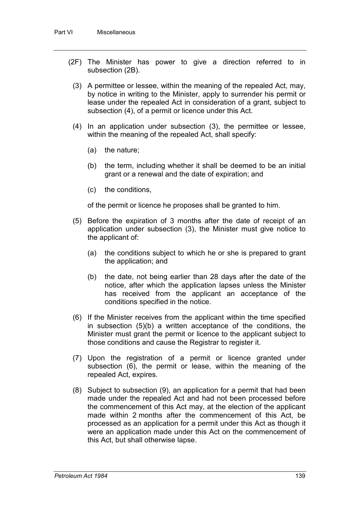- (2F) The Minister has power to give a direction referred to in subsection (2B).
	- (3) A permittee or lessee, within the meaning of the repealed Act, may, by notice in writing to the Minister, apply to surrender his permit or lease under the repealed Act in consideration of a grant, subject to subsection (4), of a permit or licence under this Act.
	- (4) In an application under subsection (3), the permittee or lessee, within the meaning of the repealed Act, shall specify:
		- (a) the nature;
		- (b) the term, including whether it shall be deemed to be an initial grant or a renewal and the date of expiration; and
		- (c) the conditions,

of the permit or licence he proposes shall be granted to him.

- (5) Before the expiration of 3 months after the date of receipt of an application under subsection (3), the Minister must give notice to the applicant of:
	- (a) the conditions subject to which he or she is prepared to grant the application; and
	- (b) the date, not being earlier than 28 days after the date of the notice, after which the application lapses unless the Minister has received from the applicant an acceptance of the conditions specified in the notice.
- (6) If the Minister receives from the applicant within the time specified in subsection (5)(b) a written acceptance of the conditions, the Minister must grant the permit or licence to the applicant subject to those conditions and cause the Registrar to register it.
- (7) Upon the registration of a permit or licence granted under subsection (6), the permit or lease, within the meaning of the repealed Act, expires.
- (8) Subject to subsection (9), an application for a permit that had been made under the repealed Act and had not been processed before the commencement of this Act may, at the election of the applicant made within 2 months after the commencement of this Act, be processed as an application for a permit under this Act as though it were an application made under this Act on the commencement of this Act, but shall otherwise lapse.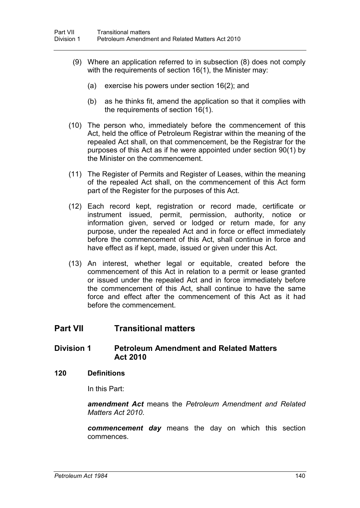- (9) Where an application referred to in subsection (8) does not comply with the requirements of section 16(1), the Minister may:
	- (a) exercise his powers under section 16(2); and
	- (b) as he thinks fit, amend the application so that it complies with the requirements of section 16(1).
- (10) The person who, immediately before the commencement of this Act, held the office of Petroleum Registrar within the meaning of the repealed Act shall, on that commencement, be the Registrar for the purposes of this Act as if he were appointed under section 90(1) by the Minister on the commencement.
- (11) The Register of Permits and Register of Leases, within the meaning of the repealed Act shall, on the commencement of this Act form part of the Register for the purposes of this Act.
- (12) Each record kept, registration or record made, certificate or instrument issued, permit, permission, authority, notice or information given, served or lodged or return made, for any purpose, under the repealed Act and in force or effect immediately before the commencement of this Act, shall continue in force and have effect as if kept, made, issued or given under this Act.
- (13) An interest, whether legal or equitable, created before the commencement of this Act in relation to a permit or lease granted or issued under the repealed Act and in force immediately before the commencement of this Act, shall continue to have the same force and effect after the commencement of this Act as it had before the commencement.

# **Part VII Transitional matters**

## **Division 1 Petroleum Amendment and Related Matters Act 2010**

#### **120 Definitions**

In this Part:

*amendment Act* means the *Petroleum Amendment and Related Matters Act 2010*.

*commencement day* means the day on which this section commences.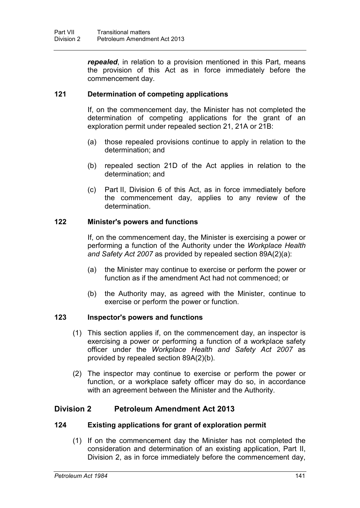*repealed*, in relation to a provision mentioned in this Part, means the provision of this Act as in force immediately before the commencement day.

#### **121 Determination of competing applications**

If, on the commencement day, the Minister has not completed the determination of competing applications for the grant of an exploration permit under repealed section 21, 21A or 21B:

- (a) those repealed provisions continue to apply in relation to the determination; and
- (b) repealed section 21D of the Act applies in relation to the determination; and
- (c) Part II, Division 6 of this Act, as in force immediately before the commencement day, applies to any review of the determination.

#### **122 Minister's powers and functions**

If, on the commencement day, the Minister is exercising a power or performing a function of the Authority under the *Workplace Health and Safety Act 2007* as provided by repealed section 89A(2)(a):

- (a) the Minister may continue to exercise or perform the power or function as if the amendment Act had not commenced; or
- (b) the Authority may, as agreed with the Minister, continue to exercise or perform the power or function.

#### **123 Inspector's powers and functions**

- (1) This section applies if, on the commencement day, an inspector is exercising a power or performing a function of a workplace safety officer under the *Workplace Health and Safety Act 2007* as provided by repealed section 89A(2)(b).
- (2) The inspector may continue to exercise or perform the power or function, or a workplace safety officer may do so, in accordance with an agreement between the Minister and the Authority.

## **Division 2 Petroleum Amendment Act 2013**

#### **124 Existing applications for grant of exploration permit**

(1) If on the commencement day the Minister has not completed the consideration and determination of an existing application, Part II, Division 2, as in force immediately before the commencement day,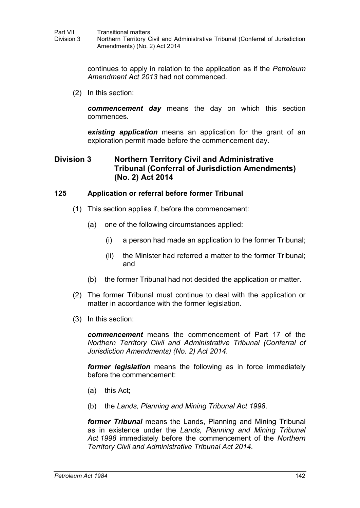continues to apply in relation to the application as if the *Petroleum Amendment Act 2013* had not commenced.

(2) In this section:

*commencement day* means the day on which this section commences.

*existing application* means an application for the grant of an exploration permit made before the commencement day.

## **Division 3 Northern Territory Civil and Administrative Tribunal (Conferral of Jurisdiction Amendments) (No. 2) Act 2014**

## **125 Application or referral before former Tribunal**

- (1) This section applies if, before the commencement:
	- (a) one of the following circumstances applied:
		- (i) a person had made an application to the former Tribunal;
		- (ii) the Minister had referred a matter to the former Tribunal; and
	- (b) the former Tribunal had not decided the application or matter.
- (2) The former Tribunal must continue to deal with the application or matter in accordance with the former legislation.
- (3) In this section:

*commencement* means the commencement of Part 17 of the *Northern Territory Civil and Administrative Tribunal (Conferral of Jurisdiction Amendments) (No. 2) Act 2014*.

*former legislation* means the following as in force immediately before the commencement:

- (a) this Act;
- (b) the *Lands, Planning and Mining Tribunal Act 1998*.

*former Tribunal* means the Lands, Planning and Mining Tribunal as in existence under the *Lands, Planning and Mining Tribunal Act 1998* immediately before the commencement of the *Northern Territory Civil and Administrative Tribunal Act 2014*.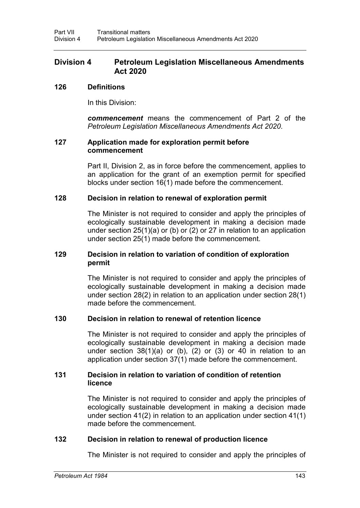## **Division 4 Petroleum Legislation Miscellaneous Amendments Act 2020**

#### **126 Definitions**

In this Division:

*commencement* means the commencement of Part 2 of the *Petroleum Legislation Miscellaneous Amendments Act 2020*.

#### **127 Application made for exploration permit before commencement**

Part II, Division 2, as in force before the commencement, applies to an application for the grant of an exemption permit for specified blocks under section 16(1) made before the commencement.

#### **128 Decision in relation to renewal of exploration permit**

The Minister is not required to consider and apply the principles of ecologically sustainable development in making a decision made under section 25(1)(a) or (b) or (2) or 27 in relation to an application under section 25(1) made before the commencement.

#### **129 Decision in relation to variation of condition of exploration permit**

The Minister is not required to consider and apply the principles of ecologically sustainable development in making a decision made under section 28(2) in relation to an application under section 28(1) made before the commencement.

#### **130 Decision in relation to renewal of retention licence**

The Minister is not required to consider and apply the principles of ecologically sustainable development in making a decision made under section  $38(1)(a)$  or (b), (2) or (3) or 40 in relation to an application under section 37(1) made before the commencement.

#### **131 Decision in relation to variation of condition of retention licence**

The Minister is not required to consider and apply the principles of ecologically sustainable development in making a decision made under section 41(2) in relation to an application under section 41(1) made before the commencement.

#### **132 Decision in relation to renewal of production licence**

The Minister is not required to consider and apply the principles of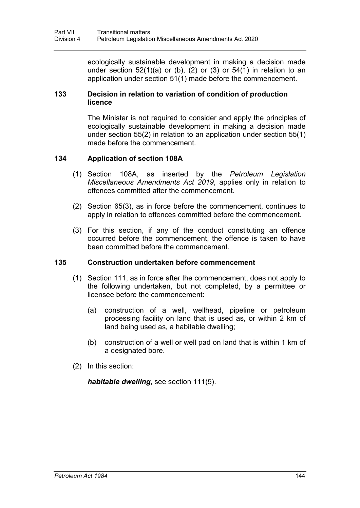ecologically sustainable development in making a decision made under section  $52(1)(a)$  or (b), (2) or (3) or  $54(1)$  in relation to an application under section 51(1) made before the commencement.

## **133 Decision in relation to variation of condition of production licence**

The Minister is not required to consider and apply the principles of ecologically sustainable development in making a decision made under section 55(2) in relation to an application under section 55(1) made before the commencement.

## **134 Application of section 108A**

- (1) Section 108A, as inserted by the *Petroleum Legislation Miscellaneous Amendments Act 2019*, applies only in relation to offences committed after the commencement.
- (2) Section 65(3), as in force before the commencement, continues to apply in relation to offences committed before the commencement.
- (3) For this section, if any of the conduct constituting an offence occurred before the commencement, the offence is taken to have been committed before the commencement.

#### **135 Construction undertaken before commencement**

- (1) Section 111, as in force after the commencement, does not apply to the following undertaken, but not completed, by a permittee or licensee before the commencement:
	- (a) construction of a well, wellhead, pipeline or petroleum processing facility on land that is used as, or within 2 km of land being used as, a habitable dwelling;
	- (b) construction of a well or well pad on land that is within 1 km of a designated bore.
- (2) In this section:

*habitable dwelling*, see section 111(5).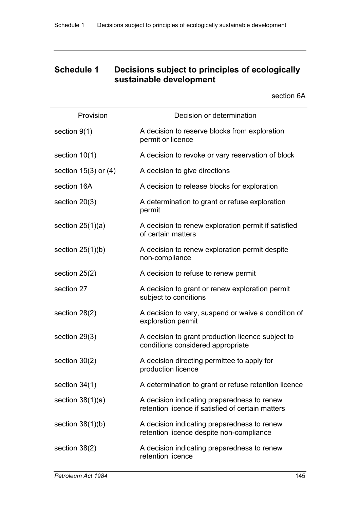# **Schedule 1 Decisions subject to principles of ecologically sustainable development**

section 6A

| Provision                | Decision or determination                                                                        |
|--------------------------|--------------------------------------------------------------------------------------------------|
| section 9(1)             | A decision to reserve blocks from exploration<br>permit or licence                               |
| section $10(1)$          | A decision to revoke or vary reservation of block                                                |
| section $15(3)$ or $(4)$ | A decision to give directions                                                                    |
| section 16A              | A decision to release blocks for exploration                                                     |
| section $20(3)$          | A determination to grant or refuse exploration<br>permit                                         |
| section $25(1)(a)$       | A decision to renew exploration permit if satisfied<br>of certain matters                        |
| section $25(1)(b)$       | A decision to renew exploration permit despite<br>non-compliance                                 |
| section $25(2)$          | A decision to refuse to renew permit                                                             |
| section 27               | A decision to grant or renew exploration permit<br>subject to conditions                         |
| section $28(2)$          | A decision to vary, suspend or waive a condition of<br>exploration permit                        |
| section 29(3)            | A decision to grant production licence subject to<br>conditions considered appropriate           |
| section $30(2)$          | A decision directing permittee to apply for<br>production licence                                |
| section $34(1)$          | A determination to grant or refuse retention licence                                             |
| section $38(1)(a)$       | A decision indicating preparedness to renew<br>retention licence if satisfied of certain matters |
| section $38(1)(b)$       | A decision indicating preparedness to renew<br>retention licence despite non-compliance          |
| section 38(2)            | A decision indicating preparedness to renew<br>retention licence                                 |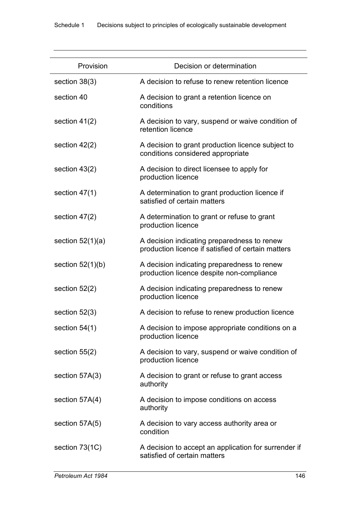| Provision          | Decision or determination                                                                         |
|--------------------|---------------------------------------------------------------------------------------------------|
| section $38(3)$    | A decision to refuse to renew retention licence                                                   |
| section 40         | A decision to grant a retention licence on<br>conditions                                          |
| section $41(2)$    | A decision to vary, suspend or waive condition of<br>retention licence                            |
| section $42(2)$    | A decision to grant production licence subject to<br>conditions considered appropriate            |
| section $43(2)$    | A decision to direct licensee to apply for<br>production licence                                  |
| section $47(1)$    | A determination to grant production licence if<br>satisfied of certain matters                    |
| section $47(2)$    | A determination to grant or refuse to grant<br>production licence                                 |
| section $52(1)(a)$ | A decision indicating preparedness to renew<br>production licence if satisfied of certain matters |
| section $52(1)(b)$ | A decision indicating preparedness to renew<br>production licence despite non-compliance          |
| section $52(2)$    | A decision indicating preparedness to renew<br>production licence                                 |
| section $52(3)$    | A decision to refuse to renew production licence                                                  |
| section $54(1)$    | A decision to impose appropriate conditions on a<br>production licence                            |
| section $55(2)$    | A decision to vary, suspend or waive condition of<br>production licence                           |
| section 57A(3)     | A decision to grant or refuse to grant access<br>authority                                        |
| section 57A(4)     | A decision to impose conditions on access<br>authority                                            |
| section 57A(5)     | A decision to vary access authority area or<br>condition                                          |
| section 73(1C)     | A decision to accept an application for surrender if<br>satisfied of certain matters              |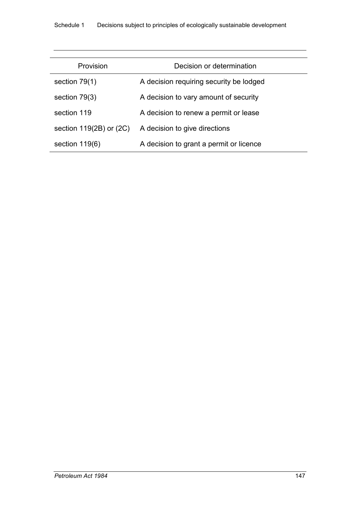| Provision                   | Decision or determination               |
|-----------------------------|-----------------------------------------|
| section $79(1)$             | A decision requiring security be lodged |
| section $79(3)$             | A decision to vary amount of security   |
| section 119                 | A decision to renew a permit or lease   |
| section $119(2B)$ or $(2C)$ | A decision to give directions           |
| section $119(6)$            | A decision to grant a permit or licence |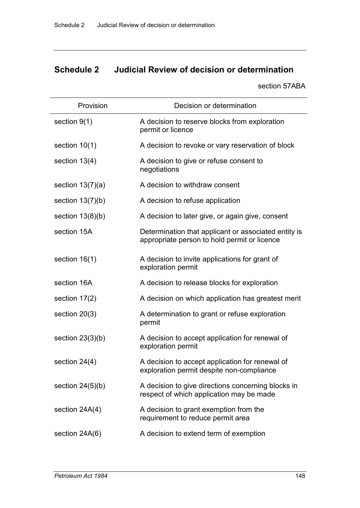# **Schedule 2 Judicial Review of decision or determination**

section 57ABA

| Provision          | Decision or determination                                                                            |
|--------------------|------------------------------------------------------------------------------------------------------|
| section $9(1)$     | A decision to reserve blocks from exploration<br>permit or licence                                   |
| section $10(1)$    | A decision to revoke or vary reservation of block                                                    |
| section $13(4)$    | A decision to give or refuse consent to<br>negotiations                                              |
| section $13(7)(a)$ | A decision to withdraw consent                                                                       |
| section $13(7)(b)$ | A decision to refuse application                                                                     |
| section $13(8)(b)$ | A decision to later give, or again give, consent                                                     |
| section 15A        | Determination that applicant or associated entity is<br>appropriate person to hold permit or licence |
| section $16(1)$    | A decision to invite applications for grant of<br>exploration permit                                 |
| section 16A        | A decision to release blocks for exploration                                                         |
| section $17(2)$    | A decision on which application has greatest merit                                                   |
| section $20(3)$    | A determination to grant or refuse exploration<br>permit                                             |
| section $23(3)(b)$ | A decision to accept application for renewal of<br>exploration permit                                |
| section 24(4)      | A decision to accept application for renewal of<br>exploration permit despite non-compliance         |
| section $24(5)(b)$ | A decision to give directions concerning blocks in<br>respect of which application may be made       |
| section 24A(4)     | A decision to grant exemption from the<br>requirement to reduce permit area                          |
| section 24A(6)     | A decision to extend term of exemption                                                               |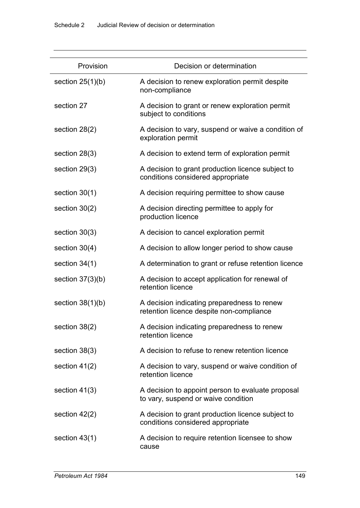| Provision          | Decision or determination                                                                |
|--------------------|------------------------------------------------------------------------------------------|
| section $25(1)(b)$ | A decision to renew exploration permit despite<br>non-compliance                         |
| section 27         | A decision to grant or renew exploration permit<br>subject to conditions                 |
| section $28(2)$    | A decision to vary, suspend or waive a condition of<br>exploration permit                |
| section 28(3)      | A decision to extend term of exploration permit                                          |
| section $29(3)$    | A decision to grant production licence subject to<br>conditions considered appropriate   |
| section $30(1)$    | A decision requiring permittee to show cause                                             |
| section $30(2)$    | A decision directing permittee to apply for<br>production licence                        |
| section $30(3)$    | A decision to cancel exploration permit                                                  |
| section $30(4)$    | A decision to allow longer period to show cause                                          |
| section $34(1)$    | A determination to grant or refuse retention licence                                     |
| section $37(3)(b)$ | A decision to accept application for renewal of<br>retention licence                     |
| section $38(1)(b)$ | A decision indicating preparedness to renew<br>retention licence despite non-compliance  |
| section 38(2)      | A decision indicating preparedness to renew<br>retention licence                         |
| section 38(3)      | A decision to refuse to renew retention licence                                          |
| section $41(2)$    | A decision to vary, suspend or waive condition of<br>retention licence                   |
| section $41(3)$    | A decision to appoint person to evaluate proposal<br>to vary, suspend or waive condition |
| section $42(2)$    | A decision to grant production licence subject to<br>conditions considered appropriate   |
| section $43(1)$    | A decision to require retention licensee to show<br>cause                                |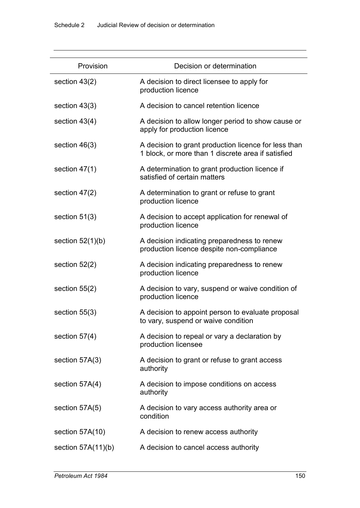| Provision            | Decision or determination                                                                                  |
|----------------------|------------------------------------------------------------------------------------------------------------|
| section $43(2)$      | A decision to direct licensee to apply for<br>production licence                                           |
| section 43(3)        | A decision to cancel retention licence                                                                     |
| section $43(4)$      | A decision to allow longer period to show cause or<br>apply for production licence                         |
| section $46(3)$      | A decision to grant production licence for less than<br>1 block, or more than 1 discrete area if satisfied |
| section $47(1)$      | A determination to grant production licence if<br>satisfied of certain matters                             |
| section $47(2)$      | A determination to grant or refuse to grant<br>production licence                                          |
| section $51(3)$      | A decision to accept application for renewal of<br>production licence                                      |
| section $52(1)(b)$   | A decision indicating preparedness to renew<br>production licence despite non-compliance                   |
| section $52(2)$      | A decision indicating preparedness to renew<br>production licence                                          |
| section $55(2)$      | A decision to vary, suspend or waive condition of<br>production licence                                    |
| section $55(3)$      | A decision to appoint person to evaluate proposal<br>to vary, suspend or waive condition                   |
| section $57(4)$      | A decision to repeal or vary a declaration by<br>production licensee                                       |
| section 57A(3)       | A decision to grant or refuse to grant access<br>authority                                                 |
| section 57A(4)       | A decision to impose conditions on access<br>authority                                                     |
| section 57A(5)       | A decision to vary access authority area or<br>condition                                                   |
| section 57A(10)      | A decision to renew access authority                                                                       |
| section $57A(11)(b)$ | A decision to cancel access authority                                                                      |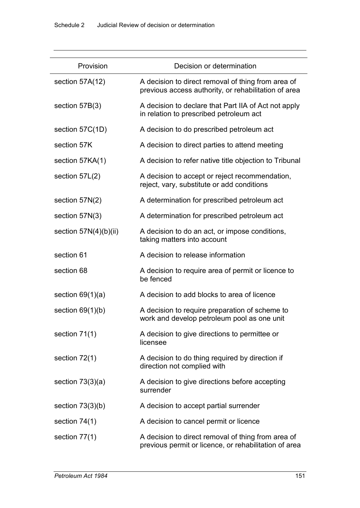| Provision               | Decision or determination                                                                                   |
|-------------------------|-------------------------------------------------------------------------------------------------------------|
| section 57A(12)         | A decision to direct removal of thing from area of<br>previous access authority, or rehabilitation of area  |
| section $57B(3)$        | A decision to declare that Part IIA of Act not apply<br>in relation to prescribed petroleum act             |
| section 57C(1D)         | A decision to do prescribed petroleum act                                                                   |
| section 57K             | A decision to direct parties to attend meeting                                                              |
| section 57KA(1)         | A decision to refer native title objection to Tribunal                                                      |
| section $57L(2)$        | A decision to accept or reject recommendation,<br>reject, vary, substitute or add conditions                |
| section $57N(2)$        | A determination for prescribed petroleum act                                                                |
| section 57N(3)          | A determination for prescribed petroleum act                                                                |
| section $57N(4)(b)(ii)$ | A decision to do an act, or impose conditions,<br>taking matters into account                               |
| section 61              | A decision to release information                                                                           |
| section 68              | A decision to require area of permit or licence to<br>be fenced                                             |
| section $69(1)(a)$      | A decision to add blocks to area of licence                                                                 |
| section $69(1)(b)$      | A decision to require preparation of scheme to<br>work and develop petroleum pool as one unit               |
| section $71(1)$         | A decision to give directions to permittee or<br>licensee                                                   |
| section $72(1)$         | A decision to do thing required by direction if<br>direction not complied with                              |
| section $73(3)(a)$      | A decision to give directions before accepting<br>surrender                                                 |
| section $73(3)(b)$      | A decision to accept partial surrender                                                                      |
| section $74(1)$         | A decision to cancel permit or licence                                                                      |
| section $77(1)$         | A decision to direct removal of thing from area of<br>previous permit or licence, or rehabilitation of area |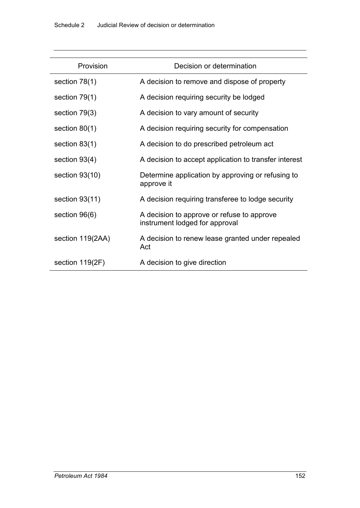| Provision        | Decision or determination                                                    |
|------------------|------------------------------------------------------------------------------|
| section $78(1)$  | A decision to remove and dispose of property                                 |
| section $79(1)$  | A decision requiring security be lodged                                      |
| section 79(3)    | A decision to vary amount of security                                        |
| section $80(1)$  | A decision requiring security for compensation                               |
| section $83(1)$  | A decision to do prescribed petroleum act                                    |
| section $93(4)$  | A decision to accept application to transfer interest                        |
| section $93(10)$ | Determine application by approving or refusing to<br>approve it              |
| section $93(11)$ | A decision requiring transferee to lodge security                            |
| section 96(6)    | A decision to approve or refuse to approve<br>instrument lodged for approval |
| section 119(2AA) | A decision to renew lease granted under repealed<br>Act                      |
| section 119(2F)  | A decision to give direction                                                 |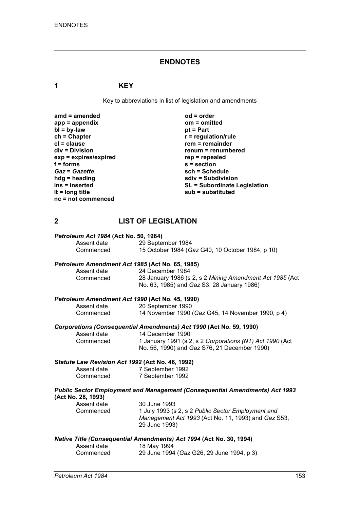#### **ENDNOTES**

#### **1 KEY**

Key to abbreviations in list of legislation and amendments

| $amd = amended$       | $od = order$                        |
|-----------------------|-------------------------------------|
| $app = appendix$      | $om = omitted$                      |
| $bl = by-law$         | $pt = Part$                         |
| $ch = Chapter$        | $r =$ regulation/rule               |
| $cl = clause$         | $rem = remainder$                   |
| $div = Division$      | renum = renumbered                  |
| exp = expires/expired | $rep = repeated$                    |
| $f =$ forms           | $s =$ section                       |
| <b>Gaz = Gazette</b>  | sch = Schedule                      |
| $h dg =$ heading      | sdiv = Subdivision                  |
| ins = inserted        | <b>SL = Subordinate Legislation</b> |
| It = $long$ title     | sub = substituted                   |
| nc = not commenced    |                                     |

## **2 LIST OF LEGISLATION**

#### *Petroleum Act 1984* **(Act No. 50, 1984)** Assent date 29 September 1984<br>
Commenced 15 October 1984 (G 15 October 1984 (*Gaz* G40, 10 October 1984, p 10)

# *Petroleum Amendment Act 1985* **(Act No. 65, 1985)**

Assent date 24 December 1984<br>Commenced 28 January 1986 (s 28 January 1986 (s 2, s 2 *Mining Amendment Act 1985* (Act No. 63, 1985) and *Gaz* S3, 28 January 1986)

#### *Petroleum Amendment Act 1990* **(Act No. 45, 1990)**

| Assent date | 20 September 1990                                 |
|-------------|---------------------------------------------------|
| Commenced   | 14 November 1990 (Gaz G45, 14 November 1990, p 4) |

# *Corporations (Consequential Amendments) Act 1990* **(Act No. 59, 1990)**

Assent date 14 December 1990<br>Commenced 1 January 1991 (s 2 1 January 1991 (s 2, s 2 *Corporations (NT) Act 1990* (Act No. 56, 1990) and *Gaz* S76, 21 December 1990)

#### *Statute Law Revision Act 1992* **(Act No. 46, 1992)**

| Assent date | 7 September 1992 |
|-------------|------------------|
| Commenced   | 7 September 1992 |

# *Public Sector Employment and Management (Consequential Amendments) Act 1993* **(Act No. 28, 1993)**

| Assent date | 30 June 1993                                        |
|-------------|-----------------------------------------------------|
| Commenced   | 1 July 1993 (s 2, s 2 Public Sector Employment and  |
|             | Management Act 1993 (Act No. 11, 1993) and Gaz S53, |
|             | 29 June 1993)                                       |
|             |                                                     |

#### *Native Title (Consequential Amendments) Act 1994* **(Act No. 30, 1994)**

| Assent date | 18 May 1994                               |  |
|-------------|-------------------------------------------|--|
| Commenced   | 29 June 1994 (Gaz G26, 29 June 1994, p 3) |  |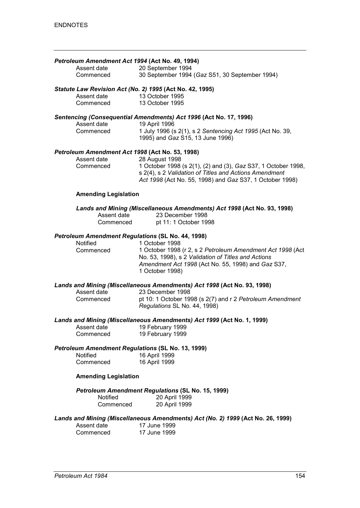| Petroleum Amendment Act 1994 (Act No. 49, 1994)<br>Assent date<br>Commenced          | 20 September 1994<br>30 September 1994 (Gaz S51, 30 September 1994)                                                                                                                                          |  |
|--------------------------------------------------------------------------------------|--------------------------------------------------------------------------------------------------------------------------------------------------------------------------------------------------------------|--|
|                                                                                      |                                                                                                                                                                                                              |  |
| Statute Law Revision Act (No. 2) 1995 (Act No. 42, 1995)<br>Assent date<br>Commenced | 13 October 1995<br>13 October 1995                                                                                                                                                                           |  |
|                                                                                      | Sentencing (Consequential Amendments) Act 1996 (Act No. 17, 1996)                                                                                                                                            |  |
| Assent date<br>Commenced                                                             | 19 April 1996<br>1 July 1996 (s 2(1), s 2 Sentencing Act 1995 (Act No. 39,<br>1995) and Gaz S15, 13 June 1996)                                                                                               |  |
| Petroleum Amendment Act 1998 (Act No. 53, 1998)                                      |                                                                                                                                                                                                              |  |
| Assent date<br>Commenced                                                             | 28 August 1998<br>1 October 1998 (s 2(1), (2) and (3), Gaz S37, 1 October 1998,<br>s 2(4), s 2 Validation of Titles and Actions Amendment<br>Act 1998 (Act No. 55, 1998) and Gaz S37, 1 October 1998)        |  |
| <b>Amending Legislation</b>                                                          |                                                                                                                                                                                                              |  |
| Assent date<br>Commenced                                                             | Lands and Mining (Miscellaneous Amendments) Act 1998 (Act No. 93, 1998)<br>23 December 1998<br>pt 11: 1 October 1998                                                                                         |  |
| Petroleum Amendment Regulations (SL No. 44, 1998)                                    |                                                                                                                                                                                                              |  |
| Notified<br>Commenced                                                                | 1 October 1998<br>1 October 1998 (r 2, s 2 Petroleum Amendment Act 1998 (Act<br>No. 53, 1998), s 2 Validation of Titles and Actions<br>Amendment Act 1998 (Act No. 55, 1998) and Gaz S37,<br>1 October 1998) |  |
|                                                                                      | Lands and Mining (Miscellaneous Amendments) Act 1998 (Act No. 93, 1998)                                                                                                                                      |  |
| Assent date<br>Commenced                                                             | 23 December 1998<br>pt 10: 1 October 1998 (s 2(7) and r 2 Petroleum Amendment<br>Regulations SL No. 44, 1998)                                                                                                |  |
| Lands and Mining (Miscellaneous Amendments) Act 1999 (Act No. 1, 1999)               |                                                                                                                                                                                                              |  |
| Assent date<br>Commenced                                                             | 19 February 1999<br>19 February 1999                                                                                                                                                                         |  |
| <b>Petroleum Amendment Regulations (SL No. 13, 1999)</b>                             |                                                                                                                                                                                                              |  |
| Notified<br>Commenced                                                                | 16 April 1999<br>16 April 1999                                                                                                                                                                               |  |
| <b>Amending Legislation</b>                                                          |                                                                                                                                                                                                              |  |

*Petroleum Amendment Regulations* **(SL No. 15, 1999)**

| Notified  | 20 April 1999 |
|-----------|---------------|
| Commenced | 20 April 1999 |

*Lands and Mining (Miscellaneous Amendments) Act (No. 2) 1999* **(Act No. 26, 1999)**

| Assent date | 17 June 1999 |
|-------------|--------------|
| Commenced   | 17 June 1999 |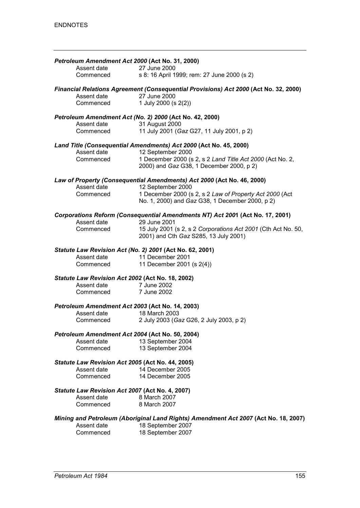| Petroleum Amendment Act 2000 (Act No. 31, 2000)  |                                                                                                            |
|--------------------------------------------------|------------------------------------------------------------------------------------------------------------|
| Assent date                                      | 27 June 2000                                                                                               |
| Commenced                                        | s 8: 16 April 1999; rem: 27 June 2000 (s 2)                                                                |
|                                                  | Financial Relations Agreement (Consequential Provisions) Act 2000 (Act No. 32, 2000)                       |
| Assent date                                      | 27 June 2000                                                                                               |
| Commenced                                        | 1 July 2000 (s 2(2))                                                                                       |
|                                                  | Petroleum Amendment Act (No. 2) 2000 (Act No. 42, 2000)                                                    |
| Assent date                                      | 31 August 2000                                                                                             |
| Commenced                                        | 11 July 2001 (Gaz G27, 11 July 2001, p 2)                                                                  |
|                                                  | Land Title (Consequential Amendments) Act 2000 (Act No. 45, 2000)                                          |
| Assent date                                      | 12 September 2000                                                                                          |
| Commenced                                        | 1 December 2000 (s 2, s 2 Land Title Act 2000 (Act No. 2,<br>2000) and Gaz G38, 1 December 2000, p 2)      |
|                                                  | Law of Property (Consequential Amendments) Act 2000 (Act No. 46, 2000)                                     |
| Assent date                                      | 12 September 2000                                                                                          |
| Commenced                                        | 1 December 2000 (s 2, s 2 Law of Property Act 2000 (Act<br>No. 1, 2000) and Gaz G38, 1 December 2000, p 2) |
| Assent date                                      | Corporations Reform (Consequential Amendments NT) Act 2001 (Act No. 17, 2001)<br>29 June 2001              |
| Commenced                                        | 15 July 2001 (s 2, s 2 Corporations Act 2001 (Cth Act No. 50,                                              |
|                                                  | 2001) and Cth Gaz S285, 13 July 2001)                                                                      |
|                                                  | Statute Law Revision Act (No. 2) 2001 (Act No. 62, 2001)                                                   |
| Assent date                                      | 11 December 2001                                                                                           |
| Commenced                                        | 11 December 2001 (s 2(4))                                                                                  |
| Statute Law Revision Act 2002 (Act No. 18, 2002) |                                                                                                            |
| Assent date                                      | 7 June 2002                                                                                                |
| Commenced 7 June 2002                            |                                                                                                            |
| Petroleum Amendment Act 2003 (Act No. 14, 2003)  |                                                                                                            |
| Assent date                                      | 18 March 2003                                                                                              |
| Commenced                                        | 2 July 2003 (Gaz G26, 2 July 2003, p 2)                                                                    |
| Petroleum Amendment Act 2004 (Act No. 50, 2004)  |                                                                                                            |
| Assent date                                      | 13 September 2004                                                                                          |
| Commenced                                        | 13 September 2004                                                                                          |
| Statute Law Revision Act 2005 (Act No. 44, 2005) |                                                                                                            |
| Assent date                                      | 14 December 2005                                                                                           |
| Commenced                                        | 14 December 2005                                                                                           |
| Statute Law Revision Act 2007 (Act No. 4, 2007)  |                                                                                                            |
| Assent date                                      | 8 March 2007<br>8 March 2007                                                                               |
| Commenced                                        |                                                                                                            |
|                                                  | Mining and Petroleum (Aboriginal Land Rights) Amendment Act 2007 (Act No. 18, 2007)                        |
| Assent date                                      | 18 September 2007                                                                                          |
| Commenced                                        | 18 September 2007                                                                                          |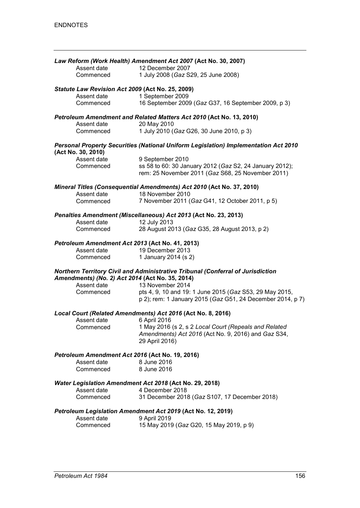|                                                                | Law Reform (Work Health) Amendment Act 2007 (Act No. 30, 2007)                                               |
|----------------------------------------------------------------|--------------------------------------------------------------------------------------------------------------|
| Assent date                                                    | 12 December 2007                                                                                             |
| Commenced                                                      | 1 July 2008 (Gaz S29, 25 June 2008)                                                                          |
| Statute Law Revision Act 2009 (Act No. 25, 2009)               |                                                                                                              |
| Assent date<br>Commenced                                       | 1 September 2009<br>16 September 2009 (Gaz G37, 16 September 2009, p 3)                                      |
|                                                                |                                                                                                              |
|                                                                | Petroleum Amendment and Related Matters Act 2010 (Act No. 13, 2010)                                          |
| Assent date<br>Commenced                                       | 20 May 2010<br>1 July 2010 (Gaz G26, 30 June 2010, p 3)                                                      |
|                                                                |                                                                                                              |
| (Act No. 30, 2010)                                             | Personal Property Securities (National Uniform Legislation) Implementation Act 2010                          |
| Assent date                                                    | 9 September 2010                                                                                             |
| Commenced                                                      | ss 58 to 60: 30 January 2012 (Gaz S2, 24 January 2012);<br>rem: 25 November 2011 (Gaz S68, 25 November 2011) |
|                                                                | Mineral Titles (Consequential Amendments) Act 2010 (Act No. 37, 2010)                                        |
| Assent date                                                    | 18 November 2010                                                                                             |
| Commenced                                                      | 7 November 2011 (Gaz G41, 12 October 2011, p 5)                                                              |
| Assent date                                                    | Penalties Amendment (Miscellaneous) Act 2013 (Act No. 23, 2013)<br>12 July 2013                              |
| Commenced                                                      | 28 August 2013 (Gaz G35, 28 August 2013, p 2)                                                                |
|                                                                |                                                                                                              |
| Petroleum Amendment Act 2013 (Act No. 41, 2013)                |                                                                                                              |
| Assent date                                                    | 19 December 2013                                                                                             |
| Commenced                                                      | 1 January 2014 (s 2)                                                                                         |
| Amendments) (No. 2) Act 2014 (Act No. 35, 2014)                | Northern Territory Civil and Administrative Tribunal (Conferral of Jurisdiction                              |
| Assent date                                                    | 13 November 2014                                                                                             |
| Commenced                                                      | pts 4, 9, 10 and 19: 1 June 2015 (Gaz S53, 29 May 2015,                                                      |
|                                                                | p 2); rem: 1 January 2015 (Gaz G51, 24 December 2014, p 7)                                                   |
|                                                                | Local Court (Related Amendments) Act 2016 (Act No. 8, 2016)                                                  |
| Assent date                                                    | 6 April 2016                                                                                                 |
| Commenced                                                      | 1 May 2016 (s 2, s 2 Local Court (Repeals and Related                                                        |
|                                                                | Amendments) Act 2016 (Act No. 9, 2016) and Gaz S34,                                                          |
|                                                                | 29 April 2016)                                                                                               |
| Petroleum Amendment Act 2016 (Act No. 19, 2016)<br>Assent date | 8 June 2016                                                                                                  |
| Commenced                                                      | 8 June 2016                                                                                                  |
|                                                                |                                                                                                              |
|                                                                | Water Legislation Amendment Act 2018 (Act No. 29, 2018)                                                      |
| Assent date                                                    | 4 December 2018                                                                                              |
| Commenced                                                      | 31 December 2018 (Gaz S107, 17 December 2018)                                                                |
|                                                                | Petroleum Legislation Amendment Act 2019 (Act No. 12, 2019)                                                  |
| Assent date                                                    | 9 April 2019                                                                                                 |
| Commenced                                                      | 15 May 2019 (Gaz G20, 15 May 2019, p 9)                                                                      |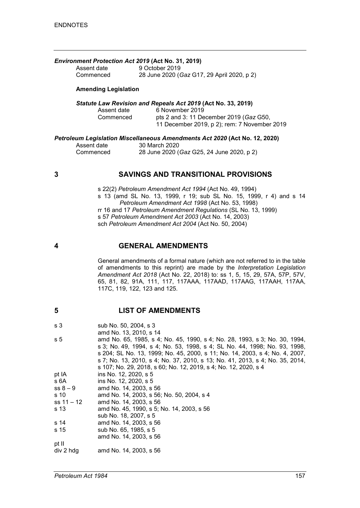|                             | <b>Environment Protection Act 2019 (Act No. 31, 2019)</b> |
|-----------------------------|-----------------------------------------------------------|
| Assent date                 | 9 October 2019                                            |
| Commenced                   | 28 June 2020 (Gaz G17, 29 April 2020, p 2)                |
| <b>Amending Legislation</b> |                                                           |

#### *Statute Law Revision and Repeals Act 2019* **(Act No. 33, 2019)**

| Assent date | 6 November 2019                              |
|-------------|----------------------------------------------|
| Commenced   | pts 2 and 3: 11 December 2019 (Gaz G50,      |
|             | 11 December 2019, p 2); rem: 7 November 2019 |

#### *Petroleum Legislation Miscellaneous Amendments Act 2020* **(Act No. 12, 2020)**

| Assent date | 30 March 2020                             |
|-------------|-------------------------------------------|
| Commenced   | 28 June 2020 (Gaz G25, 24 June 2020, p 2) |

#### **3 SAVINGS AND TRANSITIONAL PROVISIONS**

s 22(2) *Petroleum Amendment Act 1994* (Act No. 49, 1994) s 13 (amd SL No. 13, 1999, r 19; sub SL No. 15, 1999, r 4) and s 14 *Petroleum Amendment Act 1998* (Act No. 53, 1998) rr 16 and 17 *Petroleum Amendment Regulations* (SL No. 13, 1999) s 57 *Petroleum Amendment Act 2003* (Act No. 14, 2003) sch *Petroleum Amendment Act 2004* (Act No. 50, 2004)

#### **4 GENERAL AMENDMENTS**

General amendments of a formal nature (which are not referred to in the table of amendments to this reprint) are made by the *Interpretation Legislation Amendment Act 2018* (Act No. 22, 2018) to: ss 1, 5, 15, 29, 57A, 57P, 57V, 65, 81, 82, 91A, 111, 117, 117AAA, 117AAD, 117AAG, 117AAH, 117AA, 117C, 119, 122, 123 and 125.

#### **5 LIST OF AMENDMENTS**

| s 3 | sub No. 50, 2004, s 3 |
|-----|-----------------------|
|     | amd No. 13, 2010 s 14 |

|            | 41114 190. 10. 2010. 5 14                                                    |
|------------|------------------------------------------------------------------------------|
| s 5        | amd No. 65, 1985, s 4; No. 45, 1990, s 4; No. 28, 1993, s 3; No. 30, 1994,   |
|            | s 3; No. 49, 1994, s 4; No. 53, 1998, s 4; SL No. 44, 1998; No. 93, 1998,    |
|            | s 204; SL No. 13, 1999; No. 45, 2000, s 11; No. 14, 2003, s 4; No. 4, 2007,  |
|            | s 7; No. 13, 2010, s 4; No. 37, 2010, s 13; No. 41, 2013, s 4; No. 35, 2014, |
|            | s 107; No. 29, 2018, s 60; No. 12, 2019, s 4; No. 12, 2020, s 4              |
| pt IA      | ins No. 12, 2020, s 5                                                        |
| s 6A       | ins No. 12, 2020, s 5                                                        |
| $ss 8 - 9$ | amd No. 14, 2003, s 56                                                       |
| s 10       | amd No. 14, 2003, s 56; No. 50, 2004, s 4                                    |
| ss 11 – 12 | amd No. 14, 2003, s 56                                                       |
| s 13       | amd No. 45, 1990, s 5; No. 14, 2003, s 56                                    |
|            | sub No. 18, 2007, s 5                                                        |
| s 14       | amd No. 14, 2003, s 56                                                       |
| s 15       | sub No. 65, 1985, s 5                                                        |
|            | amd No. 14, 2003, s 56                                                       |
| pt II      |                                                                              |
| div 2 hdg  | amd No. 14, 2003, s 56                                                       |
|            |                                                                              |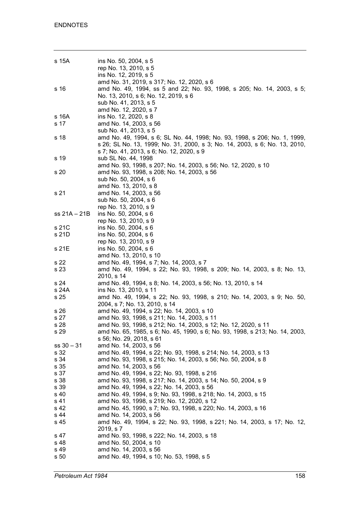| s 15A        | ins No. 50, 2004, s 5<br>rep No. 13, 2010, s 5<br>ins No. 12, 2019, s 5                                                                                                                                        |
|--------------|----------------------------------------------------------------------------------------------------------------------------------------------------------------------------------------------------------------|
| s 16         | amd No. 31, 2019, s 317; No. 12, 2020, s 6<br>amd No. 49, 1994, ss 5 and 22; No. 93, 1998, s 205; No. 14, 2003, s 5;<br>No. 13, 2010, s 6; No. 12, 2019, s 6<br>sub No. 41, 2013, s 5<br>amd No. 12, 2020, s 7 |
| s 16A        | ins No. 12, 2020, s 8                                                                                                                                                                                          |
| s 17         | amd No. 14, 2003, s 56                                                                                                                                                                                         |
|              | sub No. 41, 2013, s 5                                                                                                                                                                                          |
| s 18         | amd No. 49, 1994, s 6; SL No. 44, 1998; No. 93, 1998, s 206; No. 1, 1999,                                                                                                                                      |
|              | s 26; SL No. 13, 1999; No. 31, 2000, s 3; No. 14, 2003, s 6; No. 13, 2010,                                                                                                                                     |
|              | s 7; No. 41, 2013, s 6; No. 12, 2020, s 9                                                                                                                                                                      |
| s 19         | sub SL No. 44, 1998                                                                                                                                                                                            |
|              | amd No. 93, 1998, s 207; No. 14, 2003, s 56; No. 12, 2020, s 10                                                                                                                                                |
| s 20         | amd No. 93, 1998, s 208; No. 14, 2003, s 56                                                                                                                                                                    |
|              | sub No. 50, 2004, s 6                                                                                                                                                                                          |
|              | amd No. 13, 2010, s 8                                                                                                                                                                                          |
| s 21         | amd No. 14, 2003, s 56                                                                                                                                                                                         |
|              | sub No. 50, 2004, s 6                                                                                                                                                                                          |
|              | rep No. 13, 2010, s 9<br>ins No. 50, 2004, s 6                                                                                                                                                                 |
| ss 21A – 21B | rep No. 13, 2010, s 9                                                                                                                                                                                          |
| s 21C        | ins No. 50, 2004, s 6                                                                                                                                                                                          |
| s 21D        | ins No. 50, 2004, s 6                                                                                                                                                                                          |
|              | rep No. 13, 2010, s 9                                                                                                                                                                                          |
| s 21E        | ins No. 50, 2004, s 6                                                                                                                                                                                          |
|              | amd No. 13, 2010, s 10                                                                                                                                                                                         |
| s 22         | amd No. 49, 1994, s 7; No. 14, 2003, s 7                                                                                                                                                                       |
| s 23         | amd No. 49, 1994, s 22; No. 93, 1998, s 209; No. 14, 2003, s 8; No. 13,                                                                                                                                        |
|              | 2010, s 14                                                                                                                                                                                                     |
| s 24         | amd No. 49, 1994, s 8; No. 14, 2003, s 56; No. 13, 2010, s 14                                                                                                                                                  |
| s 24A        | ins No. 13, 2010, s 11                                                                                                                                                                                         |
| s 25         | amd No. 49, 1994, s 22; No. 93, 1998, s 210; No. 14, 2003, s 9; No. 50,<br>2004, s 7; No. 13, 2010, s 14                                                                                                       |
| s 26         | amd No. 49, 1994, s 22; No. 14, 2003, s 10                                                                                                                                                                     |
| s 27         | amd No. 93, 1998, s 211; No. 14, 2003, s 11                                                                                                                                                                    |
| s 28         | amd No. 93, 1998, s 212; No. 14, 2003, s 12; No. 12, 2020, s 11                                                                                                                                                |
| s 29         | amd No. 65, 1985, s 6; No. 45, 1990, s 6; No. 93, 1998, s 213; No. 14, 2003,                                                                                                                                   |
|              | s 56; No. 29, 2018, s 61                                                                                                                                                                                       |
| $ss 30 - 31$ | amd No. 14, 2003, s 56                                                                                                                                                                                         |
| s 32         | amd No. 49, 1994, s 22; No. 93, 1998, s 214; No. 14, 2003, s 13                                                                                                                                                |
| s 34         | amd No. 93, 1998, s 215; No. 14, 2003, s 56; No. 50, 2004, s 8                                                                                                                                                 |
| s 35         | amd No. 14, 2003, s 56                                                                                                                                                                                         |
| s 37         | amd No. 49, 1994, s 22; No. 93, 1998, s 216                                                                                                                                                                    |
| s 38         | amd No. 93, 1998, s 217; No. 14, 2003, s 14; No. 50, 2004, s 9                                                                                                                                                 |
| s 39         | amd No. 49, 1994, s 22; No. 14, 2003, s 56                                                                                                                                                                     |
| s 40         | amd No. 49, 1994, s 9; No. 93, 1998, s 218; No. 14, 2003, s 15                                                                                                                                                 |
| s 41<br>s 42 | amd No. 93, 1998, s 219; No. 12, 2020, s 12<br>amd No. 45, 1990, s 7; No. 93, 1998, s 220; No. 14, 2003, s 16                                                                                                  |
| s 44         | amd No. 14, 2003, s 56                                                                                                                                                                                         |
| s 45         | amd No. 49, 1994, s 22; No. 93, 1998, s 221; No. 14, 2003, s 17; No. 12,                                                                                                                                       |
|              | 2019, s 7                                                                                                                                                                                                      |
| s 47         | amd No. 93, 1998, s 222; No. 14, 2003, s 18                                                                                                                                                                    |
| s 48         | amd No. 50, 2004, s 10                                                                                                                                                                                         |
| s 49         | amd No. 14, 2003, s 56                                                                                                                                                                                         |
| s 50         | amd No. 49, 1994, s 10; No. 53, 1998, s 5                                                                                                                                                                      |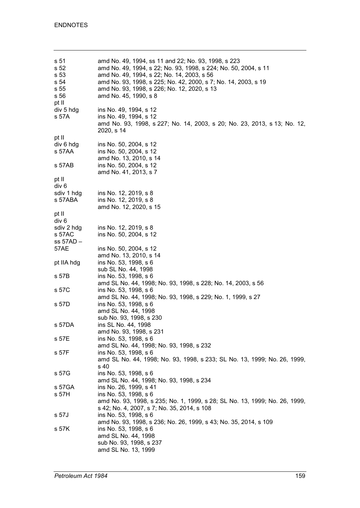| s 51<br>s 52<br>s 53<br>s 54<br>s 55<br>s 56<br>pt II | amd No. 49, 1994, ss 11 and 22; No. 93, 1998, s 223<br>amd No. 49, 1994, s 22; No. 93, 1998, s 224; No. 50, 2004, s 11<br>amd No. 49, 1994, s 22; No. 14, 2003, s 56<br>amd No. 93, 1998, s 225; No. 42, 2000, s 7; No. 14, 2003, s 19<br>amd No. 93, 1998, s 226; No. 12, 2020, s 13<br>amd No. 45, 1990, s 8 |
|-------------------------------------------------------|----------------------------------------------------------------------------------------------------------------------------------------------------------------------------------------------------------------------------------------------------------------------------------------------------------------|
| div 5 hdg<br>s 57A                                    | ins No. 49, 1994, s 12<br>ins No. 49, 1994, s 12<br>amd No. 93, 1998, s 227; No. 14, 2003, s 20; No. 23, 2013, s 13; No. 12,<br>2020, s 14                                                                                                                                                                     |
| pt II                                                 |                                                                                                                                                                                                                                                                                                                |
| div 6 hdg                                             | ins No. 50, 2004, s 12                                                                                                                                                                                                                                                                                         |
| s 57AA                                                | ins No. 50, 2004, s 12<br>amd No. 13, 2010, s 14                                                                                                                                                                                                                                                               |
| s 57AB                                                | ins No. 50, 2004, s 12<br>amd No. 41, 2013, s 7                                                                                                                                                                                                                                                                |
| pt II                                                 |                                                                                                                                                                                                                                                                                                                |
| div 6                                                 |                                                                                                                                                                                                                                                                                                                |
| sdiv 1 hdg                                            | ins No. 12, 2019, s 8                                                                                                                                                                                                                                                                                          |
| s 57ABA                                               | ins No. 12, 2019, s 8<br>amd No. 12, 2020, s 15                                                                                                                                                                                                                                                                |
| pt II                                                 |                                                                                                                                                                                                                                                                                                                |
| div 6                                                 |                                                                                                                                                                                                                                                                                                                |
| sdiv 2 hdg                                            | ins No. 12, 2019, s 8                                                                                                                                                                                                                                                                                          |
| s 57AC                                                | ins No. 50, 2004, s 12                                                                                                                                                                                                                                                                                         |
| ss 57AD –                                             |                                                                                                                                                                                                                                                                                                                |
| 57AE                                                  | ins No. 50, 2004, s 12                                                                                                                                                                                                                                                                                         |
|                                                       | amd No. 13, 2010, s 14                                                                                                                                                                                                                                                                                         |
| pt IIA hdg                                            | ins No. 53, 1998, s 6                                                                                                                                                                                                                                                                                          |
| s 57B                                                 | sub SL No. 44, 1998<br>ins No. 53, 1998, s 6                                                                                                                                                                                                                                                                   |
|                                                       | amd SL No. 44, 1998; No. 93, 1998, s 228; No. 14, 2003, s 56                                                                                                                                                                                                                                                   |
| s 57C                                                 | ins No. 53, 1998, s 6                                                                                                                                                                                                                                                                                          |
|                                                       | amd SL No. 44, 1998; No. 93, 1998, s 229; No. 1, 1999, s 27                                                                                                                                                                                                                                                    |
| s 57D                                                 | ins No. 53, 1998, s 6                                                                                                                                                                                                                                                                                          |
|                                                       | amd SL No. 44, 1998                                                                                                                                                                                                                                                                                            |
|                                                       | sub No. 93, 1998, s 230                                                                                                                                                                                                                                                                                        |
| s 57DA                                                | ins SL No. 44, 1998                                                                                                                                                                                                                                                                                            |
|                                                       | amd No. 93, 1998, s 231                                                                                                                                                                                                                                                                                        |
| s 57E                                                 | ins No. 53, 1998, s 6                                                                                                                                                                                                                                                                                          |
|                                                       | amd SL No. 44, 1998; No. 93, 1998, s 232                                                                                                                                                                                                                                                                       |
| s 57F                                                 | ins No. 53, 1998, s 6                                                                                                                                                                                                                                                                                          |
|                                                       | amd SL No. 44, 1998; No. 93, 1998, s 233; SL No. 13, 1999; No. 26, 1999,                                                                                                                                                                                                                                       |
|                                                       | s 40                                                                                                                                                                                                                                                                                                           |
| s 57G                                                 | ins No. 53, 1998, s 6                                                                                                                                                                                                                                                                                          |
|                                                       | amd SL No. 44, 1998; No. 93, 1998, s 234                                                                                                                                                                                                                                                                       |
| s 57GA                                                | ins No. 26, 1999, s 41                                                                                                                                                                                                                                                                                         |
| s 57H                                                 | ins No. 53, 1998, s 6                                                                                                                                                                                                                                                                                          |
|                                                       | amd No. 93, 1998, s 235; No. 1, 1999, s 28; SL No. 13, 1999; No. 26, 1999,                                                                                                                                                                                                                                     |
|                                                       | s 42; No. 4, 2007, s 7; No. 35, 2014, s 108                                                                                                                                                                                                                                                                    |
| s 57J                                                 | ins No. 53, 1998, s 6                                                                                                                                                                                                                                                                                          |
|                                                       | amd No. 93, 1998, s 236; No. 26, 1999, s 43; No. 35, 2014, s 109                                                                                                                                                                                                                                               |
| s 57K                                                 | ins No. 53, 1998, s 6                                                                                                                                                                                                                                                                                          |
|                                                       | amd SL No. 44, 1998<br>sub No. 93, 1998, s 237                                                                                                                                                                                                                                                                 |
|                                                       | amd SL No. 13, 1999                                                                                                                                                                                                                                                                                            |
|                                                       |                                                                                                                                                                                                                                                                                                                |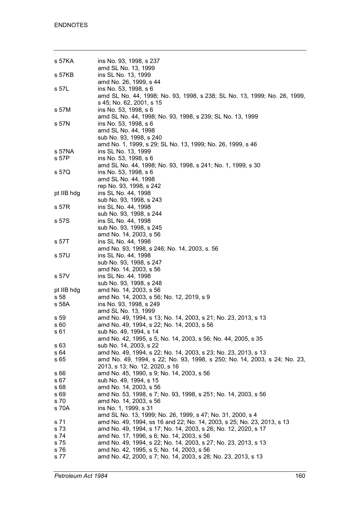| s 57KA     | ins No. 93, 1998, s 237                                                  |
|------------|--------------------------------------------------------------------------|
|            | amd SL No. 13, 1999                                                      |
| s 57KB     | ins SL No. 13, 1999                                                      |
|            | amd No. 26, 1999, s 44                                                   |
| s 57L      | ins No. 53, 1998, s 6                                                    |
|            | amd SL No. 44, 1998; No. 93, 1998, s 238; SL No. 13, 1999; No. 26, 1999, |
|            | s 45; No. 62, 2001, s 15                                                 |
| s 57M      | ins No. 53, 1998, s 6                                                    |
|            | amd SL No. 44, 1998; No. 93, 1998, s 239; SL No. 13, 1999                |
| s 57N      | ins No. 53, 1998, s 6                                                    |
|            | amd SL No. 44, 1998                                                      |
|            | sub No. 93, 1998, s 240                                                  |
|            | amd No. 1, 1999, s 29; SL No. 13, 1999; No. 26, 1999, s 46               |
| s 57NA     | ins SL No. 13, 1999                                                      |
| s 57P      | ins No. 53, 1998, s 6                                                    |
|            | amd SL No. 44, 1998; No. 93, 1998, s 241; No. 1, 1999, s 30              |
| s 57Q      | ins No. 53, 1998, s 6                                                    |
|            | amd SL No. 44, 1998                                                      |
|            | rep No. 93, 1998, s 242                                                  |
| pt IIB hdg | ins SL No. 44, 1998                                                      |
|            | sub No. 93, 1998, s 243                                                  |
| s 57R      | ins SL No. 44, 1998                                                      |
|            |                                                                          |
|            | sub No. 93, 1998, s 244                                                  |
| s 57S      | ins SL No. 44, 1998                                                      |
|            | sub No. 93, 1998, s 245                                                  |
|            | amd No. 14, 2003, s 56                                                   |
| s 57T      | ins SL No. 44, 1998                                                      |
|            | amd No. 93, 1998, s 246; No. 14, 2003, s. 56                             |
| s 57U      | ins SL No. 44, 1998                                                      |
|            | sub No. 93, 1998, s 247                                                  |
|            | amd No. 14, 2003, s 56                                                   |
| s 57V      | ins SL No. 44, 1998                                                      |
|            | sub No. 93, 1998, s 248                                                  |
| pt IIB hdg | amd No. 14, 2003, s 56                                                   |
| s 58       | amd No. 14, 2003, s 56; No. 12, 2019, s 9                                |
| s 58A      | ins No. 93, 1998, s 249                                                  |
|            | amd SL No. 13, 1999                                                      |
| s 59       | amd No. 49, 1994, s 13; No. 14, 2003, s 21; No. 23, 2013, s 13           |
| s 60       | amd No. 49, 1994, s 22; No. 14, 2003, s 56                               |
| s 61       | sub No. 49, 1994, s 14                                                   |
|            | amd No. 42, 1995, s 5; No. 14, 2003, s 56; No. 44, 2005, s 35            |
| s 63       | sub No. 14, 2003, s 22                                                   |
| s 64       | amd No. 49, 1994, s 22; No. 14, 2003, s 23; No. 23, 2013, s 13           |
| s 65       | amd No. 49, 1994, s 22; No. 93, 1998, s 250; No. 14, 2003, s 24; No. 23, |
|            | 2013, s 13; No. 12, 2020, s 16                                           |
| s 66       | amd No. 45, 1990, s 9; No. 14, 2003, s 56                                |
| s 67       | sub No. 49, 1994, s 15                                                   |
| s 68       | amd No. 14, 2003, s 56                                                   |
| s 69       | amd No. 53, 1998, s 7; No. 93, 1998, s 251; No. 14, 2003, s 56           |
| s 70       | amd No. 14, 2003, s 56                                                   |
| s 70A      | ins No. 1, 1999, s 31                                                    |
|            | amd SL No. 13, 1999; No. 26, 1999, s 47; No. 31, 2000, s 4               |
|            | amd No. 49, 1994, ss 16 and 22; No. 14, 2003, s 25; No. 23, 2013, s 13   |
| s 71       |                                                                          |
| s 73       | amd No. 49, 1994, s 17; No. 14, 2003, s 26; No. 12, 2020, s 17           |
| s 74       | amd No. 17, 1996, s 6; No. 14, 2003, s 56                                |
| s 75       | amd No. 49, 1994, s 22; No. 14, 2003, s 27; No. 23, 2013, s 13           |
| s 76       | amd No. 42, 1995, s 5; No. 14, 2003, s 56                                |
| s 77       | amd No. 42, 2000, s 7; No. 14, 2003, s 28; No. 23, 2013, s 13            |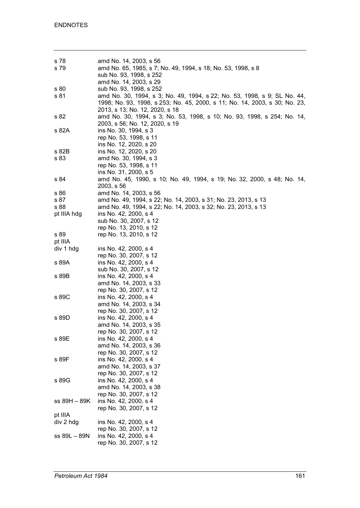| s 78         | amd No. 14, 2003, s 56                                                     |
|--------------|----------------------------------------------------------------------------|
| s 79         | amd No. 65, 1985, s 7; No. 49, 1994, s 18; No. 53, 1998, s 8               |
|              | sub No. 93, 1998, s 252                                                    |
|              | amd No. 14, 2003, s 29                                                     |
| s 80         | sub No. 93, 1998, s 252                                                    |
| s 81         | amd No. 30, 1994, s 3; No. 49, 1994, s 22; No. 53, 1998, s 9; SL No. 44,   |
|              | 1998; No. 93, 1998, s 253; No. 45, 2000, s 11; No. 14, 2003, s 30; No. 23, |
|              |                                                                            |
|              | 2013, s 13; No. 12, 2020, s 18                                             |
| s 82         | amd No. 30, 1994, s 3; No. 53, 1998, s 10; No. 93, 1998, s 254; No. 14,    |
|              | 2003, s 56; No. 12, 2020, s 19                                             |
| s 82A        | ins No. 30, 1994, s 3                                                      |
|              | rep No. 53, 1998, s 11                                                     |
|              | ins No. 12, 2020, s 20                                                     |
| s 82B        | ins No. 12, 2020, s 20                                                     |
| s 83         | amd No. 30, 1994, s 3                                                      |
|              | rep No. 53, 1998, s 11                                                     |
|              | ins No. 31, 2000, s 5                                                      |
|              |                                                                            |
| s 84         | amd No. 45, 1990, s 10; No. 49, 1994, s 19; No. 32, 2000, s 48; No. 14,    |
|              | 2003, s 56                                                                 |
| s 86         | amd No. 14, 2003, s 56                                                     |
| s 87         | amd No. 49, 1994, s 22; No. 14, 2003, s 31; No. 23, 2013, s 13             |
| s 88         | amd No. 49, 1994, s 22; No. 14, 2003, s 32; No. 23, 2013, s 13             |
| pt IIIA hdg  | ins No. 42, 2000, s 4                                                      |
|              | sub No. 30, 2007, s 12                                                     |
|              | rep No. 13, 2010, s 12                                                     |
| s 89         | rep No. 13, 2010, s 12                                                     |
|              |                                                                            |
| pt IIIA      |                                                                            |
| div 1 hdg    | ins No. 42, 2000, s 4                                                      |
|              | rep No. 30, 2007, s 12                                                     |
| s 89A        | ins No. 42, 2000, s 4                                                      |
|              | sub No. 30, 2007, s 12                                                     |
| s 89B        | ins No. 42, 2000, s 4                                                      |
|              | amd No. 14, 2003, s 33                                                     |
|              | rep No. 30, 2007, s 12                                                     |
| s 89C        | ins No. 42, 2000, s 4                                                      |
|              | amd No. 14, 2003, s 34                                                     |
|              |                                                                            |
|              | rep No. 30, 2007, s 12                                                     |
| s 89D        | ins No. 42, 2000, s 4                                                      |
|              | amd No. 14, 2003, s 35                                                     |
|              | rep No. 30, 2007, s 12                                                     |
| s 89E        | ins No. 42, 2000, s 4                                                      |
|              | amd No. 14, 2003, s 36                                                     |
|              | rep No. 30, 2007, s 12                                                     |
| s 89F        | ins No. 42, 2000, s 4                                                      |
|              | amd No. 14, 2003, s 37                                                     |
|              | rep No. 30, 2007, s 12                                                     |
| s 89G        | ins No. 42, 2000, s 4                                                      |
|              | amd No. 14, 2003, s 38                                                     |
|              |                                                                            |
|              | rep No. 30, 2007, s 12                                                     |
| ss 89H – 89K | ins No. 42, 2000, s 4                                                      |
|              | rep No. 30, 2007, s 12                                                     |
| pt IIIA      |                                                                            |
| div 2 hdg    | ins No. 42, 2000, s 4                                                      |
|              | rep No. 30, 2007, s 12                                                     |
| ss 89L - 89N | ins No. 42, 2000, s 4                                                      |
|              | rep No. 30, 2007, s 12                                                     |
|              |                                                                            |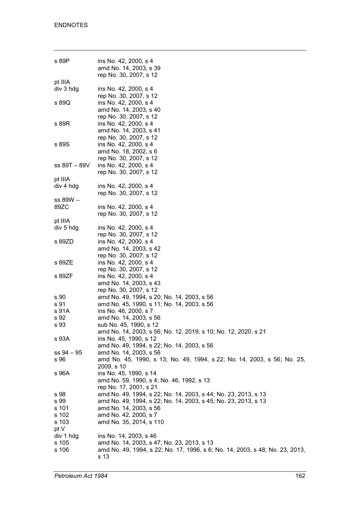| s 89P        | ins No. 42, 2000, s 4<br>amd No. 14, 2003, s 39<br>rep No. 30, 2007, s 12    |
|--------------|------------------------------------------------------------------------------|
| pt IIIA      |                                                                              |
| div 3 hdg    | ins No. 42, 2000, s 4                                                        |
|              | rep No. 30, 2007, s 12                                                       |
| s 89Q        | ins No. 42, 2000, s 4                                                        |
|              |                                                                              |
|              | amd No. 14, 2003, s 40                                                       |
|              | rep No. 30, 2007, s 12                                                       |
| s 89R        | ins No. 42, 2000, s 4                                                        |
|              | amd No. 14, 2003, s 41                                                       |
|              | rep No. 30, 2007, s 12                                                       |
| s 89S        | ins No. 42, 2000, s 4                                                        |
|              | amd No. 18, 2002, s 6                                                        |
|              | rep No. 30, 2007, s 12                                                       |
|              |                                                                              |
| ss 89T – 89V | ins No. 42, 2000, s 4                                                        |
|              | rep No. 30, 2007, s 12                                                       |
| pt IIIA      |                                                                              |
| div 4 hdg    | ins No. 42, 2000, s 4                                                        |
|              | rep No. 30, 2007, s 12                                                       |
| $ss 89W -$   |                                                                              |
| 89ZC         | ins No. 42, 2000, s 4                                                        |
|              | rep No. 30, 2007, s 12                                                       |
|              |                                                                              |
| pt IIIA      |                                                                              |
| div 5 hdg    | ins No. 42, 2000, s 4                                                        |
|              | rep No. 30, 2007, s 12                                                       |
| s 89ZD       | ins No. 42, 2000, s 4                                                        |
|              | amd No. 14, 2003, s 42                                                       |
|              | rep No. 30, 2007, s 12                                                       |
| s 89ZE       | ins No. 42, 2000, s 4                                                        |
|              | rep No. 30, 2007, s 12                                                       |
| s 89ZF       | ins No. 42, 2000, s 4                                                        |
|              |                                                                              |
|              | amd No. 14, 2003, s 43                                                       |
|              | rep No. 30, 2007, s 12                                                       |
| s 90         | amd No. 49, 1994, s 20; No. 14, 2003, s 56                                   |
| s 91         | amd No. 45, 1990, s 11; No. 14, 2003, s 56                                   |
| s 91A        | ins No. 46, 2000, s 7                                                        |
| s 92         | amd No. 14, 2003, s 56                                                       |
| s 93         | sub No. 45, 1990, s 12                                                       |
|              | amd No. 14, 2003, s 56; No. 12, 2019, s 10; No. 12, 2020, s 21               |
| s 93A        | ins No. 45, 1990, s 12                                                       |
|              | amd No. 49, 1994, s 22; No. 14, 2003, s 56                                   |
|              |                                                                              |
| $ss 94 - 95$ | amd No. 14, 2003, s 56                                                       |
| s 96         | amd No. 45, 1990, s 13; No. 49, 1994, s 22; No. 14, 2003, s 56; No. 25,      |
|              | $2009, s$ 10                                                                 |
| s 96A        | ins No. 45, 1990, s 14                                                       |
|              | amd No. 59, 1990, s 4; No. 46, 1992, s 13                                    |
|              | rep No. 17, 2001, s 21                                                       |
| s 98         | amd No. 49, 1994, s 22; No. 14, 2003, s 44; No. 23, 2013, s 13               |
| s 99         | amd No. 49, 1994, s 22; No. 14, 2003, s 45; No. 23, 2013, s 13               |
| s 101        | amd No. 14, 2003, s 56                                                       |
|              |                                                                              |
| s 102        | amd No. 42, 2000, s 7                                                        |
| s 103        | amd No. 35, 2014, s 110                                                      |
| pt V         |                                                                              |
| div 1 hdg    | ins No. 14, 2003, s 46                                                       |
| s 105        | amd No. 14, 2003, s 47; No. 23, 2013, s 13                                   |
| s 106        | amd No. 49, 1994, s 22; No. 17, 1996, s 6; No. 14, 2003, s 48; No. 23, 2013, |
|              | s 13                                                                         |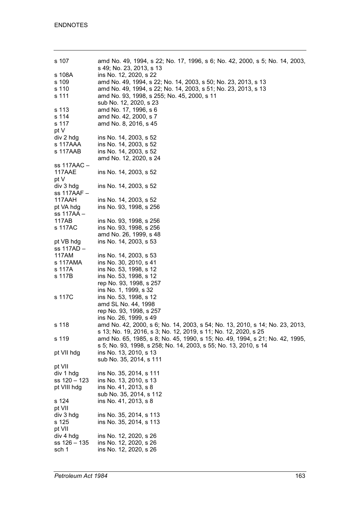| s 107        | amd No. 49, 1994, s 22; No. 17, 1996, s 6; No. 42, 2000, s 5; No. 14, 2003,  |
|--------------|------------------------------------------------------------------------------|
|              | s 49; No. 23, 2013, s 13                                                     |
| s 108A       | ins No. 12, 2020, s 22                                                       |
| s 109        | amd No. 49, 1994, s 22; No. 14, 2003, s 50; No. 23, 2013, s 13               |
| s 110        | amd No. 49, 1994, s 22; No. 14, 2003, s 51; No. 23, 2013, s 13               |
| s 111        | amd No. 93, 1998, s 255; No. 45, 2000, s 11                                  |
|              | sub No. 12, 2020, s 23                                                       |
| s 113        | amd No. 17, 1996, s 6                                                        |
| s 114        | amd No. 42, 2000, s 7                                                        |
| s 117        | amd No. 8, 2016, s 45                                                        |
| pt V         |                                                                              |
|              |                                                                              |
| div 2 hdg    | ins No. 14, 2003, s 52                                                       |
| s 117AAA     | ins No. 14, 2003, s 52                                                       |
| s 117AAB     | ins No. 14, 2003, s 52                                                       |
|              | amd No. 12, 2020, s 24                                                       |
| ss 117AAC –  |                                                                              |
| 117AAE       | ins No. 14, 2003, s 52                                                       |
| pt V         |                                                                              |
| div 3 hdg    | ins No. 14, 2003, s 52                                                       |
| ss 117AAF –  |                                                                              |
| 117AAH       | ins No. 14, 2003, s 52                                                       |
| pt VA hdg    | ins No. 93, 1998, s 256                                                      |
| ss 117AA -   |                                                                              |
| 117AB        | ins No. 93, 1998, s 256                                                      |
| s 117AC      | ins No. 93, 1998, s 256                                                      |
|              | amd No. 26, 1999, s 48                                                       |
|              |                                                                              |
| pt VB hdg    | ins No. 14, 2003, s 53                                                       |
| ss 117AD –   |                                                                              |
| 117AM        | ins No. 14, 2003, s 53                                                       |
| s 117AMA     | ins No. 30, 2010, s 41                                                       |
| s 117A       | ins No. 53, 1998, s 12                                                       |
| s 117B       | ins No. 53, 1998, s 12                                                       |
|              | rep No. 93, 1998, s 257                                                      |
|              | ins No. 1, 1999, s 32                                                        |
| s 117C       | ins No. 53, 1998, s 12                                                       |
|              | amd SL No. 44, 1998                                                          |
|              | rep No. 93, 1998, s 257                                                      |
|              | ins No. 26, 1999, s 49                                                       |
| s 118        | amd No. 42, 2000, s 6; No. 14, 2003, s 54; No. 13, 2010, s 14; No. 23, 2013, |
|              | s 13; No. 19, 2016, s 3; No. 12, 2019, s 11; No. 12, 2020, s 25              |
| s 119        | amd No. 65, 1985, s 8; No. 45, 1990, s 15; No. 49, 1994, s 21; No. 42, 1995, |
|              | s 5; No. 93, 1998, s 258; No. 14, 2003, s 55; No. 13, 2010, s 14             |
|              |                                                                              |
| pt VII hdg   | ins No. 13, 2010, s 13                                                       |
|              | sub No. 35, 2014, s 111                                                      |
| pt VII       |                                                                              |
| div 1 hdg    | ins No. 35, 2014, s 111                                                      |
| ss 120 - 123 | ins No. 13, 2010, s 13                                                       |
| pt VIII hdg  | ins No. 41, 2013, s 8                                                        |
|              | sub No. 35, 2014, s 112                                                      |
| s 124        | ins No. 41, 2013, s 8                                                        |
| pt VII       |                                                                              |
| div 3 hdg    | ins No. 35, 2014, s 113                                                      |
| s 125        | ins No. 35, 2014, s 113                                                      |
| pt VII       |                                                                              |
| div 4 hdg    | ins No. 12, 2020, s 26                                                       |
| ss 126 – 135 | ins No. 12, 2020, s 26                                                       |
| sch 1        | ins No. 12, 2020, s 26                                                       |
|              |                                                                              |